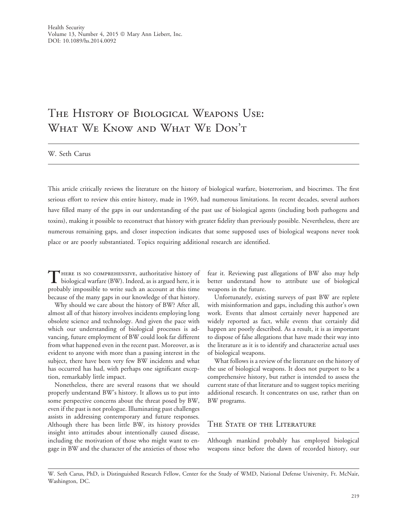# The History of Biological Weapons Use: What We Know and What We Don't

W. Seth Carus

This article critically reviews the literature on the history of biological warfare, bioterrorism, and biocrimes. The first serious effort to review this entire history, made in 1969, had numerous limitations. In recent decades, several authors have filled many of the gaps in our understanding of the past use of biological agents (including both pathogens and toxins), making it possible to reconstruct that history with greater fidelity than previously possible. Nevertheless, there are numerous remaining gaps, and closer inspection indicates that some supposed uses of biological weapons never took place or are poorly substantiated. Topics requiring additional research are identified.

THERE IS NO COMPREHENSIVE, authoritative history of biological warfare (BW). Indeed, as is argued here, it is probably impossible to write such an account at this time because of the many gaps in our knowledge of that history.

Why should we care about the history of BW? After all, almost all of that history involves incidents employing long obsolete science and technology. And given the pace with which our understanding of biological processes is advancing, future employment of BW could look far different from what happened even in the recent past. Moreover, as is evident to anyone with more than a passing interest in the subject, there have been very few BW incidents and what has occurred has had, with perhaps one significant exception, remarkably little impact.

Nonetheless, there are several reasons that we should properly understand BW's history. It allows us to put into some perspective concerns about the threat posed by BW, even if the past is not prologue. Illuminating past challenges assists in addressing contemporary and future responses. Although there has been little BW, its history provides insight into attitudes about intentionally caused disease, including the motivation of those who might want to engage in BW and the character of the anxieties of those who

fear it. Reviewing past allegations of BW also may help better understand how to attribute use of biological weapons in the future.

Unfortunately, existing surveys of past BW are replete with misinformation and gaps, including this author's own work. Events that almost certainly never happened are widely reported as fact, while events that certainly did happen are poorly described. As a result, it is as important to dispose of false allegations that have made their way into the literature as it is to identify and characterize actual uses of biological weapons.

What follows is a review of the literature on the history of the use of biological weapons. It does not purport to be a comprehensive history, but rather is intended to assess the current state of that literature and to suggest topics meriting additional research. It concentrates on use, rather than on BW programs.

#### The State of the Literature

Although mankind probably has employed biological weapons since before the dawn of recorded history, our

W. Seth Carus, PhD, is Distinguished Research Fellow, Center for the Study of WMD, National Defense University, Ft. McNair, Washington, DC.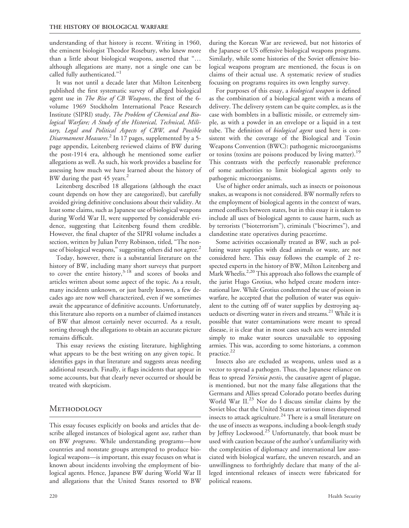understanding of that history is recent. Writing in 1960, the eminent biologist Theodor Rosebury, who knew more than a little about biological weapons, asserted that "... although allegations are many, not a single one can be called fully authenticated."<sup>1</sup>

It was not until a decade later that Milton Leitenberg published the first systematic survey of alleged biological agent use in The Rise of CB Weapons, the first of the 6volume 1969 Stockholm International Peace Research Institute (SIPRI) study, The Problem of Chemical and Biological Warfare; A Study of the Historical, Technical, Military, Legal and Political Aspects of CBW, and Possible Disarmament Measures.<sup>2</sup> In 17 pages, supplemented by a 5page appendix, Leitenberg reviewed claims of BW during the post-1914 era, although he mentioned some earlier allegations as well. As such, his work provides a baseline for assessing how much we have learned about the history of BW during the past 45 years.<sup>2</sup>

Leitenberg described 18 allegations (although the exact count depends on how they are categorized), but carefully avoided giving definitive conclusions about their validity. At least some claims, such as Japanese use of biological weapons during World War II, were supported by considerable evidence, suggesting that Leitenberg found them credible. However, the final chapter of the SIPRI volume includes a section, written by Julian Perry Robinson, titled, ''The nonuse of biological weapons," suggesting others did not agree.<sup>2</sup>

Today, however, there is a substantial literature on the history of BW, including many short surveys that purport to cover the entire history, $3-18$  and scores of books and articles written about some aspect of the topic. As a result, many incidents unknown, or just barely known, a few decades ago are now well characterized, even if we sometimes await the appearance of definitive accounts. Unfortunately, this literature also reports on a number of claimed instances of BW that almost certainly never occurred. As a result, sorting through the allegations to obtain an accurate picture remains difficult.

This essay reviews the existing literature, highlighting what appears to be the best writing on any given topic. It identifies gaps in that literature and suggests areas needing additional research. Finally, it flags incidents that appear in some accounts, but that clearly never occurred or should be treated with skepticism.

#### **METHODOLOGY**

This essay focuses explicitly on books and articles that describe alleged instances of biological agent use, rather than on BW *programs*. While understanding programs—how countries and nonstate groups attempted to produce biological weapons—is important, this essay focuses on what is known about incidents involving the employment of biological agents. Hence, Japanese BW during World War II and allegations that the United States resorted to BW during the Korean War are reviewed, but not histories of the Japanese or US offensive biological weapons programs. Similarly, while some histories of the Soviet offensive biological weapons program are mentioned, the focus is on claims of their actual use. A systematic review of studies focusing on programs requires its own lengthy survey.

For purposes of this essay, a biological weapon is defined as the combination of a biological agent with a means of delivery. The delivery system can be quite complex, as is the case with bomblets in a ballistic missile, or extremely simple, as with a powder in an envelope or a liquid in a test tube. The definition of *biological agent* used here is consistent with the coverage of the Biological and Toxin Weapons Convention (BWC): pathogenic microorganisms or toxins (toxins are poisons produced by living matter).<sup>19</sup> This contrasts with the perfectly reasonable preference of some authorities to limit biological agents only to pathogenic microorganisms.

Use of higher order animals, such as insects or poisonous snakes, as weapons is not considered. BW normally refers to the employment of biological agents in the context of wars, armed conflicts between states, but in this essay it is taken to include all uses of biological agents to cause harm, such as by terrorists (''bioterrorism''), criminals (''biocrimes''), and clandestine state operatives during peacetime.

Some activities occasionally treated as BW, such as polluting water supplies with dead animals or waste, are not considered here. This essay follows the example of 2 respected experts in the history of BW, Milton Leitenberg and Mark Wheelis.<sup>2,20</sup> This approach also follows the example of the jurist Hugo Grotius, who helped create modern international law. While Grotius condemned the use of poison in warfare, he accepted that the pollution of water was equivalent to the cutting off of water supplies by destroying aqueducts or diverting water in rivers and streams.<sup>21</sup> While it is possible that water contaminations were meant to spread disease, it is clear that in most cases such acts were intended simply to make water sources unavailable to opposing armies. This was, according to some historians, a common practice.<sup>22</sup>

Insects also are excluded as weapons, unless used as a vector to spread a pathogen. Thus, the Japanese reliance on fleas to spread Yersinia pestis, the causative agent of plague, is mentioned, but not the many false allegations that the Germans and Allies spread Colorado potato beetles during World War II.<sup>23</sup> Nor do I discuss similar claims by the Soviet bloc that the United States at various times dispersed insects to attack agriculture.<sup>24</sup> There is a small literature on the use of insects as weapons, including a book-length study by Jeffrey Lockwood.<sup>25</sup> Unfortunately, that book must be used with caution because of the author's unfamiliarity with the complexities of diplomacy and international law associated with biological warfare, the uneven research, and an unwillingness to forthrightly declare that many of the alleged intentional releases of insects were fabricated for political reasons.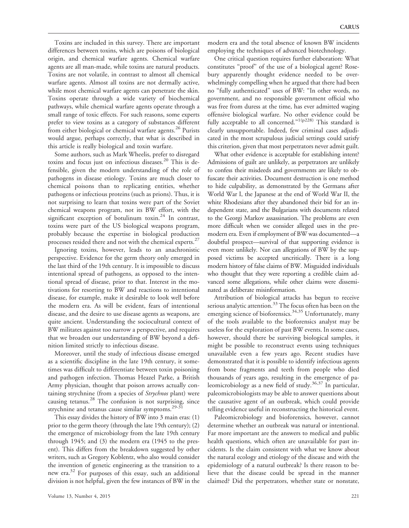Toxins are included in this survey. There are important differences between toxins, which are poisons of biological origin, and chemical warfare agents. Chemical warfare agents are all man-made, while toxins are natural products. Toxins are not volatile, in contrast to almost all chemical warfare agents. Almost all toxins are not dermally active, while most chemical warfare agents can penetrate the skin. Toxins operate through a wide variety of biochemical pathways, while chemical warfare agents operate through a small range of toxic effects. For such reasons, some experts prefer to view toxins as a category of substances different from either biological or chemical warfare agents.<sup>26</sup> Purists would argue, perhaps correctly, that what is described in this article is really biological and toxin warfare.

Some authors, such as Mark Wheelis, prefer to disregard toxins and focus just on infectious diseases.<sup>20</sup> This is defensible, given the modern understanding of the role of pathogens in disease etiology. Toxins are much closer to chemical poisons than to replicating entities, whether pathogens or infectious proteins (such as prions). Thus, it is not surprising to learn that toxins were part of the Soviet chemical weapons program, not its BW effort, with the significant exception of botulinum toxin.<sup>24</sup> In contrast, toxins were part of the US biological weapons program, probably because the expertise in biological production processes resided there and not with the chemical experts.<sup>27</sup>

Ignoring toxins, however, leads to an anachronistic perspective. Evidence for the germ theory only emerged in the last third of the 19th century. It is impossible to discuss intentional spread of pathogens, as opposed to the intentional spread of disease, prior to that. Interest in the motivations for resorting to BW and reactions to intentional disease, for example, make it desirable to look well before the modern era. As will be evident, fears of intentional disease, and the desire to use disease agents as weapons, are quite ancient. Understanding the sociocultural context of BW militates against too narrow a perspective, and requires that we broaden our understanding of BW beyond a definition limited strictly to infectious disease.

Moreover, until the study of infectious disease emerged as a scientific discipline in the late 19th century, it sometimes was difficult to differentiate between toxin poisoning and pathogen infection. Thomas Heazel Parke, a British Army physician, thought that poison arrows actually containing strychnine (from a species of Strychnos plant) were causing tetanus.<sup>28</sup> The confusion is not surprising, since strychnine and tetanus cause similar symptoms.<sup>29-31</sup>

This essay divides the history of BW into 3 main eras: (1) prior to the germ theory (through the late 19th century); (2) the emergence of microbiology from the late 19th century through 1945; and (3) the modern era (1945 to the present). This differs from the breakdown suggested by other writers, such as Gregory Koblentz, who also would consider the invention of genetic engineering as the transition to a new era.32 For purposes of this essay, such an additional division is not helpful, given the few instances of BW in the modern era and the total absence of known BW incidents employing the techniques of advanced biotechnology.

One critical question requires further elaboration: What constitutes ''proof'' of the use of a biological agent? Rosebury apparently thought evidence needed to be overwhelmingly compelling when he argued that there had been no ''fully authenticated'' uses of BW: ''In other words, no government, and no responsible government official who was free from duress at the time, has ever admitted waging offensive biological warfare. No other evidence could be fully acceptable to all concerned."<sup>1(p228)</sup> This standard is clearly unsupportable. Indeed, few criminal cases adjudicated in the most scrupulous judicial settings could satisfy this criterion, given that most perpetrators never admit guilt.

What other evidence is acceptable for establishing intent? Admissions of guilt are unlikely, as perpetrators are unlikely to confess their misdeeds and governments are likely to obfuscate their activities. Document destruction is one method to hide culpability, as demonstrated by the Germans after World War I, the Japanese at the end of World War II, the white Rhodesians after they abandoned their bid for an independent state, and the Bulgarians with documents related to the Georgi Markov assassination. The problems are even more difficult when we consider alleged uses in the premodern era. Even if employment of BW was documented—a doubtful prospect—survival of that supporting evidence is even more unlikely. Nor can allegations of BW by the supposed victims be accepted uncritically. There is a long modern history of false claims of BW. Misguided individuals who thought that they were reporting a credible claim advanced some allegations, while other claims were disseminated as deliberate misinformation.

Attribution of biological attacks has begun to receive serious analytic attention.<sup>33</sup> The focus often has been on the emerging science of bioforensics.<sup>34,35</sup> Unfortunately, many of the tools available to the bioforensics analyst may be useless for the exploration of past BW events. In some cases, however, should there be surviving biological samples, it might be possible to reconstruct events using techniques unavailable even a few years ago. Recent studies have demonstrated that it is possible to identify infectious agents from bone fragments and teeth from people who died thousands of years ago, resulting in the emergence of paleomicrobiology as a new field of study.<sup>36,37</sup> In particular, paleomicrobiologists may be able to answer questions about the causative agent of an outbreak, which could provide telling evidence useful in reconstructing the historical event.

Paleomicrobiology and bioforensics, however, cannot determine whether an outbreak was natural or intentional. Far more important are the answers to medical and public health questions, which often are unavailable for past incidents. Is the claim consistent with what we know about the natural ecology and etiology of the disease and with the epidemiology of a natural outbreak? Is there reason to believe that the disease could be spread in the manner claimed? Did the perpetrators, whether state or nonstate,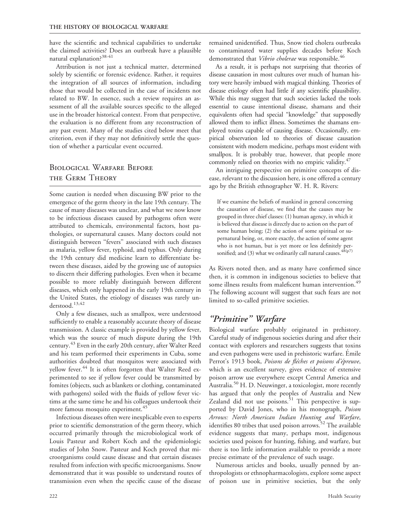have the scientific and technical capabilities to undertake the claimed activities? Does an outbreak have a plausible natural explanation?38-41

Attribution is not just a technical matter, determined solely by scientific or forensic evidence. Rather, it requires the integration of all sources of information, including those that would be collected in the case of incidents not related to BW. In essence, such a review requires an assessment of all the available sources specific to the alleged use in the broader historical context. From that perspective, the evaluation is no different from any reconstruction of any past event. Many of the studies cited below meet that criterion, even if they may not definitively settle the question of whether a particular event occurred.

### Biological Warfare Before the Germ Theory

Some caution is needed when discussing BW prior to the emergence of the germ theory in the late 19th century. The cause of many diseases was unclear, and what we now know to be infectious diseases caused by pathogens often were attributed to chemicals, environmental factors, host pathologies, or supernatural causes. Many doctors could not distinguish between ''fevers'' associated with such diseases as malaria, yellow fever, typhoid, and typhus. Only during the 19th century did medicine learn to differentiate between these diseases, aided by the growing use of autopsies to discern their differing pathologies. Even when it became possible to more reliably distinguish between different diseases, which only happened in the early 19th century in the United States, the etiology of diseases was rarely understood.<sup>13,42</sup>

Only a few diseases, such as smallpox, were understood sufficiently to enable a reasonably accurate theory of disease transmission. A classic example is provided by yellow fever, which was the source of much dispute during the 19th century.<sup>43</sup> Even in the early 20th century, after Walter Reed and his team performed their experiments in Cuba, some authorities doubted that mosquitos were associated with yellow fever.<sup>44</sup> It is often forgotten that Walter Reed experimented to see if yellow fever could be transmitted by fomites (objects, such as blankets or clothing, contaminated with pathogens) soiled with the fluids of yellow fever victims at the same time he and his colleagues undertook their more famous mosquito experiment.<sup>45</sup>

Infectious diseases often were inexplicable even to experts prior to scientific demonstration of the germ theory, which occurred primarily through the microbiological work of Louis Pasteur and Robert Koch and the epidemiologic studies of John Snow. Pasteur and Koch proved that microorganisms could cause disease and that certain diseases resulted from infection with specific microorganisms. Snow demonstrated that it was possible to understand routes of transmission even when the specific cause of the disease remained unidentified. Thus, Snow tied cholera outbreaks to contaminated water supplies decades before Koch demonstrated that Vibrio cholerae was responsible.<sup>46</sup>

As a result, it is perhaps not surprising that theories of disease causation in most cultures over much of human history were heavily imbued with magical thinking. Theories of disease etiology often had little if any scientific plausibility. While this may suggest that such societies lacked the tools essential to cause intentional disease, shamans and their equivalents often had special ''knowledge'' that supposedly allowed them to inflict illness. Sometimes the shamans employed toxins capable of causing disease. Occasionally, empirical observation led to theories of disease causation consistent with modern medicine, perhaps most evident with smallpox. It is probably true, however, that people more commonly relied on theories with no empiric validity.<sup>47</sup>

An intriguing perspective on primitive concepts of disease, relevant to the discussion here, is one offered a century ago by the British ethnographer W. H. R. Rivers:

If we examine the beliefs of mankind in general concerning the causation of disease, we find that the causes may be grouped in three chief classes: (1) human agency, in which it is believed that disease is directly due to action on the part of some human being; (2) the action of some spiritual or supernatural being, or, more exactly, the action of some agent who is not human, but is yet more or less definitely personified; and (3) what we ordinarily call natural causes.  $48(p7)$ 

As Rivers noted then, and as many have confirmed since then, it is common in indigenous societies to believe that some illness results from maleficent human intervention.<sup>49</sup> The following account will suggest that such fears are not limited to so-called primitive societies.

### ''Primitive'' Warfare

Biological warfare probably originated in prehistory. Careful study of indigenous societies during and after their contact with explorers and researchers suggests that toxins and even pathogens were used in prehistoric warfare. Emile Perrot's 1913 book, Poisons de flèches et poisons d'épreuve, which is an excellent survey, gives evidence of extensive poison arrow use everywhere except Central America and Australia.<sup>50</sup> H. D. Neuwinger, a toxicologist, more recently has argued that only the peoples of Australia and New Zealand did not use poisons. $51$  This perspective is supported by David Jones, who in his monograph, Poison Arrows: North American Indian Hunting and Warfare, identifies 80 tribes that used poison arrows.<sup>52</sup> The available evidence suggests that many, perhaps most, indigenous societies used poison for hunting, fishing, and warfare, but there is too little information available to provide a more precise estimate of the prevalence of such usage.

Numerous articles and books, usually penned by anthropologists or ethnopharmacologists, explore some aspect of poison use in primitive societies, but the only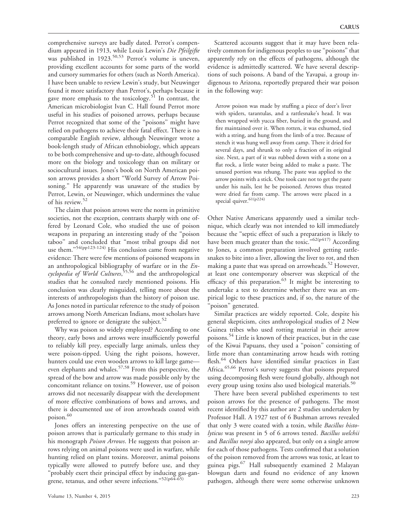comprehensive surveys are badly dated. Perrot's compendium appeared in 1913, while Louis Lewin's Die Pfeilgifte was published in  $1923$ .<sup>50,53</sup> Perrot's volume is uneven, providing excellent accounts for some parts of the world and cursory summaries for others (such as North America). I have been unable to review Lewin's study, but Neuwinger found it more satisfactory than Perrot's, perhaps because it gave more emphasis to the toxicology.<sup>51</sup> In contrast, the American microbiologist Ivan C. Hall found Perrot more useful in his studies of poisoned arrows, perhaps because Perrot recognized that some of the "poisons" might have relied on pathogens to achieve their fatal effect. There is no comparable English review, although Neuwinger wrote a book-length study of African ethnobiology, which appears to be both comprehensive and up-to-date, although focused more on the biology and toxicology than on military or sociocultural issues. Jones's book on North American poison arrows provides a short ''World Survey of Arrow Poisoning.'' He apparently was unaware of the studies by Perrot, Lewin, or Neuwinger, which undermines the value of his review.<sup>52</sup>

The claim that poison arrows were the norm in primitive societies, not the exception, contrasts sharply with one offered by Leonard Cole, who studied the use of poison weapons in preparing an interesting study of the ''poison taboo'' and concluded that ''most tribal groups did not use them."<sup>54(pp123-124)</sup> His conclusion came from negative evidence: There were few mentions of poisoned weapons in an anthropological bibliography of warfare or in the Encyclopedia of World Cultures, 55,56 and the anthropological studies that he consulted rarely mentioned poisons. His conclusion was clearly misguided, telling more about the interests of anthropologists than the history of poison use. As Jones noted in particular reference to the study of poison arrows among North American Indians, most scholars have preferred to ignore or denigrate the subject. $52$ 

Why was poison so widely employed? According to one theory, early bows and arrows were insufficiently powerful to reliably kill prey, especially large animals, unless they were poison-tipped. Using the right poisons, however, hunters could use even wooden arrows to kill large game even elephants and whales.57,58 From this perspective, the spread of the bow and arrow was made possible only by the concomitant reliance on toxins.<sup>59</sup> However, use of poison arrows did not necessarily disappear with the development of more effective combinations of bows and arrows, and there is documented use of iron arrowheads coated with poison.<sup>60</sup>

Jones offers an interesting perspective on the use of poison arrows that is particularly germane to this study in his monograph *Poison Arrows*. He suggests that poison arrows relying on animal poisons were used in warfare, while hunting relied on plant toxins. Moreover, animal poisons typically were allowed to putrefy before use, and they ''probably exert their principal effect by inducing gas-gangrene, tetanus, and other severe infections."<sup>52(p64-65)</sup>

Scattered accounts suggest that it may have been relatively common for indigenous peoples to use ''poisons'' that apparently rely on the effects of pathogens, although the evidence is admittedly scattered. We have several descriptions of such poisons. A band of the Yavapai, a group indigenous to Arizona, reportedly prepared their war poison in the following way:

Arrow poison was made by stuffing a piece of deer's liver with spiders, tarantulas, and a rattlesnake's head. It was then wrapped with yucca fiber, buried in the ground, and fire maintained over it. When rotten, it was exhumed, tied with a string, and hung from the limb of a tree. Because of stench it was hung well away from camp. There it dried for several days, and shrunk to only a fraction of its original size. Next, a part of it was rubbed down with a stone on a flat rock, a little water being added to make a paste. The unused portion was rehung. The paste was applied to the arrow points with a stick. One took care not to get the paste under his nails, lest he be poisoned. Arrows thus treated were dried far from camp. The arrows were placed in a special quiver. 61(p224)

Other Native Americans apparently used a similar technique, which clearly was not intended to kill immediately because the ''septic effect of such a preparation is likely to have been much greater than the toxic." $62(p417)$  According to Jones, a common preparation involved getting rattlesnakes to bite into a liver, allowing the liver to rot, and then making a paste that was spread on arrowheads. $52$  However, at least one contemporary observer was skeptical of the efficacy of this preparation. $63$  It might be interesting to undertake a test to determine whether there was an empirical logic to these practices and, if so, the nature of the 'poison" generated.

Similar practices are widely reported. Cole, despite his general skepticism, cites anthropological studies of 2 New Guinea tribes who used rotting material in their arrow poisons.<sup>54</sup> Little is known of their practices, but in the case of the Kiwai Papuans, they used a ''poison'' consisting of little more than contaminating arrow heads with rotting flesh.<sup>64</sup> Others have identified similar practices in East Africa.<sup>65,66</sup> Perrot's survey suggests that poisons prepared using decomposing flesh were found globally, although not every group using toxins also used biological materials.<sup>50</sup>

There have been several published experiments to test poison arrows for the presence of pathogens. The most recent identified by this author are 2 studies undertaken by Professor Hall. A 1927 test of 6 Bushman arrows revealed that only 3 were coated with a toxin, while *Bacillus histo*lyticus was present in 5 of 6 arrows tested. Bacillus welchii and *Bacillus novyi* also appeared, but only on a single arrow for each of those pathogens. Tests confirmed that a solution of the poison removed from the arrows was toxic, at least to guinea pigs.<sup>67</sup> Hall subsequently examined 2 Malayan blowgun darts and found no evidence of any known pathogen, although there were some otherwise unknown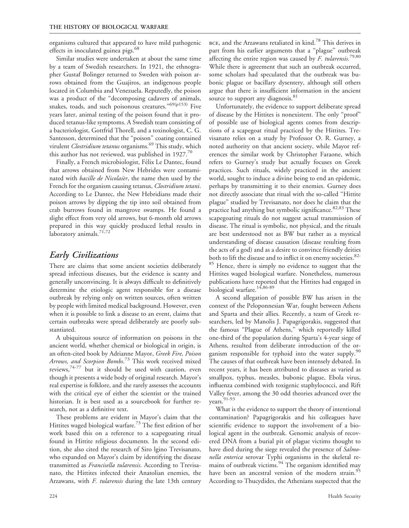organisms cultured that appeared to have mild pathogenic effects in inoculated guinea pigs.<sup>68</sup>

Similar studies were undertaken at about the same time by a team of Swedish researchers. In 1921, the ethnographer Gustaf Bolinger returned to Sweden with poison arrows obtained from the Guajiros, an indigenous people located in Columbia and Venezuela. Reputedly, the poison was a product of the ''decomposing cadavers of animals, snakes, toads, and such poisonous creatures."<sup>69(p153)</sup> Five years later, animal testing of the poison found that it produced tetanus-like symptoms. A Swedish team consisting of a bacteriologist, Gottfrid Thorell, and a toxinologist, C. G. Santesson, determined that the ''poison'' coating contained virulent *Clostridium tetanus* organisms.<sup>69</sup> This study, which this author has not reviewed, was published in  $1927.^{70}$ 

Finally, a French microbiologist, Félix Le Dantec, found that arrows obtained from New Hebrides were contaminated with *bacille de Nicolaier*, the name then used by the French for the organism causing tetanus, *Clostridium tetani*. According to Le Dantec, the New Hebridians made their poison arrows by dipping the tip into soil obtained from crab burrows found in mangrove swamps. He found a slight effect from very old arrows, but 6-month old arrows prepared in this way quickly produced lethal results in laboratory animals. $71,72$ 

#### Early Civilizations

There are claims that some ancient societies deliberately spread infectious diseases, but the evidence is scanty and generally unconvincing. It is always difficult to definitively determine the etiologic agent responsible for a disease outbreak by relying only on written sources, often written by people with limited medical background. However, even when it is possible to link a disease to an event, claims that certain outbreaks were spread deliberately are poorly substantiated.

A ubiquitous source of information on poisons in the ancient world, whether chemical or biological in origin, is an often-cited book by Adrianne Mayor, Greek Fire, Poison Arrows, and Scorpion Bombs.<sup>73</sup> This work received mixed reviews,74-77 but it should be used with caution, even though it presents a wide body of original research. Mayor's real expertise is folklore, and she rarely assesses the accounts with the critical eye of either the scientist or the trained historian. It is best used as a sourcebook for further research, not as a definitive text.

These problems are evident in Mayor's claim that the Hittites waged biological warfare.<sup>73</sup> The first edition of her work based this on a reference to a scapegoating ritual found in Hittite religious documents. In the second edition, she also cited the research of Siro lgino Trevisanato, who expanded on Mayor's claim by identifying the disease transmitted as Francisella tularensis. According to Trevisanato, the Hittites infected their Anatolian enemies, the Arzawans, with F. tularensis during the late 13th century

BCE, and the Arzawans retaliated in kind.<sup>78</sup> This derives in part from his earlier arguments that a "plague" outbreak affecting the entire region was caused by  $\overline{F}$ . tularensis.<sup>79,80</sup> While there is agreement that such an outbreak occurred, some scholars had speculated that the outbreak was bubonic plague or bacillary dysentery, although still others argue that there is insufficient information in the ancient source to support any diagnosis.<sup>81</sup>

Unfortunately, the evidence to support deliberate spread of disease by the Hittites is nonexistent. The only ''proof'' of possible use of biological agents comes from descriptions of a scapegoat ritual practiced by the Hittites. Trevisanato relies on a study by Professor O. R. Gurney, a noted authority on that ancient society, while Mayor references the similar work by Christopher Faraone, which refers to Gurney's study but actually focuses on Greek practices. Such rituals, widely practiced in the ancient world, sought to induce a divine being to end an epidemic, perhaps by transmitting it to their enemies. Gurney does not directly associate that ritual with the so-called ''Hittite plague'' studied by Trevisanato, nor does he claim that the practice had anything but symbolic significance. $82,83$  These scapegoating rituals do not suggest actual transmission of disease. The ritual is symbolic, not physical, and the rituals are best understood not as BW but rather as a mystical understanding of disease causation (disease resulting from the acts of a god) and as a desire to convince friendly deities both to lift the disease and to inflict it on enemy societies.<sup>82-</sup>

<sup>85</sup> Hence, there is simply no evidence to suggest that the Hittites waged biological warfare. Nonetheless, numerous publications have reported that the Hittites had engaged in biological warfare.<sup>14,86-89</sup>

A second allegation of possible BW has arisen in the context of the Peloponnesian War, fought between Athens and Sparta and their allies. Recently, a team of Greek researchers, led by Manolis J. Papagrigorakis, suggested that the famous ''Plague of Athens,'' which reportedly killed one-third of the population during Sparta's 4-year siege of Athens, resulted from deliberate introduction of the organism responsible for typhoid into the water supply.<sup>90</sup> The causes of that outbreak have been intensely debated. In recent years, it has been attributed to diseases as varied as smallpox, typhus, measles, bubonic plague, Ebola virus, influenza combined with toxigenic staphylococci, and Rift Valley fever, among the 30 odd theories advanced over the years.<sup>91-93</sup>

What is the evidence to support the theory of intentional contamination? Papagrigorakis and his colleagues have scientific evidence to support the involvement of a biological agent in the outbreak. Genomic analysis of recovered DNA from a burial pit of plague victims thought to have died during the siege revealed the presence of Salmonella enterica serovar Typhi organisms in the skeletal remains of outbreak victims.<sup>94</sup> The organism identified may have been an ancestral version of the modern strain.<sup>95</sup> According to Thucydides, the Athenians suspected that the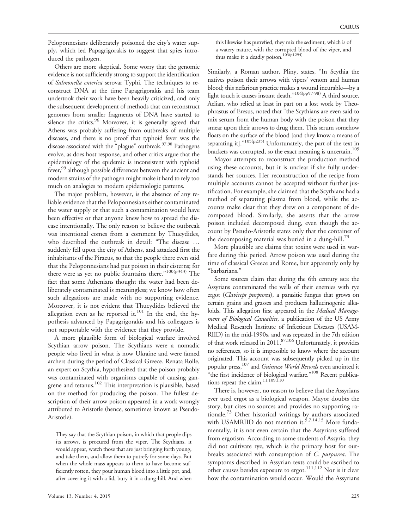Peloponnesians deliberately poisoned the city's water supply, which led Papagrigorakis to suggest that spies introduced the pathogen.

Others are more skeptical. Some worry that the genomic evidence is not sufficiently strong to support the identification of Salmonella enterica serovar Typhi. The techniques to reconstruct DNA at the time Papagrigorakis and his team undertook their work have been heavily criticized, and only the subsequent development of methods that can reconstruct genomes from smaller fragments of DNA have started to silence the critics.<sup>96</sup> Moreover, it is generally agreed that Athens was probably suffering from outbreaks of multiple diseases, and there is no proof that typhoid fever was the disease associated with the "plague" outbreak.<sup>97,98</sup> Pathogens evolve, as does host response, and other critics argue that the epidemiology of the epidemic is inconsistent with typhoid fever,<sup>99</sup> although possible differences between the ancient and modern strains of the pathogen might make it hard to rely too much on analogies to modern epidemiologic patterns.

The major problem, however, is the absence of any reliable evidence that the Peloponnesians either contaminated the water supply or that such a contamination would have been effective or that anyone knew how to spread the disease intentionally. The only reason to believe the outbreak was intentional comes from a comment by Thucydides, who described the outbreak in detail: "The disease ... suddenly fell upon the city of Athens, and attacked first the inhabitants of the Piraeus, so that the people there even said that the Peloponnesians had put poison in their cisterns; for there were as yet no public fountains there."<sup>100(p343)</sup> The fact that some Athenians thought the water had been deliberately contaminated is meaningless; we know how often such allegations are made with no supporting evidence. Moreover, it is not evident that Thucydides believed the allegation even as he reported it.<sup>101</sup> In the end, the hypothesis advanced by Papagrigorakis and his colleagues is not supportable with the evidence that they provide.

A more plausible form of biological warfare involved Scythian arrow poison. The Scythians were a nomadic people who lived in what is now Ukraine and were famed archers during the period of Classical Greece. Renata Rolle, an expert on Scythia, hypothesized that the poison probably was contaminated with organisms capable of causing gangrene and tetanus.102 This interpretation is plausible, based on the method for producing the poison. The fullest description of their arrow poison appeared in a work wrongly attributed to Aristotle (hence, sometimes known as Pseudo-Aristotle).

They say that the Scythian poison, in which that people dips its arrows, is procured from the viper. The Scythians, it would appear, watch those that are just bringing forth young, and take them, and allow them to putrefy for some days. But when the whole mass appears to them to have become sufficiently rotten, they pour human blood into a little pot, and, after covering it with a lid, bury it in a dung-hill. And when

this likewise has putrefied, they mix the sediment, which is of a watery nature, with the corrupted blood of the viper, and thus make it a deadly poison.<sup>103(p1294)</sup>

Similarly, a Roman author, Pliny, states, ''In Scythia the natives poison their arrows with vipers' venom and human blood; this nefarious practice makes a wound incurable—by a light touch it causes instant death.''104(pp97-98) A third source, Aelian, who relied at least in part on a lost work by Theophrastus of Eresus, noted that ''the Scythians are even said to mix serum from the human body with the poison that they smear upon their arrows to drug them. This serum somehow floats on the surface of the blood [and they know a means of separating it]."<sup>105(p235)</sup> Unfortunately, the part of the text in brackets was corrupted, so the exact meaning is uncertain.<sup>105</sup>

Mayor attempts to reconstruct the production method using these accounts, but it is unclear if she fully understands her sources. Her reconstruction of the recipe from multiple accounts cannot be accepted without further justification. For example, she claimed that the Scythians had a method of separating plasma from blood, while the accounts make clear that they drew on a component of decomposed blood. Similarly, she asserts that the arrow poison included decomposed dung, even though the account by Pseudo-Aristotle states only that the container of the decomposing material was buried in a dung-hill.<sup>73</sup>

More plausible are claims that toxins were used in warfare during this period. Arrow poison was used during the time of classical Greece and Rome, but apparently only by ''barbarians.''

Some sources claim that during the 6th century bce the Assyrians contaminated the wells of their enemies with rye ergot (*Claviceps purpurea*), a parasitic fungus that grows on certain grains and grasses and produces hallucinogenic alkaloids. This allegation first appeared in the *Medical Manage*ment of Biological Casualties, a publication of the US Army Medical Research Institute of Infectious Diseases (USAM-RIID) in the mid-1990s, and was repeated in the 7th edition of that work released in  $2011$ .<sup>87,106</sup> Unfortunately, it provides no references, so it is impossible to know where the account originated. This account was subsequently picked up in the popular press,<sup>107</sup> and Guinness World Records even anointed it "the first incidence of biological warfare."<sup>108</sup> Recent publications repeat the claim.<sup>11,109,110</sup>

There is, however, no reason to believe that the Assyrians ever used ergot as a biological weapon. Mayor doubts the story, but cites no sources and provides no supporting rationale.<sup>73</sup> Other historical writings by authors associated with USAMRIID do not mention it.<sup>5,7,14,15</sup> More fundamentally, it is not even certain that the Assyrians suffered from ergotism. According to some students of Assyria, they did not cultivate rye, which is the primary host for outbreaks associated with consumption of C. purpurea. The symptoms described in Assyrian texts could be ascribed to other causes besides exposure to ergot.<sup>111,112</sup> Nor is it clear how the contamination would occur. Would the Assyrians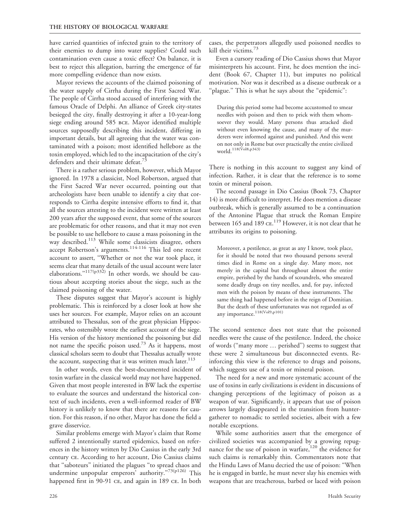have carried quantities of infected grain to the territory of their enemies to dump into water supplies? Could such contamination even cause a toxic effect? On balance, it is best to reject this allegation, barring the emergence of far more compelling evidence than now exists.

Mayor reviews the accounts of the claimed poisoning of the water supply of Cirrha during the First Sacred War. The people of Cirrha stood accused of interfering with the famous Oracle of Delphi. An alliance of Greek city-states besieged the city, finally destroying it after a 10-year-long siege ending around 585 bce. Mayor identified multiple sources supposedly describing this incident, differing in important details, but all agreeing that the water was contaminated with a poison; most identified hellebore as the toxin employed, which led to the incapacitation of the city's defenders and their ultimate defeat.'

There is a rather serious problem, however, which Mayor ignored. In 1978 a classicist, Noel Robertson, argued that the First Sacred War never occurred, pointing out that archeologists have been unable to identify a city that corresponds to Cirrha despite intensive efforts to find it, that all the sources attesting to the incident were written at least 200 years after the supposed event, that some of the sources are problematic for other reasons, and that it may not even be possible to use hellebore to cause a mass poisoning in the way described.<sup>113</sup> While some classicists disagree, others accept Robertson's arguments.<sup>114-116</sup> This led one recent account to assert, ''Whether or not the war took place, it seems clear that many details of the usual account were later elaborations." $117(p332)$  In other words, we should be cautious about accepting stories about the siege, such as the claimed poisoning of the water.

These disputes suggest that Mayor's account is highly problematic. This is reinforced by a closer look at how she uses her sources. For example, Mayor relies on an account attributed to Thessalus, son of the great physician Hippocrates, who ostensibly wrote the earliest account of the siege. His version of the history mentioned the poisoning but did not name the specific poison used.<sup>73</sup> As it happens, most classical scholars seem to doubt that Thessalus actually wrote the account, suspecting that it was written much later. $113$ 

In other words, even the best-documented incident of toxin warfare in the classical world may not have happened. Given that most people interested in BW lack the expertise to evaluate the sources and understand the historical context of such incidents, even a well-informed reader of BW history is unlikely to know that there are reasons for caution. For this reason, if no other, Mayor has done the field a grave disservice.

Similar problems emerge with Mayor's claim that Rome suffered 2 intentionally started epidemics, based on references in the history written by Dio Cassius in the early 3rd century ce. According to her account, Dio Cassius claims that ''saboteurs'' initiated the plagues ''to spread chaos and undermine unpopular emperors' authority."73(p126) This happened first in 90-91 CE, and again in 189 CE. In both cases, the perpetrators allegedly used poisoned needles to kill their victims. $\frac{3}{3}$ 

Even a cursory reading of Dio Cassius shows that Mayor misinterprets his account. First, he does mention the incident (Book 67, Chapter 11), but imputes no political motivation. Nor was it described as a disease outbreak or a "plague." This is what he says about the "epidemic":

During this period some had become accustomed to smear needles with poison and then to prick with them whomsoever they would. Many persons thus attacked died without even knowing the cause, and many of the murderers were informed against and punished. And this went on not only in Rome but over practically the entire civilized world.<sup>118(Vol8,p343)</sup>

There is nothing in this account to suggest any kind of infection. Rather, it is clear that the reference is to some toxin or mineral poison.

The second passage in Dio Cassius (Book 73, Chapter 14) is more difficult to interpret. He does mention a disease outbreak, which is generally assumed to be a continuation of the Antonine Plague that struck the Roman Empire between 165 and 189 CE.<sup>119</sup> However, it is not clear that he attributes its origins to poisoning.

Moreover, a pestilence, as great as any I know, took place, for it should be noted that two thousand persons several times died in Rome on a single day. Many more, not merely in the capital but throughout almost the entire empire, perished by the hands of scoundrels, who smeared some deadly drugs on tiny needles, and, for pay, infected men with the poison by means of these instruments. The same thing had happened before in the reign of Domitian. But the death of these unfortunates was not regarded as of any importance.<sup>118(Vol9,p101)</sup>

The second sentence does not state that the poisoned needles were the cause of the pestilence. Indeed, the choice of words ("many more ... perished") seems to suggest that these were 2 simultaneous but disconnected events. Reinforcing this view is the reference to drugs and poisons, which suggests use of a toxin or mineral poison.

The need for a new and more systematic account of the use of toxins in early civilizations is evident in discussions of changing perceptions of the legitimacy of poison as a weapon of war. Significantly, it appears that use of poison arrows largely disappeared in the transition from huntergatherer to nomadic to settled societies, albeit with a few notable exceptions.

While some authorities assert that the emergence of civilized societies was accompanied by a growing repugnance for the use of poison in warfare,<sup>120</sup> the evidence for such claims is remarkably thin. Commentators note that the Hindu Laws of Manu decried the use of poison: ''When he is engaged in battle, he must never slay his enemies with weapons that are treacherous, barbed or laced with poison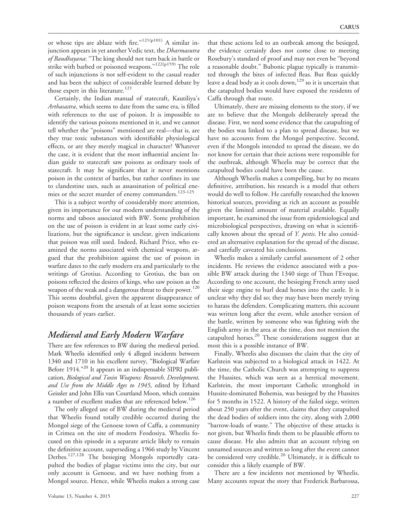or whose tips are ablaze with fire."<sup>121(p101)</sup> A similar injunction appears in yet another Vedic text, the *Dharmasutra* of Baudhayana: "The king should not turn back in battle or strike with barbed or poisoned weapons."<sup>122(p159)</sup> The role of such injunctions is not self-evident to the casual reader and has been the subject of considerable learned debate by those expert in this literature.<sup>121</sup>

Certainly, the Indian manual of statecraft, Kautiliya's Arthasastra, which seems to date from the same era, is filled with references to the use of poison. It is impossible to identify the various poisons mentioned in it, and we cannot tell whether the ''poisons'' mentioned are real—that is, are they true toxic substances with identifiable physiological effects, or are they merely magical in character? Whatever the case, it is evident that the most influential ancient Indian guide to statecraft saw poisons as ordinary tools of statecraft. It may be significant that it never mentions poison in the context of battles, but rather confines its use to clandestine uses, such as assassination of political enemies or the secret murder of enemy commanders.<sup>123-125</sup>

This is a subject worthy of considerably more attention, given its importance for our modern understanding of the norms and taboos associated with BW. Some prohibition on the use of poison is evident in at least some early civilizations, but the significance is unclear, given indications that poison was still used. Indeed, Richard Price, who examined the norms associated with chemical weapons, argued that the prohibition against the use of poison in warfare dates to the early modern era and particularly to the writings of Grotius. According to Grotius, the ban on poisons reflected the desires of kings, who saw poison as the weapon of the weak and a dangerous threat to their power.<sup>120</sup> This seems doubtful, given the apparent disappearance of poison weapons from the arsenals of at least some societies thousands of years earlier.

### Medieval and Early Modern Warfare

There are few references to BW during the medieval period. Mark Wheelis identified only 4 alleged incidents between 1340 and 1710 in his excellent survey, ''Biological Warfare Before 1914."<sup>20</sup> It appears in an indispensable SIPRI publication, Biological and Toxin Weapons: Research, Development, and Use from the Middle Ages to 1945, edited by Erhard Geissler and John Ellis van Courtland Moon, which contains a number of excellent studies that are referenced below.<sup>126</sup>

The only alleged use of BW during the medieval period that Wheelis found totally credible occurred during the Mongol siege of the Genoese town of Caffa, a community in Crimea on the site of modern Feodosiya. Wheelis focused on this episode in a separate article likely to remain the definitive account, superseding a 1966 study by Vincent Derbes.127,128 The besieging Mongols reportedly catapulted the bodies of plague victims into the city, but our only account is Genoese, and we have nothing from a Mongol source. Hence, while Wheelis makes a strong case

Volume 13, Number 4, 2015 227

that these actions led to an outbreak among the besieged, the evidence certainly does not come close to meeting Rosebury's standard of proof and may not even be ''beyond a reasonable doubt.'' Bubonic plague typically is transmitted through the bites of infected fleas. But fleas quickly leave a dead body as it cools down,<sup>129</sup> so it is uncertain that the catapulted bodies would have exposed the residents of Caffa through that route.

Ultimately, there are missing elements to the story, if we are to believe that the Mongols deliberately spread the disease. First, we need some evidence that the catapulting of the bodies was linked to a plan to spread disease, but we have no accounts from the Mongol perspective. Second, even if the Mongols intended to spread the disease, we do not know for certain that their actions were responsible for the outbreak, although Wheelis may be correct that the catapulted bodies could have been the cause.

Although Wheelis makes a compelling, but by no means definitive, attribution, his research is a model that others would do well to follow. He carefully researched the known historical sources, providing as rich an account as possible given the limited amount of material available. Equally important, he examined the issue from epidemiological and microbiological perspectives, drawing on what is scientifically known about the spread of Y. pestis. He also considered an alternative explanation for the spread of the disease, and carefully caveated his conclusions.

Wheelis makes a similarly careful assessment of 2 other incidents. He reviews the evidence associated with a possible BW attack during the 1340 siege of Thun l'Eveque. According to one account, the besieging French army used their siege engine to hurl dead horses into the castle. It is unclear why they did so; they may have been merely trying to harass the defenders. Complicating matters, this account was written long after the event, while another version of the battle, written by someone who was fighting with the English army in the area at the time, does not mention the catapulted horses.<sup>20</sup> These considerations suggest that at most this is a possible instance of BW.

Finally, Wheelis also discusses the claim that the city of Karlstein was subjected to a biological attack in 1422. At the time, the Catholic Church was attempting to suppress the Hussites, which was seen as a heretical movement. Karlstein, the most important Catholic stronghold in Hussite-dominated Bohemia, was besieged by the Hussites for 5 months in 1522. A history of the failed siege, written about 250 years after the event, claims that they catapulted the dead bodies of soldiers into the city, along with 2,000 "barrow-loads of waste." The objective of these attacks is not given, but Wheelis finds them to be plausible efforts to cause disease. He also admits that an account relying on unnamed sources and written so long after the event cannot be considered very credible.<sup>20</sup> Ultimately, it is difficult to consider this a likely example of BW.

There are a few incidents not mentioned by Wheelis. Many accounts repeat the story that Frederick Barbarossa,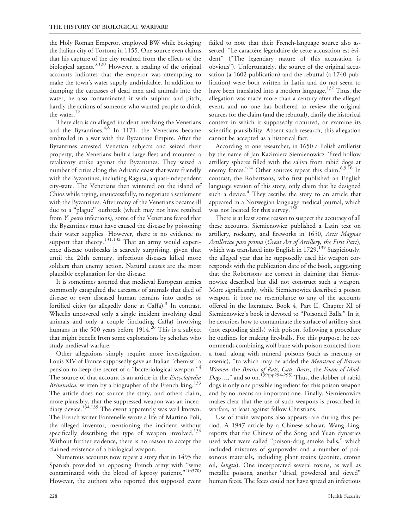the Holy Roman Emperor, employed BW while besieging the Italian city of Tortona in 1155. One source even claims that his capture of the city resulted from the effects of the biological agents.<sup>3,130</sup> However, a reading of the original accounts indicates that the emperor was attempting to make the town's water supply undrinkable. In addition to dumping the carcasses of dead men and animals into the water, he also contaminated it with sulphur and pitch, hardly the actions of someone who wanted people to drink the water.<sup>22</sup>

There also is an alleged incident involving the Venetians and the Byzantines.<sup>4,8</sup> In 1171, the Venetians became embroiled in a war with the Byzantine Empire. After the Byzantines arrested Venetian subjects and seized their property, the Venetians built a large fleet and mounted a retaliatory strike against the Byzantines. They seized a number of cities along the Adriatic coast that were friendly with the Byzantines, including Ragusa, a quasi-independent city-state. The Venetians then wintered on the island of Chios while trying, unsuccessfully, to negotiate a settlement with the Byzantines. After many of the Venetians became ill due to a ''plague'' outbreak (which may not have resulted from Y. pestis infections), some of the Venetians feared that the Byzantines must have caused the disease by poisoning their water supplies. However, there is no evidence to support that theory.<sup>131,132</sup> That an army would experience disease outbreaks is scarcely surprising, given that until the 20th century, infectious diseases killed more soldiers than enemy action. Natural causes are the most plausible explanation for the disease.

It is sometimes asserted that medieval European armies commonly catapulted the carcasses of animals that died of disease or even diseased human remains into castles or fortified cities (as allegedly done at Caffa).<sup>3</sup> In contrast, Wheelis uncovered only a single incident involving dead animals and only a couple (including Caffa) involving humans in the 500 years before  $1914<sup>20</sup>$  This is a subject that might benefit from some explorations by scholars who study medieval warfare.

Other allegations simply require more investigation. Louis XIV of France supposedly gave an Italian ''chemist'' a pension to keep the secret of a "bacteriological weapon."<sup>4</sup> The source of that account is an article in the Encyclopedia *Britannica*, written by a biographer of the French king.<sup>133</sup> The article does not source the story, and others claim, more plausibly, that the suppressed weapon was an incendiary device.<sup>134,135</sup> The event apparently was well known. The French writer Fontenelle wrote a life of Martino Poli, the alleged inventor, mentioning the incident without specifically describing the type of weapon involved.<sup>136</sup> Without further evidence, there is no reason to accept the claimed existence of a biological weapon.

Numerous accounts now repeat a story that in 1495 the Spanish provided an opposing French army with ''wine contaminated with the blood of leprosy patients." 4(p370) However, the authors who reported this supposed event failed to note that their French-language source also asserted, "Le caractère légendaire de cette accusation est évident'' (''The legendary nature of this accusation is obvious''). Unfortunately, the source of the original accusation (a 1602 publication) and the rebuttal (a 1740 publication) were both written in Latin and do not seem to have been translated into a modern language.<sup>137</sup> Thus, the allegation was made more than a century after the alleged event, and no one has bothered to review the original sources for the claim (and the rebuttal), clarify the historical context in which it supposedly occurred, or examine its scientific plausibility. Absent such research, this allegation cannot be accepted as a historical fact.

According to one researcher, in 1650 a Polish artillerist by the name of Jan Kazimierz Siemienowicz ''fired hollow artillery spheres filled with the saliva from rabid dogs at enemy forces."<sup>14</sup> Other sources repeat this claim.<sup>6,9,16</sup> In contrast, the Robertsons, who first published an English language version of this story, only claim that he designed such a device. $4$  They ascribe the story to an article that appeared in a Norwegian language medical journal, which was not located for this survey.<sup>138</sup>

There is at least some reason to suspect the accuracy of all these accounts. Siemienowicz published a Latin text on artillery, rocketry, and fireworks in 1650, Artis Magnae Artilleriae pars prima (Great Art of Artillery, the First Part), which was translated into English in 1729.<sup>139</sup> Suspiciously, the alleged year that he supposedly used his weapon corresponds with the publication date of the book, suggesting that the Robertsons are correct in claiming that Siemienowicz described but did not construct such a weapon. More significantly, while Siemienowicz described a poison weapon, it bore no resemblance to any of the accounts offered in the literature. Book 4, Part II, Chapter XI of Siemienowicz's book is devoted to ''Poisoned Balls.'' In it, he describes how to contaminate the surface of artillery shot (not exploding shells) with poison, following a procedure he outlines for making fire-balls. For this purpose, he recommends combining wolf bane with poison extracted from a toad, along with mineral poisons (such as mercury or arsenic), "to which may be added the Menstrua of Barren Women, the Brains of Rats, Cats, Bears, the Foam of Mad-*Dogs...*," and so on.<sup>139(pp294-295)</sup> Thus, the slobber of rabid dogs is only one possible ingredient for this poison weapon and by no means an important one. Finally, Siemienowicz makes clear that the use of such weapons is proscribed in warfare, at least against fellow Christians.

Use of toxin weapons also appears rare during this period. A 1947 article by a Chinese scholar, Wang Ling, reports that the Chinese of the Song and Yuan dynasties used what were called ''poison-drug smoke balls,'' which included mixtures of gunpowder and a number of poisonous materials, including plant toxins (aconite, croton oil, langtu). One incorporated several toxins, as well as metallic poisons, another ''dried, powdered and sieved'' human feces. The feces could not have spread an infectious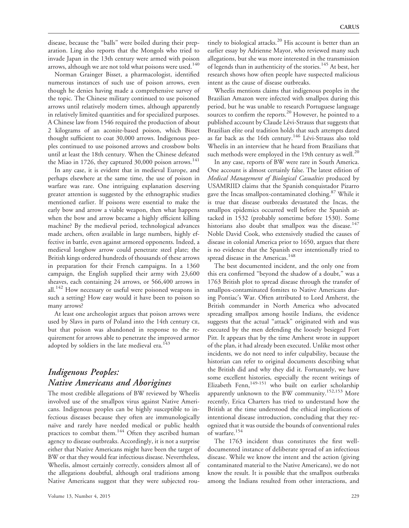disease, because the ''balls'' were boiled during their preparation. Ling also reports that the Mongols who tried to invade Japan in the 13th century were armed with poison arrows, although we are not told what poisons were used.<sup>140</sup>

Norman Grainger Bisset, a pharmacologist, identified numerous instances of such use of poison arrows, even though he denies having made a comprehensive survey of the topic. The Chinese military continued to use poisoned arrows until relatively modern times, although apparently in relatively limited quantities and for specialized purposes. A Chinese law from 1546 required the production of about 2 kilograms of an aconite-based poison, which Bisset thought sufficient to coat 30,000 arrows. Indigenous peoples continued to use poisoned arrows and crossbow bolts until at least the 18th century. When the Chinese defeated the Miao in 1726, they captured 30,000 poison arrows.<sup>141</sup>

In any case, it is evident that in medieval Europe, and perhaps elsewhere at the same time, the use of poison in warfare was rare. One intriguing explanation deserving greater attention is suggested by the ethnographic studies mentioned earlier. If poisons were essential to make the early bow and arrow a viable weapon, then what happens when the bow and arrow became a highly efficient killing machine? By the medieval period, technological advances made archers, often available in large numbers, highly effective in battle, even against armored opponents. Indeed, a medieval longbow arrow could penetrate steel plate; the British kings ordered hundreds of thousands of these arrows in preparation for their French campaigns. In a 1360 campaign, the English supplied their army with 23,600 sheaves, each containing 24 arrows, or 566,400 arrows in all.<sup>142</sup> How necessary or useful were poisoned weapons in such a setting? How easy would it have been to poison so many arrows?

At least one archeologist argues that poison arrows were used by Slavs in parts of Poland into the 14th century ce, but that poison was abandoned in response to the requirement for arrows able to penetrate the improved armor adopted by soldiers in the late medieval era.<sup>143</sup>

# Indigenous Peoples: Native Americans and Aborigines

The most credible allegations of BW reviewed by Wheelis involved use of the smallpox virus against Native Americans. Indigenous peoples can be highly susceptible to infectious diseases because they often are immunologically naïve and rarely have needed medical or public health practices to combat them.<sup>144</sup> Often they ascribed human agency to disease outbreaks. Accordingly, it is not a surprise either that Native Americans might have been the target of BW or that they would fear infectious disease. Nevertheless, Wheelis, almost certainly correctly, considers almost all of the allegations doubtful, although oral traditions among Native Americans suggest that they were subjected rou-

tinely to biological attacks. $20$  His account is better than an earlier essay by Adrienne Mayor, who reviewed many such allegations, but she was more interested in the transmission of legends than in authenticity of the stories.<sup>145</sup> At best, her research shows how often people have suspected malicious intent as the cause of disease outbreaks.

Wheelis mentions claims that indigenous peoples in the Brazilian Amazon were infected with smallpox during this period, but he was unable to research Portuguese language sources to confirm the reports.<sup>20</sup> However, he pointed to a published account by Claude Lévi-Strauss that suggests that Brazilian elite oral tradition holds that such attempts dated as far back as the 16th century.<sup>146</sup> Lévi-Strauss also told Wheelis in an interview that he heard from Brazilians that such methods were employed in the 19th century as well.<sup>20</sup>

In any case, reports of BW were rare in South America. One account is almost certainly false. The latest edition of Medical Management of Biological Casualties produced by USAMRIID claims that the Spanish conquistador Pizarro gave the Incas smallpox-contaminated clothing.<sup>87</sup> While it is true that disease outbreaks devastated the Incas, the smallpox epidemics occurred well before the Spanish attacked in 1532 (probably sometime before 1530). Some historians also doubt that smallpox was the disease.<sup>147</sup> Noble David Cook, who extensively studied the causes of disease in colonial America prior to 1650, argues that there is no evidence that the Spanish ever intentionally tried to spread disease in the Americas.<sup>148</sup>

The best documented incident, and the only one from this era confirmed ''beyond the shadow of a doubt,'' was a 1763 British plot to spread disease through the transfer of smallpox-contaminated fomites to Native Americans during Pontiac's War. Often attributed to Lord Amherst, the British commander in North America who advocated spreading smallpox among hostile Indians, the evidence suggests that the actual ''attack'' originated with and was executed by the men defending the loosely besieged Fort Pitt. It appears that by the time Amherst wrote in support of the plan, it had already been executed. Unlike most other incidents, we do not need to infer culpability, because the historian can refer to original documents describing what the British did and why they did it. Fortunately, we have some excellent histories, especially the recent writings of Elizabeth Fenn,<sup>149-151</sup> who built on earlier scholarship apparently unknown to the BW community.<sup>152,153</sup> More recently, Erica Charters has tried to understand how the British at the time understood the ethical implications of intentional disease introduction, concluding that they recognized that it was outside the bounds of conventional rules of warfare.<sup>154</sup>

The 1763 incident thus constitutes the first welldocumented instance of deliberate spread of an infectious disease. While we know the intent and the action (giving contaminated material to the Native Americans), we do not know the result. It is possible that the smallpox outbreaks among the Indians resulted from other interactions, and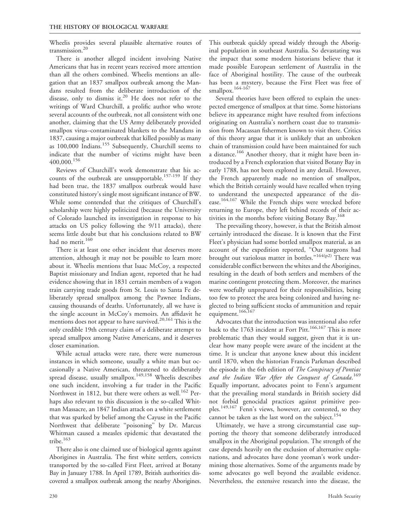Wheelis provides several plausible alternative routes of transmission.20

There is another alleged incident involving Native Americans that has in recent years received more attention than all the others combined. Wheelis mentions an allegation that an 1837 smallpox outbreak among the Mandans resulted from the deliberate introduction of the disease, only to dismiss it.<sup>20</sup> He does not refer to the writings of Ward Churchill, a prolific author who wrote several accounts of the outbreak, not all consistent with one another, claiming that the US Army deliberately provided smallpox virus–contaminated blankets to the Mandans in 1837, causing a major outbreak that killed possibly as many as 100,000 Indians.<sup>155</sup> Subsequently, Churchill seems to indicate that the number of victims might have been 400,000.<sup>156</sup>

Reviews of Churchill's work demonstrate that his accounts of the outbreak are unsupportable.<sup>157-159</sup> If they had been true, the 1837 smallpox outbreak would have constituted history's single most significant instance of BW. While some contended that the critiques of Churchill's scholarship were highly politicized (because the University of Colorado launched its investigation in response to his attacks on US policy following the 9/11 attacks), there seems little doubt but that his conclusions related to BW had no merit.<sup>160</sup>

There is at least one other incident that deserves more attention, although it may not be possible to learn more about it. Wheelis mentions that Isaac McCoy, a respected Baptist missionary and Indian agent, reported that he had evidence showing that in 1831 certain members of a wagon train carrying trade goods from St. Louis to Santa Fe deliberately spread smallpox among the Pawnee Indians, causing thousands of deaths. Unfortunately, all we have is the single account in McCoy's memoirs. An affidavit he mentions does not appear to have survived.<sup>20,161</sup> This is the only credible 19th century claim of a deliberate attempt to spread smallpox among Native Americans, and it deserves closer examination.

While actual attacks were rare, there were numerous instances in which someone, usually a white man but occasionally a Native American, threatened to deliberately spread disease, usually smallpox.<sup>149,158</sup> Wheelis describes one such incident, involving a fur trader in the Pacific Northwest in 1812, but there were others as well.<sup>162</sup> Perhaps also relevant to this discussion is the so-called Whitman Massacre, an 1847 Indian attack on a white settlement that was sparked by belief among the Cayuse in the Pacific Northwest that deliberate ''poisoning'' by Dr. Marcus Whitman caused a measles epidemic that devastated the tribe.<sup>163</sup>

There also is one claimed use of biological agents against Aborigines in Australia. The first white settlers, convicts transported by the so-called First Fleet, arrived at Botany Bay in January 1788. In April 1789, British authorities discovered a smallpox outbreak among the nearby Aborigines.

This outbreak quickly spread widely through the Aboriginal population in southeast Australia. So devastating was the impact that some modern historians believe that it made possible European settlement of Australia in the face of Aboriginal hostility. The cause of the outbreak has been a mystery, because the First Fleet was free of smallpox. $164-167$ 

Several theories have been offered to explain the unexpected emergence of smallpox at that time. Some historians believe its appearance might have resulted from infections originating on Australia's northern coast due to transmission from Macassan fishermen known to visit there. Critics of this theory argue that it is unlikely that an unbroken chain of transmission could have been maintained for such a distance.<sup>166</sup> Another theory, that it might have been introduced by a French exploration that visited Botany Bay in early 1788, has not been explored in any detail. However, the French apparently made no mention of smallpox, which the British certainly would have recalled when trying to understand the unexpected appearance of the disease.<sup>164,167</sup> While the French ships were wrecked before returning to Europe, they left behind records of their activities in the months before visiting Botany Bay.<sup>168</sup>

The prevailing theory, however, is that the British almost certainly introduced the disease. It is known that the First Fleet's physician had some bottled smallpox material, as an account of the expedition reported, ''Our surgeons had brought out variolous matter in bottles."<sup>164(p2)</sup> There was considerable conflict between the whites and the Aborigines, resulting in the death of both settlers and members of the marine contingent protecting them. Moreover, the marines were woefully unprepared for their responsibilities, being too few to protect the area being colonized and having neglected to bring sufficient stocks of ammunition and repair equipment.<sup>166,167</sup>

Advocates that the introduction was intentional also refer back to the 1763 incident at Fort Pitt.<sup>166,167</sup> This is more problematic than they would suggest, given that it is unclear how many people were aware of the incident at the time. It is unclear that anyone knew about this incident until 1870, when the historian Francis Parkman described the episode in the 6th edition of The Conspiracy of Pontiac and the Indian War After the Conquest of Canada.<sup>169</sup> Equally important, advocates point to Fenn's argument that the prevailing moral standards in British society did not forbid genocidal practices against primitive peoples.<sup>149,167</sup> Fenn's views, however, are contested, so they cannot be taken as the last word on the subject.<sup>154</sup>

Ultimately, we have a strong circumstantial case supporting the theory that someone deliberately introduced smallpox in the Aboriginal population. The strength of the case depends heavily on the exclusion of alternative explanations, and advocates have done yeoman's work undermining those alternatives. Some of the arguments made by some advocates go well beyond the available evidence. Nevertheless, the extensive research into the disease, the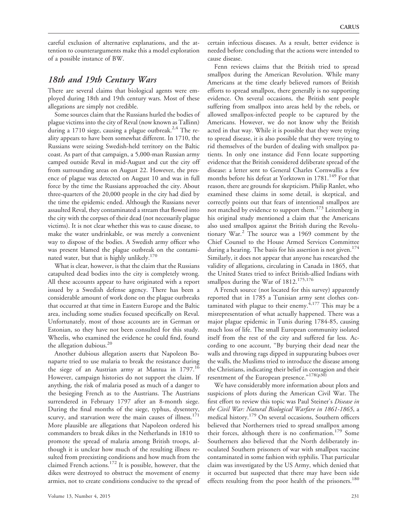careful exclusion of alternative explanations, and the attention to counterarguments make this a model exploration of a possible instance of BW.

#### 18th and 19th Century Wars

There are several claims that biological agents were employed during 18th and 19th century wars. Most of these allegations are simply not credible.

Some sources claim that the Russians hurled the bodies of plague victims into the city of Reval (now known as Tallinn) during a 1710 siege, causing a plague outbreak.<sup>2,4</sup> The reality appears to have been somewhat different. In 1710, the Russians were seizing Swedish-held territory on the Baltic coast. As part of that campaign, a 5,000-man Russian army camped outside Reval in mid-August and cut the city off from surrounding areas on August 22. However, the presence of plague was detected on August 10 and was in full force by the time the Russians approached the city. About three-quarters of the 20,000 people in the city had died by the time the epidemic ended. Although the Russians never assaulted Reval, they contaminated a stream that flowed into the city with the corpses of their dead (not necessarily plague victims). It is not clear whether this was to cause disease, to make the water undrinkable, or was merely a convenient way to dispose of the bodies. A Swedish army officer who was present blamed the plague outbreak on the contaminated water, but that is highly unlikely.<sup>170</sup>

What is clear, however, is that the claim that the Russians catapulted dead bodies into the city is completely wrong. All these accounts appear to have originated with a report issued by a Swedish defense agency. There has been a considerable amount of work done on the plague outbreaks that occurred at that time in Eastern Europe and the Baltic area, including some studies focused specifically on Reval. Unfortunately, most of those accounts are in German or Estonian, so they have not been consulted for this study. Wheelis, who examined the evidence he could find, found the allegation dubious.<sup>20</sup>

Another dubious allegation asserts that Napoleon Bonaparte tried to use malaria to break the resistance during the siege of an Austrian army at Mantua in 1797.<sup>16</sup> However, campaign histories do not support the claim. If anything, the risk of malaria posed as much of a danger to the besieging French as to the Austrians. The Austrians surrendered in February 1797 after an 8-month siege. During the final months of the siege, typhus, dysentery, scurvy, and starvation were the main causes of illness.<sup>171</sup> More plausible are allegations that Napoleon ordered his commanders to break dikes in the Netherlands in 1810 to promote the spread of malaria among British troops, although it is unclear how much of the resulting illness resulted from preexisting conditions and how much from the claimed French actions. $^{172}$  It is possible, however, that the dikes were destroyed to obstruct the movement of enemy armies, not to create conditions conducive to the spread of certain infectious diseases. As a result, better evidence is needed before concluding that the actions were intended to cause disease.

Fenn reviews claims that the British tried to spread smallpox during the American Revolution. While many Americans at the time clearly believed rumors of British efforts to spread smallpox, there generally is no supporting evidence. On several occasions, the British sent people suffering from smallpox into areas held by the rebels, or allowed smallpox-infected people to be captured by the Americans. However, we do not know why the British acted in that way. While it is possible that they were trying to spread disease, it is also possible that they were trying to rid themselves of the burden of dealing with smallpox patients. In only one instance did Fenn locate supporting evidence that the British considered deliberate spread of the disease: a letter sent to General Charles Cornwallis a few months before his defeat at Yorktown in 1781.<sup>149</sup> For that reason, there are grounds for skepticism. Philip Ranlet, who examined these claims in some detail, is skeptical, and correctly points out that fears of intentional smallpox are not matched by evidence to support them.<sup>173</sup> Leitenberg in his original study mentioned a claim that the Americans also used smallpox against the British during the Revolutionary War. $^{2}$  The source was a 1969 comment by the Chief Counsel to the House Armed Services Committee during a hearing. The basis for his assertion is not given.<sup>174</sup> Similarly, it does not appear that anyone has researched the validity of allegations, circulating in Canada in 1865, that the United States tried to infect British-allied Indians with smallpox during the War of 1812.<sup>175,176</sup>

A French source (not located for this survey) apparently reported that in 1785 a Tunisian army sent clothes contaminated with plague to their enemy. $4,177$  This may be a misrepresentation of what actually happened. There was a major plague epidemic in Tunis during 1784-85, causing much loss of life. The small European community isolated itself from the rest of the city and suffered far less. According to one account, ''By burying their dead near the walls and throwing rags dipped in suppurating buboes over the walls, the Muslims tried to introduce the disease among the Christians, indicating their belief in contagion and their resentment of the European presence."<sup>178(p30)</sup>

We have considerably more information about plots and suspicions of plots during the American Civil War. The first effort to review this topic was Paul Steiner's Disease in the Civil War: Natural Biological Warfare in 1861-1865, a medical history.<sup>179</sup> On several occasions, Southern officers believed that Northerners tried to spread smallpox among their forces, although there is no confirmation.<sup>179</sup> Some Southerners also believed that the North deliberately inoculated Southern prisoners of war with smallpox vaccine contaminated in some fashion with syphilis. That particular claim was investigated by the US Army, which denied that it occurred but suspected that there may have been side effects resulting from the poor health of the prisoners.<sup>180</sup>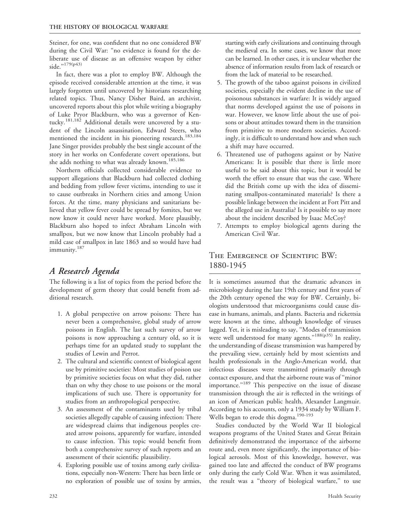Steiner, for one, was confident that no one considered BW during the Civil War: ''no evidence is found for the deliberate use of disease as an offensive weapon by either side."<sup>179(p43)</sup>

In fact, there was a plot to employ BW. Although the episode received considerable attention at the time, it was largely forgotten until uncovered by historians researching related topics. Thus, Nancy Disher Baird, an archivist, uncovered reports about this plot while writing a biography of Luke Pryor Blackburn, who was a governor of Kentucky.<sup>181,182</sup> Additional details were uncovered by a student of the Lincoln assassination, Edward Steers, who mentioned the incident in his pioneering research.<sup>183,184</sup> Jane Singer provides probably the best single account of the story in her works on Confederate covert operations, but she adds nothing to what was already known.<sup>185,186</sup>

Northern officials collected considerable evidence to support allegations that Blackburn had collected clothing and bedding from yellow fever victims, intending to use it to cause outbreaks in Northern cities and among Union forces. At the time, many physicians and sanitarians believed that yellow fever could be spread by fomites, but we now know it could never have worked. More plausibly, Blackburn also hoped to infect Abraham Lincoln with smallpox, but we now know that Lincoln probably had a mild case of smallpox in late 1863 and so would have had immunity.<sup>187</sup>

# A Research Agenda

The following is a list of topics from the period before the development of germ theory that could benefit from additional research.

- 1. A global perspective on arrow poisons: There has never been a comprehensive, global study of arrow poisons in English. The last such survey of arrow poisons is now approaching a century old, so it is perhaps time for an updated study to supplant the studies of Lewin and Perrot.
- 2. The cultural and scientific context of biological agent use by primitive societies: Most studies of poison use by primitive societies focus on what they did, rather than on why they chose to use poisons or the moral implications of such use. There is opportunity for studies from an anthropological perspective.
- 3. An assessment of the contaminants used by tribal societies allegedly capable of causing infection: There are widespread claims that indigenous peoples created arrow poisons, apparently for warfare, intended to cause infection. This topic would benefit from both a comprehensive survey of such reports and an assessment of their scientific plausibility.
- 4. Exploring possible use of toxins among early civilizations, especially non-Western: There has been little or no exploration of possible use of toxins by armies,

starting with early civilizations and continuing through the medieval era. In some cases, we know that more can be learned. In other cases, it is unclear whether the absence of information results from lack of research or from the lack of material to be researched.

- 5. The growth of the taboo against poisons in civilized societies, especially the evident decline in the use of poisonous substances in warfare: It is widely argued that norms developed against the use of poisons in war. However, we know little about the use of poisons or about attitudes toward them in the transition from primitive to more modern societies. Accordingly, it is difficult to understand how and when such a shift may have occurred.
- 6. Threatened use of pathogens against or by Native Americans: It is possible that there is little more useful to be said about this topic, but it would be worth the effort to ensure that was the case. Where did the British come up with the idea of disseminating smallpox-contaminated materials? Is there a possible linkage between the incident at Fort Pitt and the alleged use in Australia? Is it possible to say more about the incident described by Isaac McCoy?
- 7. Attempts to employ biological agents during the American Civil War.

### The Emergence of Scientific BW: 1880-1945

It is sometimes assumed that the dramatic advances in microbiology during the late 19th century and first years of the 20th century opened the way for BW. Certainly, biologists understood that microorganisms could cause disease in humans, animals, and plants. Bacteria and rickettsia were known at the time, although knowledge of viruses lagged. Yet, it is misleading to say, ''Modes of transmission were well understood for many agents."<sup>188(p35)</sup> In reality, the understanding of disease transmission was hampered by the prevailing view, certainly held by most scientists and health professionals in the Anglo-American world, that infectious diseases were transmitted primarily through contact exposure, and that the airborne route was of ''minor importance."<sup>189</sup> This perspective on the issue of disease transmission through the air is reflected in the writings of an icon of American public health, Alexander Langmuir. According to his accounts, only a 1934 study by William F. Wells began to erode this dogma.<sup>190-193</sup>

Studies conducted by the World War II biological weapons programs of the United States and Great Britain definitively demonstrated the importance of the airborne route and, even more significantly, the importance of biological aerosols. Most of this knowledge, however, was gained too late and affected the conduct of BW programs only during the early Cold War. When it was assimilated, the result was a ''theory of biological warfare,'' to use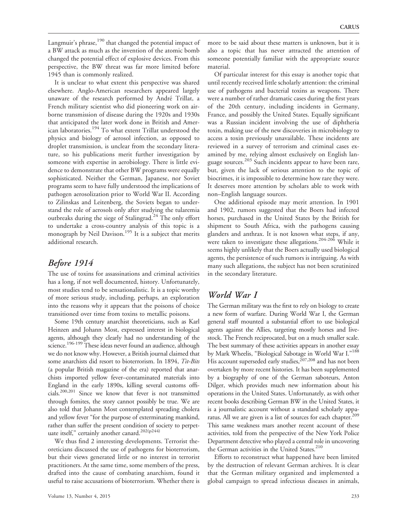Langmuir's phrase,<sup>190</sup> that changed the potential impact of a BW attack as much as the invention of the atomic bomb changed the potential effect of explosive devices. From this perspective, the BW threat was far more limited before 1945 than is commonly realized.

It is unclear to what extent this perspective was shared elsewhere. Anglo-American researchers appeared largely unaware of the research performed by André Trillat, a French military scientist who did pioneering work on airborne transmission of disease during the 1920s and 1930s that anticipated the later work done in British and American laboratories.<sup>194</sup> To what extent Trillat understood the physics and biology of aerosol infection, as opposed to droplet transmission, is unclear from the secondary literature, so his publications merit further investigation by someone with expertise in aerobiology. There is little evidence to demonstrate that other BW programs were equally sophisticated. Neither the German, Japanese, nor Soviet programs seem to have fully understood the implications of pathogen aerosolization prior to World War II. According to Zilinskas and Leitenberg, the Soviets began to understand the role of aerosols only after studying the tularemia outbreaks during the siege of Stalingrad.<sup>24</sup> The only effort to undertake a cross-country analysis of this topic is a monograph by Neil Davison.<sup>195</sup> It is a subject that merits additional research.

### Before 1914

The use of toxins for assassinations and criminal activities has a long, if not well documented, history. Unfortunately, most studies tend to be sensationalistic. It is a topic worthy of more serious study, including, perhaps, an exploration into the reasons why it appears that the poisons of choice transitioned over time from toxins to metallic poisons.

Some 19th century anarchist theoreticians, such as Karl Heinzen and Johann Most, expressed interest in biological agents, although they clearly had no understanding of the science.<sup>196-199</sup> These ideas never found an audience, although we do not know why. However, a British journal claimed that some anarchists did resort to bioterrorism. In 1894, Tit-Bits (a popular British magazine of the era) reported that anarchists imported yellow fever–contaminated materials into England in the early 1890s, killing several customs officials.200,201 Since we know that fever is not transmitted through fomites, the story cannot possibly be true. We are also told that Johann Most contemplated spreading cholera and yellow fever "for the purpose of exterminating mankind, rather than suffer the present condition of society to perpetuate itself,'' certainly another canard.202(p244)

We thus find 2 interesting developments. Terrorist theoreticians discussed the use of pathogens for bioterrorism, but their views generated little or no interest in terrorist practitioners. At the same time, some members of the press, drafted into the cause of combating anarchism, found it useful to raise accusations of bioterrorism. Whether there is

more to be said about these matters is unknown, but it is also a topic that has never attracted the attention of someone potentially familiar with the appropriate source material.

Of particular interest for this essay is another topic that until recently received little scholarly attention: the criminal use of pathogens and bacterial toxins as weapons. There were a number of rather dramatic cases during the first years of the 20th century, including incidents in Germany, France, and possibly the United States. Equally significant was a Russian incident involving the use of diphtheria toxin, making use of the new discoveries in microbiology to access a toxin previously unavailable. These incidents are reviewed in a survey of terrorism and criminal cases examined by me, relying almost exclusively on English language sources.<sup>203</sup> Such incidents appear to have been rare, but, given the lack of serious attention to the topic of biocrimes, it is impossible to determine how rare they were. It deserves more attention by scholars able to work with non–English language sources.

One additional episode may merit attention. In 1901 and 1902, rumors suggested that the Boers had infected horses, purchased in the United States by the British for shipment to South Africa, with the pathogens causing glanders and anthrax. It is not known what steps, if any, were taken to investigate these allegations.<sup>204-206</sup> While it seems highly unlikely that the Boers actually used biological agents, the persistence of such rumors is intriguing. As with many such allegations, the subject has not been scrutinized in the secondary literature.

### World War I

The German military was the first to rely on biology to create a new form of warfare. During World War I, the German general staff mounted a substantial effort to use biological agents against the Allies, targeting mostly horses and livestock. The French reciprocated, but on a much smaller scale. The best summary of these activities appears in another essay by Mark Wheelis, "Biological Sabotage in World War I."<sup>188</sup> His account superseded early studies, <sup>207, 208</sup> and has not been overtaken by more recent histories. It has been supplemented by a biography of one of the German saboteurs, Anton Dilger, which provides much new information about his operations in the United States. Unfortunately, as with other recent books describing German BW in the United States, it is a journalistic account without a standard scholarly apparatus. All we are given is a list of sources for each chapter.<sup>209</sup> This same weakness mars another recent account of these activities, told from the perspective of the New York Police Department detective who played a central role in uncovering the German activities in the United States.<sup>210</sup>

Efforts to reconstruct what happened have been limited by the destruction of relevant German archives. It is clear that the German military organized and implemented a global campaign to spread infectious diseases in animals,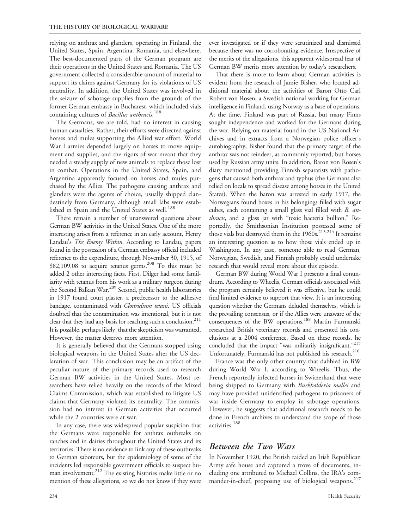relying on anthrax and glanders, operating in Finland, the United States, Spain, Argentina, Romania, and elsewhere. The best-documented parts of the German program are their operations in the United States and Romania. The US government collected a considerable amount of material to support its claims against Germany for its violations of US neutrality. In addition, the United States was involved in the seizure of sabotage supplies from the grounds of the former German embassy in Bucharest, which included vials containing cultures of *Bacillus anthracis*.<sup>188</sup>

The Germans, we are told, had no interest in causing human casualties. Rather, their efforts were directed against horses and mules supporting the Allied war effort. World War I armies depended largely on horses to move equipment and supplies, and the rigors of war meant that they needed a steady supply of new animals to replace those lost in combat. Operations in the United States, Spain, and Argentina apparently focused on horses and mules purchased by the Allies. The pathogens causing anthrax and glanders were the agents of choice, usually shipped clandestinely from Germany, although small labs were established in Spain and the United States as well.<sup>188</sup>

There remain a number of unanswered questions about German BW activities in the United States. One of the more interesting arises from a reference in an early account, Henry Landau's The Enemy Within. According to Landau, papers found in the possession of a German embassy official included reference to the expenditure, through November 30, 1915, of  $$82,109.08$  to acquire tetanus germs.<sup>208</sup> To this must be added 2 other interesting facts. First, Dilger had some familiarity with tetanus from his work as a military surgeon during the Second Balkan War.<sup>209</sup> Second, public health laboratories in 1917 found court plaster, a predecessor to the adhesive bandage, contaminated with *Clostridium tetani*. US officials doubted that the contamination was intentional, but it is not clear that they had any basis for reaching such a conclusion.<sup>211</sup> It is possible, perhaps likely, that the skepticism was warranted. However, the matter deserves more attention.

It is generally believed that the Germans stopped using biological weapons in the United States after the US declaration of war. This conclusion may be an artifact of the peculiar nature of the primary records used to research German BW activities in the United States. Most researchers have relied heavily on the records of the Mixed Claims Commission, which was established to litigate US claims that Germany violated its neutrality. The commission had no interest in German activities that occurred while the 2 countries were at war.

In any case, there was widespread popular suspicion that the Germans were responsible for anthrax outbreaks on ranches and in dairies throughout the United States and its territories. There is no evidence to link any of these outbreaks to German saboteurs, but the epidemiology of some of the incidents led responsible government officials to suspect human involvement.<sup>212</sup> The existing histories make little or no mention of these allegations, so we do not know if they were ever investigated or if they were scrutinized and dismissed because there was no corroborating evidence. Irrespective of the merits of the allegations, this apparent widespread fear of German BW merits more attention by today's researchers.

That there is more to learn about German activities is evident from the research of Jamie Bisher, who located additional material about the activities of Baron Otto Carl Robert von Rosen, a Swedish national working for German intelligence in Finland, using Norway as a base of operations. At the time, Finland was part of Russia, but many Finns sought independence and worked for the Germans during the war. Relying on material found in the US National Archives and in extracts from a Norwegian police officer's autobiography, Bisher found that the primary target of the anthrax was not reindeer, as commonly reported, but horses used by Russian army units. In addition, Baron von Rosen's diary mentioned providing Finnish separatists with pathogens that caused both anthrax and typhus (the Germans also relied on locals to spread disease among horses in the United States). When the baron was arrested in early 1917, the Norwegians found boxes in his belongings filled with sugar cubes, each containing a small glass vial filled with B. anthracis, and a glass jar with "toxic bacteria bullion." Reportedly, the Smithsonian Institution possessed some of those vials but destroyed them in the  $1960s$ .<sup>213,214</sup> It remains an interesting question as to how those vials ended up in Washington. In any case, someone able to read German, Norwegian, Swedish, and Finnish probably could undertake research that would reveal more about this episode.

German BW during World War I presents a final conundrum. According to Wheelis, German officials associated with the program certainly believed it was effective, but he could find limited evidence to support that view. It is an interesting question whether the Germans deluded themselves, which is the prevailing consensus, or if the Allies were unaware of the consequences of the BW operations.<sup>188</sup> Martin Furmanski researched British veterinary records and presented his conclusions at a 2004 conference. Based on these records, he concluded that the impact "was militarily insignificant."<sup>215</sup> Unfortunately, Furmanski has not published his research.<sup>216</sup>

France was the only other country that dabbled in BW during World War I, according to Wheelis. Thus, the French reportedly infected horses in Switzerland that were being shipped to Germany with Burkholderia mallei and may have provided unidentified pathogens to prisoners of war inside Germany to employ in sabotage operations. However, he suggests that additional research needs to be done in French archives to understand the scope of those activities.<sup>188</sup>

### Between the Two Wars

In November 1920, the British raided an Irish Republican Army safe house and captured a trove of documents, including one attributed to Michael Collins, the IRA's commander-in-chief, proposing use of biological weapons.<sup>217</sup>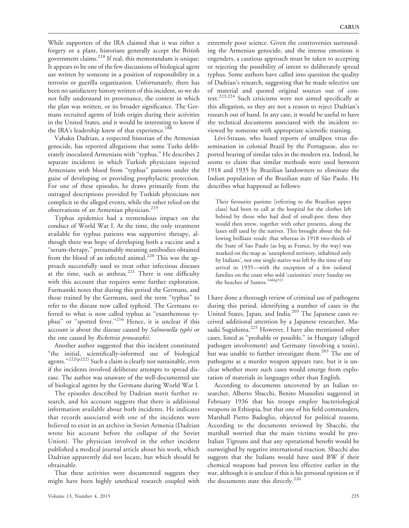While supporters of the IRA claimed that it was either a forgery or a plant, historians generally accept the British government claims.<sup>218</sup> If real, this memorandum is unique: It appears to be one of the few discussions of biological agent use written by someone in a position of responsibility in a terrorist or guerilla organization. Unfortunately, there has been no satisfactory history written of this incident, so we do not fully understand its provenance, the context in which the plan was written, or its broader significance. The Germans recruited agents of Irish origin during their activities in the United States, and it would be interesting to know if the IRA's leadership knew of that experience.<sup>188</sup>

Vahakn Dadrian, a respected historian of the Armenian genocide, has reported allegations that some Turks deliberately inoculated Armenians with ''typhus.'' He describes 2 separate incidents in which Turkish physicians injected Armenians with blood from ''typhus'' patients under the guise of developing or providing prophylactic protection. For one of these episodes, he draws primarily from the outraged descriptions provided by Turkish physicians not complicit in the alleged events, while the other relied on the observations of an Armenian physician.<sup>219</sup>

Typhus epidemics had a tremendous impact on the conduct of World War I. At the time, the only treatment available for typhus patients was supportive therapy, although there was hope of developing both a vaccine and a ''serum-therapy,'' presumably meaning antibodies obtained from the blood of an infected animal.<sup>220</sup> This was the approach successfully used to treat other infectious diseases at the time, such as anthrax. $221$  There is one difficulty with this account that requires some further exploration. Furmanski notes that during this period the Germans, and those trained by the Germans, used the term ''typhus'' to refer to the disease now called typhoid. The Germans referred to what is now called typhus as ''exanthemous typhus" or "spotted fever."<sup>216</sup> Hence, it is unclear if this account is about the disease caused by Salmonella typhi or the one caused by Rickettsia prowazekii.

Another author suggested that this incident constituted ''the initial, scientifically-informed use of biological agents."<sup>222(p222)</sup> Such a claim is clearly not sustainable, even if the incidents involved deliberate attempts to spread disease. The author was unaware of the well-documented use of biological agents by the Germans during World War I.

The episodes described by Dadrian merit further research, and his account suggests that there is additional information available about both incidents. He indicates that records associated with one of the incidents were believed to exist in an archive in Soviet Armenia (Dadrian wrote his account before the collapse of the Soviet Union). The physician involved in the other incident published a medical journal article about his work, which Dadrian apparently did not locate, but which should be obtainable.

That these activities were documented suggests they might have been highly unethical research coupled with extremely poor science. Given the controversies surrounding the Armenian genocide, and the intense emotions it engenders, a cautious approach must be taken to accepting or rejecting the possibility of intent to deliberately spread typhus. Some authors have called into question the quality of Dadrian's research, suggesting that he made selective use of material and quoted original sources out of context.223,224 Such criticisms were not aimed specifically at this allegation, so they are not a reason to reject Dadrian's research out of hand. In any case, it would be useful to have the technical documents associated with the incident reviewed by someone with appropriate scientific training.

Lévi-Strauss, who heard reports of smallpox virus dissemination in colonial Brazil by the Portuguese, also reported hearing of similar tales in the modern era. Indeed, he seems to claim that similar methods were used between 1918 and 1935 by Brazilian landowners to eliminate the Indian population of the Brazilian state of São Paolo. He describes what happened as follows:

Their favourite pastime [referring to the Brazilian upper class] had been to call at the hospital for the clothes left behind by those who had died of small-pox: these they would then strew, together with other presents, along the lanes still used by the natives. This brought about the following brilliant result: that whereas in 1918 two-thirds of the State of Sao Paulo (as big as France, by the way) was marked on the map as 'unexplored territory, inhabited only by Indians', not one single native was left by the time of my arrival in 1935—with the exception of a few isolated families on the coast who sold 'curiosities' every Sunday on the beaches of Santos.<sup>146(p51)</sup>

I have done a thorough review of criminal use of pathogens during this period, identifying a number of cases in the United States, Japan, and India.<sup>203</sup> The Japanese cases received additional attention by a Japanese researcher, Masaaki Sugishima.<sup>225</sup> However, I have also mentioned other cases, listed as ''probable or possible,'' in Hungary (alleged pathogen involvement) and Germany (involving a toxin), but was unable to further investigate them.<sup>203</sup> The use of pathogens as a murder weapon appears rare, but it is unclear whether more such cases would emerge from exploration of materials in languages other than English.

According to documents uncovered by an Italian researcher, Alberto Sbacchi, Benito Mussolini suggested in February 1936 that his troops employ bacteriological weapons in Ethiopia, but that one of his field commanders, Marshall Pietro Badoglio, objected for political reasons. According to the documents reviewed by Sbacchi, the marshall worried that the main victims would be pro-Italian Tigreans and that any operational benefit would be outweighed by negative international reaction. Sbacchi also suggests that the Italians would have used BW if their chemical weapons had proven less effective earlier in the war, although it is unclear if this is his personal opinion or if the documents state this directly.<sup>226</sup>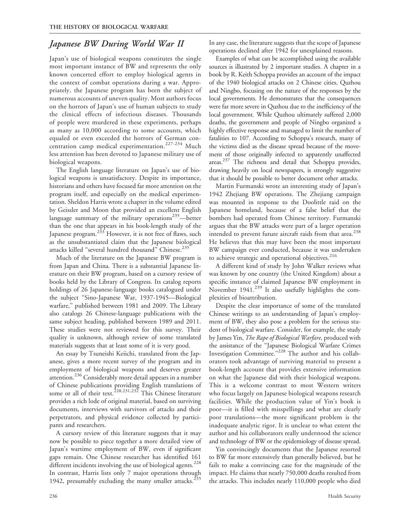### Japanese BW During World War II

Japan's use of biological weapons constitutes the single most important instance of BW and represents the only known concerted effort to employ biological agents in the context of combat operations during a war. Appropriately, the Japanese program has been the subject of numerous accounts of uneven quality. Most authors focus on the horrors of Japan's use of human subjects to study the clinical effects of infectious diseases. Thousands of people were murdered in these experiments, perhaps as many as 10,000 according to some accounts, which equaled or even exceeded the horrors of German concentration camp medical experimentation.<sup>227-234</sup> Much less attention has been devoted to Japanese military use of biological weapons.

The English language literature on Japan's use of biological weapons is unsatisfactory. Despite its importance, historians and others have focused far more attention on the program itself, and especially on the medical experimentation. Sheldon Harris wrote a chapter in the volume edited by Geissler and Moon that provided an excellent English language summary of the military operations $235$ —better than the one that appears in his book-length study of the Japanese program.<sup>233</sup> However, it is not free of flaws, such as the unsubstantiated claim that the Japanese biological attacks killed "several hundred thousand" Chinese.<sup>235</sup>

Much of the literature on the Japanese BW program is from Japan and China. There is a substantial Japanese literature on their BW program, based on a cursory review of books held by the Library of Congress. Its catalog reports holdings of 26 Japanese-language books catalogued under the subject ''Sino-Japanese War, 1937-1945—Biological warfare,'' published between 1981 and 2009. The Library also catalogs 26 Chinese-language publications with the same subject heading, published between 1989 and 2011. These studies were not reviewed for this survey. Their quality is unknown, although review of some translated materials suggests that at least some of it is very good.

An essay by Tsuneishi Keiichi, translated from the Japanese, gives a more recent survey of the program and its employment of biological weapons and deserves greater attention.<sup>236</sup> Considerably more detail appears in a number of Chinese publications providing English translations of some or all of their text.<sup>228,231,232</sup> This Chinese literature provides a rich lode of original material, based on surviving documents, interviews with survivors of attacks and their perpetrators, and physical evidence collected by participants and researchers.

A cursory review of this literature suggests that it may now be possible to piece together a more detailed view of Japan's wartime employment of BW, even if significant gaps remain. One Chinese researcher has identified 161 different incidents involving the use of biological agents.<sup>228</sup> In contrast, Harris lists only 7 major operations through 1942, presumably excluding the many smaller attacks. $235$ 

In any case, the literature suggests that the scope of Japanese operations declined after 1942 for unexplained reasons.

Examples of what can be accomplished using the available sources is illustrated by 2 important studies. A chapter in a book by R. Keith Schoppa provides an account of the impact of the 1940 biological attacks on 2 Chinese cities, Quzhou and Ningbo, focusing on the nature of the responses by the local governments. He demonstrates that the consequences were far more severe in Quzhou due to the inefficiency of the local government. While Quzhou ultimately suffered 2,000 deaths, the government and people of Ningbo organized a highly effective response and managed to limit the number of fatalities to 107. According to Schoppa's research, many of the victims died as the disease spread because of the movement of those originally infected to apparently unaffected areas.237 The richness and detail that Schoppa provides, drawing heavily on local newspapers, is strongly suggestive that it should be possible to better document other attacks.

Martin Furmanski wrote an interesting study of Japan's 1942 Zhejiang BW operations. The Zhejiang campaign was mounted in response to the Doolittle raid on the Japanese homeland, because of a false belief that the bombers had operated from Chinese territory. Furmanski argues that the BW attacks were part of a larger operation intended to prevent future aircraft raids from that area.<sup>238</sup> He believes that this may have been the most important BW campaign ever conducted, because it was undertaken to achieve strategic and operational objectives.<sup>216</sup>

A different kind of study by John Walker reviews what was known by one country (the United Kingdom) about a specific instance of claimed Japanese BW employment in November 1941.<sup>239</sup> It also usefully highlights the complexities of bioattribution.

Despite the clear importance of some of the translated Chinese writings to an understanding of Japan's employment of BW, they also pose a problem for the serious student of biological warfare. Consider, for example, the study by James Yin, The Rape of Biological Warfare, produced with the assistance of the ''Japanese Biological Warfare Crimes Investigation Committee."<sup>228</sup> The author and his collaborators took advantage of surviving material to present a book-length account that provides extensive information on what the Japanese did with their biological weapons. This is a welcome contrast to most Western writers who focus largely on Japanese biological weapons research facilities. While the production value of Yin's book is poor—it is filled with misspellings and what are clearly poor translations—the more significant problem is the inadequate analytic rigor. It is unclear to what extent the author and his collaborators really understood the science and technology of BW or the epidemiology of disease spread.

Yin convincingly documents that the Japanese resorted to BW far more extensively than generally believed, but he fails to make a convincing case for the magnitude of the impact. He claims that nearly 750,000 deaths resulted from the attacks. This includes nearly 110,000 people who died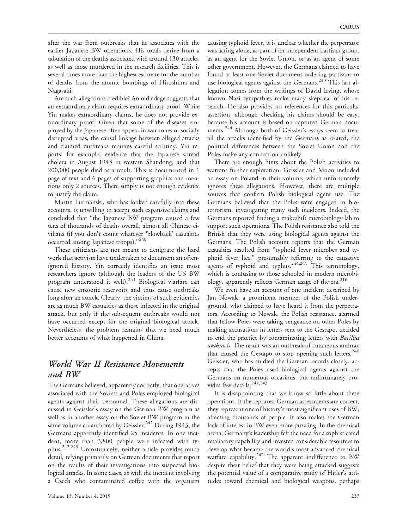after the war from outbreaks that he associates with the earlier Japanese BW operations. His totals derive from a tabulation of the deaths associated with around 130 attacks, as well as those murdered in the research facilities. This is several times more than the highest estimate for the number of deaths from the atomic bombings of Hiroshima and Nagasaki.

Are such allegations credible? An old adage suggests that an extraordinary claim requires extraordinary proof. While Yin makes extraordinary claims, he does not provide extraordinary proof. Given that some of the diseases employed by the Japanese often appear in war zones or socially disrupted areas, the causal linkage between alleged attacks and claimed outbreaks requires careful scrutiny. Yin reports, for example, evidence that the Japanese spread cholera in August 1943 in western Shandong, and that 200,000 people died as a result. This is documented in 1 page of text and 6 pages of supporting graphics and mentions only 2 sources. There simply is not enough evidence to justify the claim.

Martin Furmanski, who has looked carefully into these accounts, is unwilling to accept such expansive claims and concluded that ''the Japanese BW program caused a few tens of thousands of deaths overall, almost all Chinese civilians (if you don't count whatever 'blowback' casualties occurred among Japanese troops)."<sup>240</sup>

These criticisms are not meant to denigrate the hard work that activists have undertaken to document an oftenignored history. Yin correctly identifies an issue most researchers ignore (although the leaders of the US BW program understood it well).<sup>241</sup> Biological warfare can cause new enzootic reservoirs and thus cause outbreaks long after an attack. Clearly, the victims of such epidemics are as much BW casualties as those infected in the original attack, but only if the subsequent outbreaks would not have occurred except for the original biological attack. Nevertheless, the problem remains that we need much better accounts of what happened in China.

### World War II Resistance Movements and BW

The Germans believed, apparently correctly, that operatives associated with the Soviets and Poles employed biological agents against their personnel. These allegations are discussed in Geissler's essay on the German BW program as well as in another essay on the Soviet BW program in the same volume co-authored by Geissler.<sup>242</sup> During 1943, the Germans apparently identified 25 incidents. In one incident, more than 3,800 people were infected with typhus.242,243 Unfortunately, neither article provides much detail, relying primarily on German documents that report on the results of their investigations into suspected biological attacks. In some cases, as with the incident involving a Czech who contaminated coffee with the organism

causing typhoid fever, it is unclear whether the perpetrator was acting alone, as part of an independent partisan group, as an agent for the Soviet Union, or as an agent of some other government. However, the Germans claimed to have found at least one Soviet document ordering partisans to use biological agents against the Germans.<sup>243</sup> This last allegation comes from the writings of David Irving, whose known Nazi sympathies make many skeptical of his research. He also provides no references for this particular assertion, although checking his claims should be easy, because his account is based on captured German documents.<sup>244</sup> Although both of Geissler's essays seem to treat all the attacks identified by the Germans as related, the political differences between the Soviet Union and the Poles make any connection unlikely.

There are enough hints about the Polish activities to warrant further exploration. Geissler and Moon included an essay on Poland in their volume, which unfortunately ignores these allegations. However, there are multiple sources that confirm Polish biological agent use. The Germans believed that the Poles were engaged in bioterrorism, investigating many such incidents. Indeed, the Germans reported finding a makeshift microbiology lab to support such operations. The Polish resistance also told the British that they were using biological agents against the Germans. The Polish account reports that the German casualties resulted from ''typhoid fever microbes and typhoid fever lice,'' presumably referring to the causative agents of typhoid and typhus.<sup>244,245</sup> This terminology, which is confusing to those schooled in modern microbiology, apparently reflects German usage of the era.<sup>216</sup>

We even have an account of one incident described by Jan Nowak, a prominent member of the Polish underground, who claimed to have heard it from the perpetrators. According to Nowak, the Polish resistance, alarmed that fellow Poles were taking vengeance on other Poles by making accusations in letters sent to the Gestapo, decided to end the practice by contaminating letters with Bacillus anthracis. The result was an outbreak of cutaneous anthrax that caused the Gestapo to stop opening such letters.<sup>246</sup> Geissler, who has studied the German records closely, accepts that the Poles used biological agents against the Germans on numerous occasions, but unfortunately provides few details.<sup>242,243</sup>

It is disappointing that we know so little about these operations. If the reported German assessments are correct, they represent one of history's most significant uses of BW, affecting thousands of people. It also makes the German lack of interest in BW even more puzzling. In the chemical arena, Germany's leadership felt the need for a sophisticated retaliatory capability and invested considerable resources to develop what became the world's most advanced chemical warfare capability.<sup>247</sup> The apparent indifference to BW despite their belief that they were being attacked suggests the potential value of a comparative study of Hitler's attitudes toward chemical and biological weapons, perhaps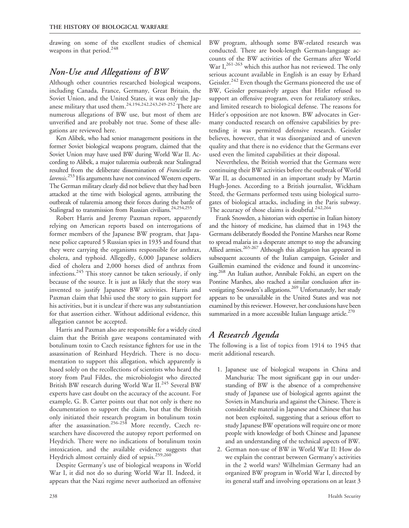drawing on some of the excellent studies of chemical weapons in that period.<sup>248</sup>

### Non-Use and Allegations of BW

Although other countries researched biological weapons, including Canada, France, Germany, Great Britain, the Soviet Union, and the United States, it was only the Japanese military that used them. $24,194,242,243,249-252$  There are numerous allegations of BW use, but most of them are unverified and are probably not true. Some of these allegations are reviewed here.

Ken Alibek, who had senior management positions in the former Soviet biological weapons program, claimed that the Soviet Union may have used BW during World War II. According to Alibek, a major tularemia outbreak near Stalingrad resulted from the deliberate dissemination of Francisella tularensis.<sup>253</sup> His arguments have not convinced Western experts. The German military clearly did not believe that they had been attacked at the time with biological agents, attributing the outbreak of tularemia among their forces during the battle of Stalingrad to transmission from Russian civilians.<sup>24,254,255</sup>

Robert Harris and Jeremy Paxman report, apparently relying on American reports based on interrogations of former members of the Japanese BW program, that Japanese police captured 5 Russian spies in 1935 and found that they were carrying the organisms responsible for anthrax, cholera, and typhoid. Allegedly, 6,000 Japanese soldiers died of cholera and 2,000 horses died of anthrax from infections.<sup>245</sup> This story cannot be taken seriously, if only because of the source. It is just as likely that the story was invented to justify Japanese BW activities. Harris and Paxman claim that Ishii used the story to gain support for his activities, but it is unclear if there was any substantiation for that assertion either. Without additional evidence, this allegation cannot be accepted.

Harris and Paxman also are responsible for a widely cited claim that the British gave weapons contaminated with botulinum toxin to Czech resistance fighters for use in the assassination of Reinhard Heydrich. There is no documentation to support this allegation, which apparently is based solely on the recollections of scientists who heard the story from Paul Fildes, the microbiologist who directed British BW research during World War II.<sup>245</sup> Several BW experts have cast doubt on the accuracy of the account. For example, G. B. Carter points out that not only is there no documentation to support the claim, but that the British only initiated their research program in botulinum toxin after the assassination.<sup>256-258</sup> More recently, Czech researchers have discovered the autopsy report performed on Heydrich. There were no indications of botulinum toxin intoxication, and the available evidence suggests that Heydrich almost certainly died of sepsis.<sup>259,260</sup>

Despite Germany's use of biological weapons in World War I, it did not do so during World War II. Indeed, it appears that the Nazi regime never authorized an offensive

BW program, although some BW-related research was conducted. There are book-length German-language accounts of the BW activities of the Germans after World War I,<sup>261-263</sup> which this author has not reviewed. The only serious account available in English is an essay by Erhard Geissler.<sup>242</sup> Even though the Germans pioneered the use of BW, Geissler persuasively argues that Hitler refused to support an offensive program, even for retaliatory strikes, and limited research to biological defense. The reasons for Hitler's opposition are not known. BW advocates in Germany conducted research on offensive capabilities by pretending it was permitted defensive research. Geissler believes, however, that it was disorganized and of uneven quality and that there is no evidence that the Germans ever used even the limited capabilities at their disposal.

Nevertheless, the British worried that the Germans were continuing their BW activities before the outbreak of World War II, as documented in an important study by Martin Hugh-Jones. According to a British journalist, Wickham Steed, the Germans performed tests using biological surrogates of biological attacks, including in the Paris subway. The accuracy of those claims is doubtful.<sup>242,264</sup>

Frank Snowden, a historian with expertise in Italian history and the history of medicine, has claimed that in 1943 the Germans deliberately flooded the Pontine Marshes near Rome to spread malaria in a desperate attempt to stop the advancing Allied armies.<sup>265-267</sup> Although this allegation has appeared in subsequent accounts of the Italian campaign, Geissler and Guillemin examined the evidence and found it unconvincing.268 An Italian author, Annibale Folchi, an expert on the Pontine Marshes, also reached a similar conclusion after investigating Snowden's allegations.<sup>269</sup> Unfortunately, her study appears to be unavailable in the United States and was not examined by this reviewer. However, her conclusions have been summarized in a more accessible Italian language article. $270$ 

# A Research Agenda

The following is a list of topics from 1914 to 1945 that merit additional research.

- 1. Japanese use of biological weapons in China and Manchuria: The most significant gap in our understanding of BW is the absence of a comprehensive study of Japanese use of biological agents against the Soviets in Manchuria and against the Chinese. There is considerable material in Japanese and Chinese that has not been exploited, suggesting that a serious effort to study Japanese BW operations will require one or more people with knowledge of both Chinese and Japanese and an understanding of the technical aspects of BW.
- 2. German non-use of BW in World War II: How do we explain the contrast between Germany's activities in the 2 world wars? Wilhelmian Germany had an organized BW program in World War I, directed by its general staff and involving operations on at least 3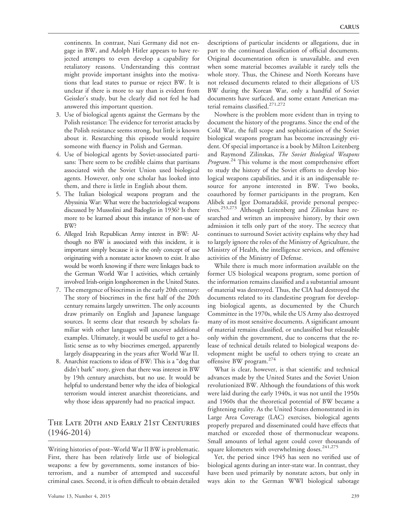continents. In contrast, Nazi Germany did not engage in BW, and Adolph Hitler appears to have rejected attempts to even develop a capability for retaliatory reasons. Understanding this contrast might provide important insights into the motivations that lead states to pursue or reject BW. It is unclear if there is more to say than is evident from Geissler's study, but he clearly did not feel he had answered this important question.

- 3. Use of biological agents against the Germans by the Polish resistance: The evidence for terrorist attacks by the Polish resistance seems strong, but little is known about it. Researching this episode would require someone with fluency in Polish and German.
- 4. Use of biological agents by Soviet-associated partisans: There seem to be credible claims that partisans associated with the Soviet Union used biological agents. However, only one scholar has looked into them, and there is little in English about them.
- 5. The Italian biological weapons program and the Abyssinia War: What were the bacteriological weapons discussed by Mussolini and Badoglio in 1936? Is there more to be learned about this instance of non-use of BW?
- 6. Alleged Irish Republican Army interest in BW: Although no BW is associated with this incident, it is important simply because it is the only concept of use originating with a nonstate actor known to exist. It also would be worth knowing if there were linkages back to the German World War I activities, which certainly involved Irish-origin longshoremen in the United States.
- 7. The emergence of biocrimes in the early 20th century: The story of biocrimes in the first half of the 20th century remains largely unwritten. The only accounts draw primarily on English and Japanese language sources. It seems clear that research by scholars familiar with other languages will uncover additional examples. Ultimately, it would be useful to get a holistic sense as to why biocrimes emerged, apparently largely disappearing in the years after World War II.
- 8. Anarchist reactions to ideas of BW: This is a ''dog that didn't bark'' story, given that there was interest in BW by 19th century anarchists, but no use. It would be helpful to understand better why the idea of biological terrorism would interest anarchist theoreticians, and why those ideas apparently had no practical impact.

### The Late 20th and Early 21st Centuries (1946-2014)

Writing histories of post–World War II BW is problematic. First, there has been relatively little use of biological weapons: a few by governments, some instances of bioterrorism, and a number of attempted and successful criminal cases. Second, it is often difficult to obtain detailed descriptions of particular incidents or allegations, due in part to the continued classification of official documents. Original documentation often is unavailable, and even when some material becomes available it rarely tells the whole story. Thus, the Chinese and North Koreans have not released documents related to their allegations of US BW during the Korean War, only a handful of Soviet documents have surfaced, and some extant American material remains classified.<sup>271,272</sup>

Nowhere is the problem more evident than in trying to document the history of the programs. Since the end of the Cold War, the full scope and sophistication of the Soviet biological weapons program has become increasingly evident. Of special importance is a book by Milton Leitenberg and Raymond Zilinskas, The Soviet Biological Weapons Program.<sup>24</sup> This volume is the most comprehensive effort to study the history of the Soviet efforts to develop biological weapons capabilities, and it is an indispensable resource for anyone interested in BW. Two books, coauthored by former participants in the program, Ken Alibek and Igor Domaradskii, provide personal perspectives.<sup>253,273</sup> Although Leitenberg and Zilinskas have researched and written an impressive history, by their own admission it tells only part of the story. The secrecy that continues to surround Soviet activity explains why they had to largely ignore the roles of the Ministry of Agriculture, the Ministry of Health, the intelligence services, and offensive activities of the Ministry of Defense.

While there is much more information available on the former US biological weapons program, some portion of the information remains classified and a substantial amount of material was destroyed. Thus, the CIA had destroyed the documents related to its clandestine program for developing biological agents, as documented by the Church Committee in the 1970s, while the US Army also destroyed many of its most sensitive documents. A significant amount of material remains classified, or unclassified but releasable only within the government, due to concerns that the release of technical details related to biological weapons development might be useful to others trying to create an offensive BW program.274

What is clear, however, is that scientific and technical advances made by the United States and the Soviet Union revolutionized BW. Although the foundations of this work were laid during the early 1940s, it was not until the 1950s and 1960s that the theoretical potential of BW became a frightening reality. As the United States demonstrated in its Large Area Coverage (LAC) exercises, biological agents properly prepared and disseminated could have effects that matched or exceeded those of thermonuclear weapons. Small amounts of lethal agent could cover thousands of square kilometers with overwhelming doses.<sup>241,275</sup>

Yet, the period since 1945 has seen no verified use of biological agents during an inter-state war. In contrast, they have been used primarily by nonstate actors, but only in ways akin to the German WWI biological sabotage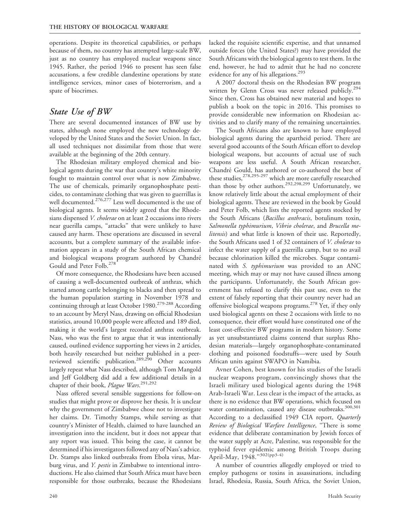operations. Despite its theoretical capabilities, or perhaps because of them, no country has attempted large-scale BW, just as no country has employed nuclear weapons since 1945. Rather, the period 1946 to present has seen false accusations, a few credible clandestine operations by state intelligence services, minor cases of bioterrorism, and a spate of biocrimes.

#### State Use of BW

There are several documented instances of BW use by states, although none employed the new technology developed by the United States and the Soviet Union. In fact, all used techniques not dissimilar from those that were available at the beginning of the 20th century.

The Rhodesian military employed chemical and biological agents during the war that country's white minority fought to maintain control over what is now Zimbabwe. The use of chemicals, primarily organophosphate pesticides, to contaminate clothing that was given to guerrillas is well documented.<sup>276,277</sup> Less well documented is the use of biological agents. It seems widely agreed that the Rhodesians dispensed V. cholerae on at least 2 occasions into rivers near guerilla camps, "attacks" that were unlikely to have caused any harm. These operations are discussed in several accounts, but a complete summary of the available information appears in a study of the South African chemical and biological weapons program authored by Chandré Gould and Peter Folb.<sup>278</sup>

Of more consequence, the Rhodesians have been accused of causing a well-documented outbreak of anthrax, which started among cattle belonging to blacks and then spread to the human population starting in November 1978 and continuing through at least October 1980.<sup>279-288</sup> According to an account by Meryl Nass, drawing on official Rhodesian statistics, around 10,000 people were affected and 189 died, making it the world's largest recorded anthrax outbreak. Nass, who was the first to argue that it was intentionally caused, outlined evidence supporting her views in 2 articles, both heavily researched but neither published in a peerreviewed scientific publication.<sup>289,290</sup> Other accounts largely repeat what Nass described, although Tom Mangold and Jeff Goldberg did add a few additional details in a chapter of their book, Plague Wars.<sup>291,292</sup>

Nass offered several sensible suggestions for follow-on studies that might prove or disprove her thesis. It is unclear why the government of Zimbabwe chose not to investigate her claims. Dr. Timothy Stamps, while serving as that country's Minister of Health, claimed to have launched an investigation into the incident, but it does not appear that any report was issued. This being the case, it cannot be determined if his investigators followed any of Nass's advice. Dr. Stamps also linked outbreaks from Ebola virus, Marburg virus, and Y. pestis in Zimbabwe to intentional introductions. He also claimed that South Africa must have been responsible for those outbreaks, because the Rhodesians lacked the requisite scientific expertise, and that unnamed outside forces (the United States?) may have provided the South Africans with the biological agents to test them. In the end, however, he had to admit that he had no concrete evidence for any of his allegations.<sup>293</sup>

A 2007 doctoral thesis on the Rhodesian BW program written by Glenn Cross was never released publicly.<sup>294</sup> Since then, Cross has obtained new material and hopes to publish a book on the topic in 2016. This promises to provide considerable new information on Rhodesian activities and to clarify many of the remaining uncertainties.

The South Africans also are known to have employed biological agents during the apartheid period. There are several good accounts of the South African effort to develop biological weapons, but accounts of actual use of such weapons are less useful. A South African researcher, Chandré Gould, has authored or co-authored the best of these studies,<sup>278,295-297</sup> which are more carefully researched than those by other authors.<sup>292,298,299</sup> Unfortunately, we know relatively little about the actual employment of their biological agents. These are reviewed in the book by Gould and Peter Folb, which lists the reported agents stocked by the South Africans (Bacillus anthracis, botulinum toxin, Salmonella typhimurium, Vibrio cholerae, and Brucella melitensis) and what little is known of their use. Reportedly, the South Africans used 1 of 32 containers of V. cholerae to infect the water supply of a guerrilla camp, but to no avail because chlorination killed the microbes. Sugar contaminated with S. typhimurium was provided to an ANC meeting, which may or may not have caused illness among the participants. Unfortunately, the South African government has refused to clarify this past use, even to the extent of falsely reporting that their country never had an offensive biological weapons programs.<sup>278</sup> Yet, if they only used biological agents on these 2 occasions with little to no consequence, their effort would have constituted one of the least cost-effective BW programs in modern history. Some as yet unsubstantiated claims contend that surplus Rhodesian materials—largely organophosphate-contaminated clothing and poisoned foodstuffs—were used by South African units against SWAPO in Namibia.

Avner Cohen, best known for his studies of the Israeli nuclear weapons program, convincingly shows that the Israeli military used biological agents during the 1948 Arab-Israeli War. Less clear is the impact of the attacks, as there is no evidence that BW operations, which focused on water contamination, caused any disease outbreaks.<sup>300,301</sup> According to a declassified 1949 CIA report, Quarterly Review of Biological Warfare Intelligence, "There is some evidence that deliberate contamination by Jewish forces of the water supply at Acre, Palestine, was responsible for the typhoid fever epidemic among British Troops during April-May, 1948."302(pp3-4)

A number of countries allegedly employed or tried to employ pathogens or toxins in assassinations, including Israel, Rhodesia, Russia, South Africa, the Soviet Union,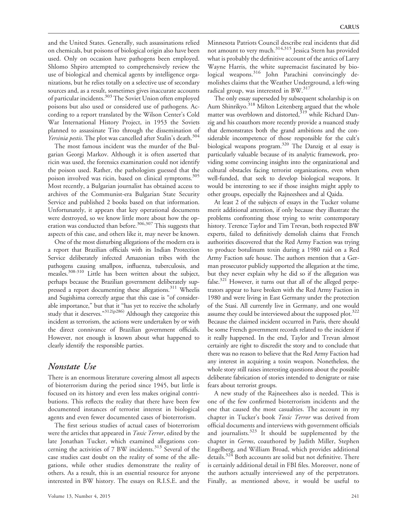and the United States. Generally, such assassinations relied on chemicals, but poisons of biological origin also have been used. Only on occasion have pathogens been employed. Shlomo Shpiro attempted to comprehensively review the use of biological and chemical agents by intelligence organizations, but he relies totally on a selective use of secondary sources and, as a result, sometimes gives inaccurate accounts of particular incidents.<sup>303</sup> The Soviet Union often employed poisons but also used or considered use of pathogens. According to a report translated by the Wilson Center's Cold War International History Project, in 1953 the Soviets planned to assassinate Tito through the dissemination of Yersinia pestis. The plot was cancelled after Stalin's death.<sup>304</sup>

The most famous incident was the murder of the Bulgarian Georgi Markov. Although it is often asserted that ricin was used, the forensics examination could not identify the poison used. Rather, the pathologists guessed that the poison involved was ricin, based on clinical symptoms.<sup>305</sup> Most recently, a Bulgarian journalist has obtained access to archives of the Communist-era Bulgarian State Security Service and published 2 books based on that information. Unfortunately, it appears that key operational documents were destroyed, so we know little more about how the operation was conducted than before.<sup>306,307</sup> This suggests that aspects of this case, and others like it, may never be known.

One of the most disturbing allegations of the modern era is a report that Brazilian officials with its Indian Protection Service deliberately infected Amazonian tribes with the pathogens causing smallpox, influenza, tuberculosis, and measles.<sup>308-310</sup> Little has been written about the subject, perhaps because the Brazilian government deliberately suppressed a report documenting these allegations.<sup>311</sup> Wheelis and Sugishima correctly argue that this case is ''of considerable importance,'' but that it ''has yet to receive the scholarly study that it deserves."<sup>312(p286)</sup> Although they categorize this incident as terrorism, the actions were undertaken by or with the direct connivance of Brazilian government officials. However, not enough is known about what happened to clearly identify the responsible parties.

#### Nonstate Use

There is an enormous literature covering almost all aspects of bioterrorism during the period since 1945, but little is focused on its history and even less makes original contributions. This reflects the reality that there have been few documented instances of terrorist interest in biological agents and even fewer documented cases of bioterrorism.

The first serious studies of actual cases of bioterrorism were the articles that appeared in *Toxic Terror*, edited by the late Jonathan Tucker, which examined allegations concerning the activities of 7 BW incidents.<sup>313</sup> Several of the case studies cast doubt on the reality of some of the allegations, while other studies demonstrate the reality of others. As a result, this is an essential resource for anyone interested in BW history. The essays on R.I.S.E. and the

Minnesota Patriots Council describe real incidents that did not amount to very much.<sup>314,315</sup> Jessica Stern has provided what is probably the definitive account of the antics of Larry Wayne Harris, the white supremacist fascinated by biological weapons.<sup>316</sup> John Parachini convincingly demolishes claims that the Weather Underground, a left-wing radical group, was interested in BW.<sup>317</sup>

The only essay superseded by subsequent scholarship is on Aum Shinrikyo.<sup>318</sup> Milton Leitenberg argued that the whole matter was overblown and distorted, $319$  while Richard Danzig and his coauthors more recently provide a nuanced study that demonstrates both the grand ambitions and the considerable incompetence of those responsible for the cult's biological weapons program.<sup>320</sup> The Danzig et al essay is particularly valuable because of its analytic framework, providing some convincing insights into the organizational and cultural obstacles facing terrorist organizations, even when well-funded, that seek to develop biological weapons. It would be interesting to see if those insights might apply to other groups, especially the Rajneeshees and al Qaida.

At least 2 of the subjects of essays in the Tucker volume merit additional attention, if only because they illustrate the problems confronting those trying to write contemporary history. Terence Taylor and Tim Trevan, both respected BW experts, failed to definitively demolish claims that French authorities discovered that the Red Army Faction was trying to produce botulinum toxin during a 1980 raid on a Red Army Faction safe house. The authors mention that a German prosecutor publicly supported the allegation at the time, but they never explain why he did so if the allegation was false. $321$  However, it turns out that all of the alleged perpetrators appear to have broken with the Red Army Faction in 1980 and were living in East Germany under the protection of the Stasi. All currently live in Germany, and one would assume they could be interviewed about the supposed plot.<sup>322</sup> Because the claimed incident occurred in Paris, there should be some French government records related to the incident if it really happened. In the end, Taylor and Trevan almost certainly are right to discredit the story and to conclude that there was no reason to believe that the Red Army Faction had any interest in acquiring a toxin weapon. Nonetheless, the whole story still raises interesting questions about the possible deliberate fabrication of stories intended to denigrate or raise fears about terrorist groups.

A new study of the Rajneeshees also is needed. This is one of the few confirmed bioterrorism incidents and the one that caused the most casualties. The account in my chapter in Tucker's book Toxic Terror was derived from official documents and interviews with government officials and journalists.<sup>323</sup> It should be supplemented by the chapter in Germs, coauthored by Judith Miller, Stephen Engelberg, and William Broad, which provides additional details.<sup>324</sup> Both accounts are solid but not definitive. There is certainly additional detail in FBI files. Moreover, none of the authors actually interviewed any of the perpetrators. Finally, as mentioned above, it would be useful to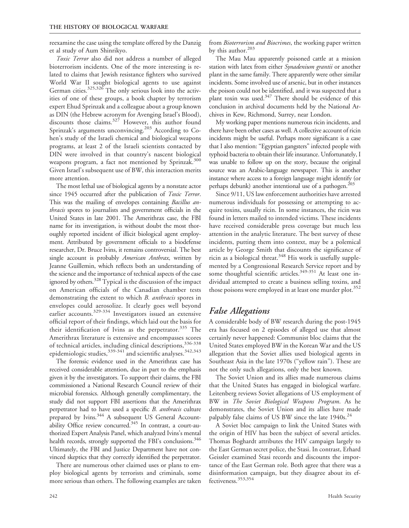reexamine the case using the template offered by the Danzig et al study of Aum Shinrikyo.

Toxic Terror also did not address a number of alleged bioterrorism incidents. One of the more interesting is related to claims that Jewish resistance fighters who survived World War II sought biological agents to use against German cities.<sup>325,326</sup> The only serious look into the activities of one of these groups, a book chapter by terrorism expert Ehud Sprinzak and a colleague about a group known as DIN (the Hebrew acronym for Avenging Israel's Blood), discounts those claims.<sup>327</sup> However, this author found Sprinzak's arguments unconvincing.<sup>203</sup> According to Cohen's study of the Israeli chemical and biological weapons programs, at least 2 of the Israeli scientists contacted by DIN were involved in that country's nascent biological weapons program, a fact not mentioned by Sprinzak.<sup>300</sup> Given Israel's subsequent use of BW, this interaction merits more attention.

The most lethal use of biological agents by a nonstate actor since 1945 occurred after the publication of Toxic Terror. This was the mailing of envelopes containing *Bacillus an*thracis spores to journalists and government officials in the United States in late 2001. The Amerithrax case, the FBI name for its investigation, is without doubt the most thoroughly reported incident of illicit biological agent employment. Attributed by government officials to a biodefense researcher, Dr. Bruce Ivins, it remains controversial. The best single account is probably American Anthrax, written by Jeanne Guillemin, which reflects both an understanding of the science and the importance of technical aspects of the case ignored by others.<sup>328</sup> Typical is the discussion of the impact on American officials of the Canadian chamber tests demonstrating the extent to which B. anthracis spores in envelopes could aerosolize. It clearly goes well beyond earlier accounts.<sup>329-334</sup> Investigators issued an extensive official report of their findings, which laid out the basis for their identification of Ivins as the perpetrator. $335$  The Amerithrax literature is extensive and encompasses scores of technical articles, including clinical descriptions, 336-338 epidemiologic studies, $^{339\text{-}341}$  and scientific analyses. $^{342,343}$ 

The forensic evidence used in the Amerithrax case has received considerable attention, due in part to the emphasis given it by the investigators. To support their claims, the FBI commissioned a National Research Council review of their microbial forensics. Although generally complimentary, the study did not support FBI assertions that the Amerithrax perpetrator had to have used a specific B. anthracis culture prepared by Ivins.<sup>344</sup> A subsequent US General Accountability Office review concurred.<sup>345</sup> In contrast, a court-authorized Expert Analysis Panel, which analyzed Ivins's mental health records, strongly supported the FBI's conclusions.<sup>346</sup> Ultimately, the FBI and Justice Department have not convinced skeptics that they correctly identified the perpetrator.

There are numerous other claimed uses or plans to employ biological agents by terrorists and criminals, some more serious than others. The following examples are taken from *Bioterrorism and Biocrimes*, the working paper written by this author.<sup>203</sup>

The Mau Mau apparently poisoned cattle at a mission station with latex from either Synadenium grantii or another plant in the same family. There apparently were other similar incidents. Some involved use of arsenic, but in other instances the poison could not be identified, and it was suspected that a plant toxin was used.347 There should be evidence of this conclusion in archival documents held by the National Archives in Kew, Richmond, Surrey, near London.

My working paper mentions numerous ricin incidents, and there have been other cases as well. A collective account of ricin incidents might be useful. Perhaps more significant is a case that I also mention: "Egyptian gangsters" infected people with typhoid bacteria to obtain their life insurance. Unfortunately, I was unable to follow up on the story, because the original source was an Arabic-language newspaper. This is another instance where access to a foreign language might identify (or perhaps debunk) another intentional use of a pathogen.<sup>203</sup>

Since 9/11, US law enforcement authorities have arrested numerous individuals for possessing or attempting to acquire toxins, usually ricin. In some instances, the ricin was found in letters mailed to intended victims. These incidents have received considerable press coverage but much less attention in the analytic literature. The best survey of these incidents, putting them into context, may be a polemical article by George Smith that discounts the significance of ricin as a biological threat.<sup>348</sup> His work is usefully supplemented by a Congressional Research Service report and by some thoughtful scientific articles.<sup>349-351</sup> At least one individual attempted to create a business selling toxins, and those poisons were employed in at least one murder plot.<sup>352</sup>

### False Allegations

A considerable body of BW research during the post-1945 era has focused on 2 episodes of alleged use that almost certainly never happened: Communist bloc claims that the United States employed BW in the Korean War and the US allegation that the Soviet allies used biological agents in Southeast Asia in the late 1970s (''yellow rain''). These are not the only such allegations, only the best known.

The Soviet Union and its allies made numerous claims that the United States has engaged in biological warfare. Leitenberg reviews Soviet allegations of US employment of BW in The Soviet Biological Weapons Program. As he demonstrates, the Soviet Union and its allies have made palpably false claims of US BW since the late 1940s.<sup>24</sup>

A Soviet bloc campaign to link the United States with the origin of HIV has been the subject of several articles. Thomas Boghardt attributes the HIV campaign largely to the East German secret police, the Stasi. In contrast, Erhard Geissler examined Stasi records and discounts the importance of the East German role. Both agree that there was a disinformation campaign, but they disagree about its effectiveness.353,354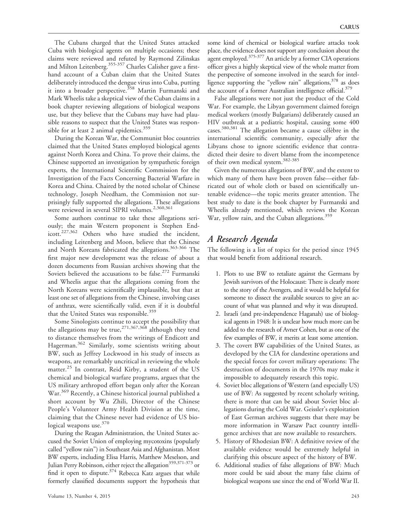The Cubans charged that the United States attacked Cuba with biological agents on multiple occasions; these claims were reviewed and refuted by Raymond Zilinskas and Milton Leitenberg.<sup>355-357</sup> Charles Calisher gave a firsthand account of a Cuban claim that the United States deliberately introduced the dengue virus into Cuba, putting it into a broader perspective.<sup>358</sup> Martin Furmanski and Mark Wheelis take a skeptical view of the Cuban claims in a book chapter reviewing allegations of biological weapons use, but they believe that the Cubans may have had plausible reasons to suspect that the United States was responsible for at least 2 animal epidemics. $359$ 

During the Korean War, the Communist bloc countries claimed that the United States employed biological agents against North Korea and China. To prove their claims, the Chinese supported an investigation by sympathetic foreign experts, the International Scientific Commission for the Investigation of the Facts Concerning Bacterial Warfare in Korea and China. Chaired by the noted scholar of Chinese technology, Joseph Needham, the Commission not surprisingly fully supported the allegations. These allegations were reviewed in several SIPRI volumes.<sup>2,360,361</sup>

Some authors continue to take these allegations seriously; the main Western proponent is Stephen Endicott.227,362 Others who have studied the incident, including Leitenberg and Moon, believe that the Chinese and North Koreans fabricated the allegations.<sup>363-366</sup> The first major new development was the release of about a dozen documents from Russian archives showing that the Soviets believed the accusations to be false.<sup>272</sup> Furmanski and Wheelis argue that the allegations coming from the North Koreans were scientifically implausible, but that at least one set of allegations from the Chinese, involving cases of anthrax, were scientifically valid, even if it is doubtful that the United States was responsible.<sup>359</sup>

Some Sinologists continue to accept the possibility that the allegations may be true,  $271,367,368$  although they tend to distance themselves from the writings of Endicott and Hagerman.<sup>362</sup> Similarly, some scientists writing about BW, such as Jeffrey Lockwood in his study of insects as weapons, are remarkably uncritical in reviewing the whole matter.<sup>25</sup> In contrast, Reid Kirby, a student of the US chemical and biological warfare programs, argues that the US military arthropod effort began only after the Korean War.<sup>369</sup> Recently, a Chinese historical journal published a short account by Wu Zhili, Director of the Chinese People's Volunteer Army Health Division at the time, claiming that the Chinese never had evidence of US biological weapons use.<sup>370</sup>

During the Reagan Administration, the United States accused the Soviet Union of employing mycotoxins (popularly called ''yellow rain'') in Southeast Asia and Afghanistan. Most BW experts, including Elisa Harris, Matthew Meselson, and Julian Perry Robinson, either reject the allegation<sup>359,371-373</sup> or find it open to dispute.<sup>374</sup> Rebecca Katz argues that while formerly classified documents support the hypothesis that

some kind of chemical or biological warfare attacks took place, the evidence does not support any conclusion about the agent employed.<sup>375-377</sup> An article by a former CIA operations officer gives a highly skeptical view of the whole matter from the perspective of someone involved in the search for intelligence supporting the "yellow rain" allegations,  $378$  as does the account of a former Australian intelligence official.<sup>379</sup>

False allegations were not just the product of the Cold War. For example, the Libyan government claimed foreign medical workers (mostly Bulgarians) deliberately caused an HIV outbreak at a pediatric hospital, causing some 400 cases.<sup>380,381</sup> The allegation became a cause célèbre in the international scientific community, especially after the Libyans chose to ignore scientific evidence that contradicted their desire to divert blame from the incompetence of their own medical system.382-385

Given the numerous allegations of BW, and the extent to which many of them have been proven false—either fabricated out of whole cloth or based on scientifically untenable evidence—the topic merits greater attention. The best study to date is the book chapter by Furmanski and Wheelis already mentioned, which reviews the Korean War, yellow rain, and the Cuban allegations.<sup>359</sup>

### A Research Agenda

The following is a list of topics for the period since 1945 that would benefit from additional research.

- 1. Plots to use BW to retaliate against the Germans by Jewish survivors of the Holocaust: There is clearly more to the story of the Avengers, and it would be helpful for someone to dissect the available sources to give an account of what was planned and why it was disrupted.
- 2. Israeli (and pre-independence Haganah) use of biological agents in 1948: It is unclear how much more can be added to the research of Avner Cohen, but as one of the few examples of BW, it merits at least some attention.
- 3. The covert BW capabilities of the United States, as developed by the CIA for clandestine operations and the special forces for covert military operations: The destruction of documents in the 1970s may make it impossible to adequately research this topic.
- 4. Soviet bloc allegations of Western (and especially US) use of BW: As suggested by recent scholarly writing, there is more that can be said about Soviet bloc allegations during the Cold War. Geissler's exploitation of East German archives suggests that there may be more information in Warsaw Pact country intelligence archives that are now available to researchers.
- 5. History of Rhodesian BW: A definitive review of the available evidence would be extremely helpful in clarifying this obscure aspect of the history of BW.
- 6. Additional studies of false allegations of BW: Much more could be said about the many false claims of biological weapons use since the end of World War II.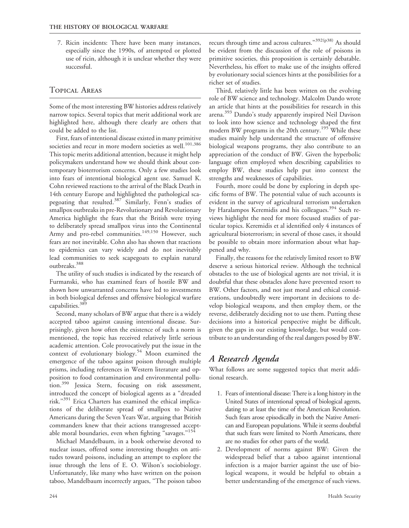7. Ricin incidents: There have been many instances, especially since the 1990s, of attempted or plotted use of ricin, although it is unclear whether they were successful.

### Topical Areas

Some of the most interesting BW histories address relatively narrow topics. Several topics that merit additional work are highlighted here, although there clearly are others that could be added to the list.

First, fears of intentional disease existed in many primitive societies and recur in more modern societies as well.<sup>101,386</sup> This topic merits additional attention, because it might help policymakers understand how we should think about contemporary bioterrorism concerns. Only a few studies look into fears of intentional biological agent use. Samuel K. Cohn reviewed reactions to the arrival of the Black Death in 14th century Europe and highlighted the pathological scapegoating that resulted.<sup>387</sup> Similarly, Fenn's studies of smallpox outbreaks in pre-Revolutionary and Revolutionary America highlight the fears that the British were trying to deliberately spread smallpox virus into the Continental Army and pro-rebel communities.<sup>149,150</sup> However, such fears are not inevitable. Cohn also has shown that reactions to epidemics can vary widely and do not inevitably lead communities to seek scapegoats to explain natural outbreaks.388

The utility of such studies is indicated by the research of Furmanski, who has examined fears of hostile BW and shown how unwarranted concerns have led to investments in both biological defenses and offensive biological warfare capabilities.<sup>389</sup>

Second, many scholars of BW argue that there is a widely accepted taboo against causing intentional disease. Surprisingly, given how often the existence of such a norm is mentioned, the topic has received relatively little serious academic attention. Cole provocatively put the issue in the context of evolutionary biology.<sup>54</sup> Moon examined the emergence of the taboo against poison through multiple prisms, including references in Western literature and opposition to food contamination and environmental pollution.<sup>390</sup> Jessica Stern, focusing on risk assessment, introduced the concept of biological agents as a ''dreaded risk."<sup>391</sup> Erica Charters has examined the ethical implications of the deliberate spread of smallpox to Native Americans during the Seven Years War, arguing that British commanders knew that their actions transgressed acceptable moral boundaries, even when fighting "savages."<sup>154</sup>

Michael Mandelbaum, in a book otherwise devoted to nuclear issues, offered some interesting thoughts on attitudes toward poisons, including an attempt to explore the issue through the lens of E. O. Wilson's sociobiology. Unfortunately, like many who have written on the poison taboo, Mandelbaum incorrectly argues, ''The poison taboo

recurs through time and across cultures."<sup>392(p38)</sup> As should be evident from the discussion of the role of poisons in primitive societies, this proposition is certainly debatable. Nevertheless, his effort to make use of the insights offered by evolutionary social sciences hints at the possibilities for a richer set of studies.

Third, relatively little has been written on the evolving role of BW science and technology. Malcolm Dando wrote an article that hints at the possibilities for research in this arena.<sup>393</sup> Dando's study apparently inspired Neil Davison to look into how science and technology shaped the first modern BW programs in the 20th century.<sup>195</sup> While these studies mainly help understand the structure of offensive biological weapons programs, they also contribute to an appreciation of the conduct of BW. Given the hyperbolic language often employed when describing capabilities to employ BW, these studies help put into context the strengths and weaknesses of capabilities.

Fourth, more could be done by exploring in depth specific forms of BW. The potential value of such accounts is evident in the survey of agricultural terrorism undertaken by Haralampos Keremidis and his colleagues.<sup>394</sup> Such reviews highlight the need for more focused studies of particular topics. Keremidis et al identified only 4 instances of agricultural bioterrorism; in several of those cases, it should be possible to obtain more information about what happened and why.

Finally, the reasons for the relatively limited resort to BW deserve a serious historical review. Although the technical obstacles to the use of biological agents are not trivial, it is doubtful that these obstacles alone have prevented resort to BW. Other factors, and not just moral and ethical considerations, undoubtedly were important in decisions to develop biological weapons, and then employ them, or the reverse, deliberately deciding not to use them. Putting these decisions into a historical perspective might be difficult, given the gaps in our existing knowledge, but would contribute to an understanding of the real dangers posed by BW.

# A Research Agenda

What follows are some suggested topics that merit additional research.

- 1. Fears of intentional disease: There is a long history in the United States of intentional spread of biological agents, dating to at least the time of the American Revolution. Such fears arose episodically in both the Native American and European populations. While it seems doubtful that such fears were limited to North Americans, there are no studies for other parts of the world.
- 2. Development of norms against BW: Given the widespread belief that a taboo against intentional infection is a major barrier against the use of biological weapons, it would be helpful to obtain a better understanding of the emergence of such views.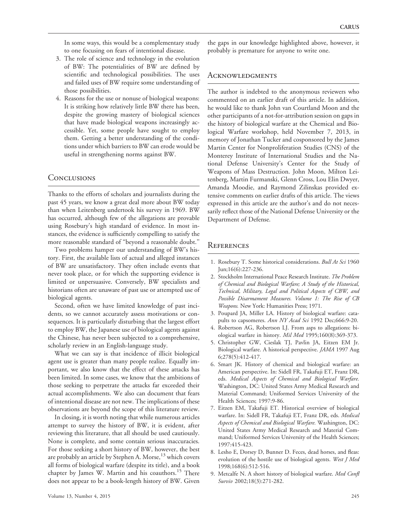In some ways, this would be a complementary study to one focusing on fears of intentional disease.

- 3. The role of science and technology in the evolution of BW: The potentialities of BW are defined by scientific and technological possibilities. The uses and failed uses of BW require some understanding of those possibilities.
- 4. Reasons for the use or nonuse of biological weapons: It is striking how relatively little BW there has been, despite the growing mastery of biological sciences that have made biological weapons increasingly accessible. Yet, some people have sought to employ them. Getting a better understanding of the conditions under which barriers to BW can erode would be useful in strengthening norms against BW.

#### **CONCLUSIONS**

Thanks to the efforts of scholars and journalists during the past 45 years, we know a great deal more about BW today than when Leitenberg undertook his survey in 1969. BW has occurred, although few of the allegations are provable using Rosebury's high standard of evidence. In most instances, the evidence is sufficiently compelling to satisfy the more reasonable standard of ''beyond a reasonable doubt.''

Two problems hamper our understanding of BW's history. First, the available lists of actual and alleged instances of BW are unsatisfactory. They often include events that never took place, or for which the supporting evidence is limited or unpersuasive. Conversely, BW specialists and historians often are unaware of past use or attempted use of biological agents.

Second, often we have limited knowledge of past incidents, so we cannot accurately assess motivations or consequences. It is particularly disturbing that the largest effort to employ BW, the Japanese use of biological agents against the Chinese, has never been subjected to a comprehensive, scholarly review in an English-language study.

What we can say is that incidence of illicit biological agent use is greater than many people realize. Equally important, we also know that the effect of these attacks has been limited. In some cases, we know that the ambitions of those seeking to perpetrate the attacks far exceeded their actual accomplishments. We also can document that fears of intentional disease are not new. The implications of these observations are beyond the scope of this literature review.

In closing, it is worth noting that while numerous articles attempt to survey the history of BW, it is evident, after reviewing this literature, that all should be used cautiously. None is complete, and some contain serious inaccuracies. For those seeking a short history of BW, however, the best are probably an article by Stephen A. Morse, $13$  which covers all forms of biological warfare (despite its title), and a book chapter by James W. Martin and his coauthors.<sup>15</sup> There does not appear to be a book-length history of BW. Given

the gaps in our knowledge highlighted above, however, it probably is premature for anyone to write one.

#### **ACKNOWLEDGMENTS**

The author is indebted to the anonymous reviewers who commented on an earlier draft of this article. In addition, he would like to thank John van Courtland Moon and the other participants of a not-for-attribution session on gaps in the history of biological warfare at the Chemical and Biological Warfare workshop, held November 7, 2013, in memory of Jonathan Tucker and cosponsored by the James Martin Center for Nonproliferation Studies (CNS) of the Monterey Institute of International Studies and the National Defense University's Center for the Study of Weapons of Mass Destruction. John Moon, Milton Leitenberg, Martin Furmanski, Glenn Cross, Lou Elin Dwyer, Amanda Moodie, and Raymond Zilinskas provided extensive comments on earlier drafts of this article. The views expressed in this article are the author's and do not necessarily reflect those of the National Defense University or the Department of Defense.

#### **REFERENCES**

- 1. Rosebury T. Some historical considerations. Bull At Sci 1960 Jun;16(6):227-236.
- 2. Stockholm International Peace Research Institute. The Problem of Chemical and Biological Warfare; A Study of the Historical, Technical, Military, Legal and Political Aspects of CBW, and Possible Disarmament Measures. Volume 1: The Rise of CB Weapons. New York: Humanities Press; 1971.
- 3. Poupard JA, Miller LA. History of biological warfare: catapults to capsomeres. Ann NY Acad Sci 1992 Dec;666:9-20.
- 4. Robertson AG, Robertson LJ. From asps to allegations: biological warfare in history. Mil Med 1995;160(8):369-373.
- 5. Christopher GW, Cieslak TJ, Pavlin JA, Eitzen EM Jr. Biological warfare. A historical perspective. JAMA 1997 Aug 6;278(5):412-417.
- 6. Smart JK. History of chemical and biological warfare: an American perspective. In: Sidell FR, Takafuji ET, Franz DR, eds. Medical Aspects of Chemical and Biological Warfare. Washington, DC: United States Army Medical Research and Material Command; Uniformed Services University of the Health Sciences; 1997:9-86.
- 7. Eitzen EM, Takafuji ET. Historical overview of biological warfare. In: Sidell FR, Takafuji ET, Franz DR, eds. Medical Aspects of Chemical and Biological Warfare. Washington, DC: United States Army Medical Research and Material Command; Uniformed Services University of the Health Sciences; 1997:415-423.
- 8. Lesho E, Dorsey D, Bunner D. Feces, dead horses, and fleas: evolution of the hostile use of biological agents. West J Med 1998;168(6):512-516.
- 9. Metcalfe N. A short history of biological warfare. Med Confl Surviv 2002;18(3):271-282.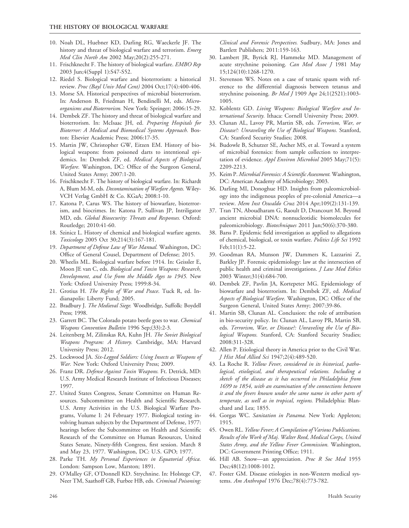- 10. Noah DL, Huebner KD, Darling RG, Waeckerle JF. The history and threat of biological warfare and terrorism. Emerg Med Clin North Am 2002 May;20(2):255-271.
- 11. Frischknecht F. The history of biological warfare. EMBO Rep 2003 Jun;4(Suppl 1):S47-S52.
- 12. Riedel S. Biological warfare and bioterrorism: a historical review. Proc (Bayl Univ Med Cent) 2004 Oct;17(4):400-406.
- 13. Morse SA. Historical perspectives of microbial bioterrorism. In: Anderson B, Friedman H, Bendinelli M, eds. Microorganisms and Bioterrorism. New York: Springer; 2006:15-29.
- 14. Dembek ZF. The history and threat of biological warfare and bioterrorism. In: McIsaac JH, ed. Preparing Hospitals for Bioterror: A Medical and Biomedical Systems Approach. Boston: Elsevier Academic Press; 2006:17-35.
- 15. Martin JW, Christopher GW, Eitzen EM. History of biological weapons: from poisoned darts to intentional epidemics. In: Dembek ZF, ed. Medical Aspects of Biological Warfare. Washington, DC: Office of the Surgeon General, United States Army; 2007:1-20.
- 16. Frischknecht F. The history of biological warfare. In: Richardt A, Blum M-M, eds. Decontamination of Warfare Agents. Wiley-VCH Verlag GmbH & Co. KGaA; 2008:1-10.
- 17. Katona P, Carus WS. The history of biowarfare, bioterrorism, and biocrimes. In: Katona P, Sullivan JP, Intriligator MD, eds. Global Biosecurity: Threats and Responses. Oxford: Routledge; 2010:41-60.
- 18. Szinicz L. History of chemical and biological warfare agents. Toxicology 2005 Oct 30;214(3):167-181.
- 19. Department of Defense Law of War Manual. Washington, DC: Office of General Cousel, Department of Defense; 2015.
- 20. Wheelis ML. Biological warfare before 1914. In: Geissler E, Moon JE van C, eds. Biological and Toxin Weapons: Research, Development, and Use from the Middle Ages to 1945. New York: Oxford University Press; 1999:8-34.
- 21. Grotius H. The Rights of War and Peace. Tuck R, ed. Indianapolis: Liberty Fund; 2005.
- 22. Bradbury J. The Medieval Siege. Woodbridge, Suffolk: Boydell Press; 1998.
- 23. Garrett BC. The Colorado potato beetle goes to war. Chemical Weapons Convention Bulletin 1996 Sep;(33):2-3.
- 24. Leitenberg M, Zilinskas RA, Kuhn JH. The Soviet Biological Weapons Program: A History. Cambridge, MA: Harvard University Press; 2012.
- 25. Lockwood JA. Six-Legged Soldiers: Using Insects as Weapons of War. New York: Oxford University Press; 2009.
- 26. Franz DR. Defense Against Toxin Weapons. Ft. Detrick, MD: U.S. Army Medical Research Institute of Infectious Diseases; 1997.
- 27. United States Congress, Senate Committee on Human Resources. Subcommittee on Health and Scientific Research. U.S. Army Activities in the U.S. Biological Warfare Programs, Volume I: 24 February 1977. Biological testing involving human subjects by the Department of Defense, 1977: hearings before the Subcommittee on Health and Scientific Research of the Committee on Human Resources, United States Senate, Ninety-fifth Congress, first session. March 8 and May 23, 1977. Washington, DC: U.S. GPO; 1977.
- 28. Parke TH. My Personal Experiences in Equatorial Africa. London: Sampson Low, Marston; 1891.
- 29. O'Malley GF, O'Donnell KD. Strychnine. In: Holstege CP, Neer TM, Saathoff GB, Furbee HB, eds. Criminal Poisoning:

Clinical and Forensic Perspectives. Sudbury, MA: Jones and Bartlett Publishers; 2011:159-163.

- 30. Lambert JR, Byrick RJ, Hammeke MD. Management of acute strychnine poisoning. Can Med Assoc J 1981 May 15;124(10):1268-1270.
- 31. Stevenson WS. Notes on a case of tetanic spasm with reference to the differential diagnosis between tetanus and strychnine poisoning. Br Med J 1909 Apr 24;1(2521):1003-1005.
- 32. Koblentz GD. Living Weapons: Biological Warfare and International Security. Ithaca: Cornell University Press; 2009.
- 33. Clunan AL, Lavoy PR, Martin SB, eds. Terrorism, War, or Disease?: Unraveling the Use of Biological Weapons. Stanford, CA: Stanford Security Studies; 2008.
- 34. Budowle B, Schutzer SE, Ascher MS, et al. Toward a system of microbial forensics: from sample collection to interpretation of evidence. Appl Environ Microbiol 2005 May;71(5): 2209-2213.
- 35. Keim P. Microbial Forensics: A Scientific Assessment. Washington, DC: American Academy of Microbiology; 2003.
- 36. Darling MI, Donoghue HD. Insights from paleomicrobiology into the indigenous peoples of pre-colonial America—a review. Mem Inst Oswaldo Cruz 2014 Apr;109(2):131-139.
- 37. Tran TN, Aboudharam G, Raoult D, Drancourt M. Beyond ancient microbial DNA: nonnucleotidic biomolecules for paleomicrobiology. Biotechniques 2011 Jun;50(6):370-380.
- 38. Barss P. Epidemic field investigation as applied to allegations of chemical, biological, or toxin warfare. Politics Life Sci 1992 Feb;11(1):5-22.
- 39. Goodman RA, Munson JW, Dammers K, Lazzarini Z, Barkley JP. Forensic epidemiology: law at the intersection of public health and criminal investigations. *J Law Med Ethics* 2003 Winter;31(4):684-700.
- 40. Dembek ZF, Pavlin JA, Kortepeter MG. Epidemiology of biowarfare and bioterrorism. In: Dembek ZF, ed. Medical Aspects of Biological Warfare. Washington, DC: Office of the Surgeon General, United States Army; 2007:39-86.
- 41. Martin SB, Clunan AL. Conclusion: the role of attribution in bio-security policy. In: Clunan AL, Lavoy PR, Martin SB, eds. Terrorism, War, or Disease?: Unraveling the Use of Biological Weapons. Stanford, CA: Stanford Security Studies; 2008:311-328.
- 42. Allen P. Etiological theory in America prior to the Civil War. J Hist Med Allied Sci 1947;2(4):489-520.
- 43. La Roche R. Yellow Fever, considered in its historical, pathological, etiological, and therapeutical relations. Including a sketch of the disease as it has occurred in Philadelphia from 1699 to 1854, with an examination of the connections between it and the fevers known under the same name in other parts of temperate, as well as in tropical, regions. Philadelphia: Blanchard and Lea; 1855.
- 44. Gorgas WC. Sanitation in Panama. New York: Appleton; 1915.
- 45. Owen RL. Yellow Fever; A Compilation of Various Publications. Results of the Work of Maj. Walter Reed, Medical Corps, United States Army, and the Yellow Fever Commission. Washington, DC: Government Printing Office; 1911.
- 46. Hill AB. Snow-an appreciation. Proc R Soc Med 1955 Dec;48(12):1008-1012.
- 47. Foster GM. Disease etiologies in non-Western medical systems. Am Anthropol 1976 Dec;78(4):773-782.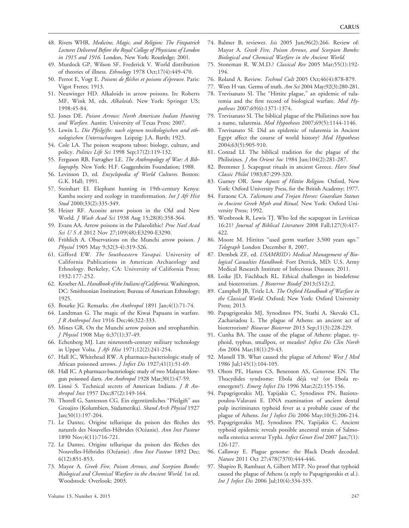- 48. Rivers WHR. Medicine, Magic, and Religion: The Fitzpatrick Lectures Delivered Before the Royal College of Physicians of London in 1915 and 1916. London, New York: Routledge; 2001.
- 49. Murdock GP, Wilson SF, Frederick V. World distribution of theories of illness. Ethnology 1978 Oct;17(4):449-470.
- 50. Perrot E, Vogt E. Poisons de flèches et poisons d'épreuve. Paris: Vigot Freres; 1913.
- 51. Neuwinger HD. Alkaloids in arrow poisons. In: Roberts MF, Wink M, eds. Alkaloids. New York: Springer US; 1998:45-84.
- 52. Jones DE. Poison Arrows: North American Indian Hunting and Warfare. Austin: University of Texas Press; 2007.
- 53. Lewin L. Die Pfeilgifte: nach eigenen toxikologischen und ethnologischen Untersuchungen. Leipzig: J.A. Barth; 1923.
- 54. Cole LA. The poison weapons taboo: biology, culture, and policy. Politics Life Sci 1998 Sep;17(2):119-132.
- 55. Ferguson RB, Farragher LE. The Anthropology of War: A Bibliography. New York: H.F. Guggenheim Foundation; 1988.
- 56. Levinson D, ed. Encyclopedia of World Cultures. Boston: G.K. Hall; 1991.
- 57. Steinhart EI. Elephant hunting in 19th-century Kenya: Kamba society and ecology in transformation. Int J Afr Hist Stud 2000;33(2):335-349.
- 58. Heizer RF. Aconite arrow poison in the Old and New World. J Wash Acad Sci 1938 Aug 15;28(8):358-364.
- 59. Evans AA. Arrow poisons in the Palaeolithic? Proc Natl Acad Sci U S A 2012 Nov 27;109(48):E3290-E3290.
- 60. Fröhlich A. Observations on the Munchi arrow poison.  $J$ Physiol 1905 May 9;32(3-4):319-326.
- 61. Gifford EW. The Southeastern Yavapai. University of California Publications in American Archaeology and Ethnology. Berkeley, CA: University of California Press; 1932:177-252.
- 62. Kroeber AL. Handbook of the Indians of California. Washington, DC: Smithsonian Institution; Bureau of American Ethnology; 1925.
- 63. Bourke JG. Remarks. Am Anthropol 1891 Jan;4(1):71-74.
- 64. Landtman G. The magic of the Kiwai Papuans in warfare. J R Anthropol Inst 1916 Dec;46:322-333.
- 65. Mines GR. On the Munchi arrow poison and strophanthin. J Physiol 1908 May 6;37(1):37-49.
- 66. Echenberg MJ. Late nineteenth-century military technology in Upper Volta. J Afr Hist 1971;12(2):241-254.
- 67. Hall IC, Whitehead RW. A pharmaco-bacteriologic study of African poisoned arrows. *J Infect Dis* 1927;41(1):51-69.
- 68. Hall IC. A pharmaco-bacteriologic study of two Malayan blowgun poisoned darts. Am Anthropol 1928 Mar;30(1):47-59.
- 69. Linné S. Technical secrets of American Indians.  $J R An$ thropol Inst 1957 Dec;87(2):149-164.
- 70. Thorell G, Santesson CG. Ein eigentümliches "Pfeilgift" aus Groajiro (Kolumbien, Südamerika). Skand Arch Physiol 1927 Jan;50(1):197-204.
- 71. Le Dantec. Origine tellurique du poison des flèches des naturels des Nouvelles-Hébrides (Océanie). Ann Inst Pasteur 1890 Nov;4(11):716-721.
- 72. Le Dantec. Origine tellurique du poison des flèches des Nouvelles-Hébrides (Océanie). Ann Inst Pasteur 1892 Dec; 6(12):851-853.
- 73. Mayor A. Greek Fire, Poison Arrows, and Scorpion Bombs: Biological and Chemical Warfare in the Ancient World. 1st ed. Woodstock: Overlook; 2003.
- 74. Balmer B, reviewer. Isis 2005 Jun;96(2):266. Review of: Mayor A. Greek Fire, Poison Arrows, and Scorpion Bombs: Biological and Chemical Warfare in the Ancient World.
- 75. Stoneman R. W.M.D.? Classical Rev 2005 Mar;55(1):192- 194.
- 76. Roland A. Review. Technol Cult 2005 Oct;46(4):878-879.
- 77. Wees H van. Germs of truth. Am Sci 2004 May;92(3):280-281.
- 78. Trevisanato SI. The "Hittite plague," an epidemic of tularemia and the first record of biological warfare. Med Hypotheses 2007;69(6):1371-1374.
- 79. Trevisanato SI. The biblical plague of the Philistines now has a name, tularemia. Med Hypotheses 2007;69(5):1144-1146.
- 80. Trevisanato SI. Did an epidemic of tularemia in Ancient Egypt affect the course of world history? Med Hypotheses 2004;63(5):905-910.
- 81. Conrad LI. The biblical tradition for the plague of the Philistines. J Am Orient Soc 1984 Jun;104(2):281-287.
- 82. Bremmer J. Scapegoat rituals in ancient Greece. Harv Stud Classic Philol 1983;87:299-320.
- 83. Gurney OR. Some Aspects of Hittite Religion. Oxford, New York: Oxford University Press, for the British Academy; 1977.
- 84. Faraone CA. Talismans and Trojan Horses: Guardian Statues in Ancient Greek Myth and Ritual. New York: Oxford University Press; 1992.
- 85. Westbrook R, Lewis TJ. Who led the scapegoat in Leviticus 16:21? Journal of Biblical Literature 2008 Fall;127(3):417- 422.
- 86. Moore M. Hittites ''used germ warfare 3,500 years ago.'' Telegraph London December 8, 2007.
- 87. Dembek ZF, ed. USAMRIID's Medical Management of Biological Casualties Handbook. Fort Detrick, MD: U.S. Army Medical Research Institute of Infectious Diseases; 2011.
- 88. Loike JD, Fischbach RL. Ethical challenges in biodefense and bioterrorism. J Bioterror Biodef 2013;(S12):2.
- 89. Campbell JB, Tritle LA. The Oxford Handbook of Warfare in the Classical World. Oxford; New York: Oxford University Press; 2013.
- 90. Papagrigorakis MJ, Synodinos PN, Stathi A, Skevaki CL, Zachariadou L. The plague of Athens: an ancient act of bioterrorism? Biosecur Bioterror 2013 Sep;11(3):228-229.
- 91. Cunha BA. The cause of the plague of Athens: plague, typhoid, typhus, smallpox, or measles? Infect Dis Clin North Am 2004 Mar;18(1):29-43.
- 92. Massell TB. What caused the plague of Athens? West J Med 1986 Jul;145(1):104-105.
- 93. Olson PE, Hames CS, Benenson AS, Genovese EN. The Thucydides syndrome: Ebola déjà vu? (or Ebola reemergent?). *Emerg Infect Dis* 1996 Mar;2(2):155-156.
- 94. Papagrigorakis MJ, Yapijakis C, Synodinos PN, Baziotopoulou-Valavani E. DNA examination of ancient dental pulp incriminates typhoid fever as a probable cause of the plague of Athens. Int J Infect Dis 2006 May;10(3):206-214.
- 95. Papagrigorakis MJ, Synodinos PN, Yapijakis C. Ancient typhoid epidemic reveals possible ancestral strain of Salmonella enterica serovar Typhi. *Infect Genet Evol* 2007 Jan;7(1): 126-127.
- 96. Callaway E. Plague genome: the Black Death decoded. Nature 2011 Oct 27;478(7370):444-446.
- 97. Shapiro B, Rambaut A, Gilbert MTP. No proof that typhoid caused the plague of Athens (a reply to Papagrigorakis et al.). Int J Infect Dis 2006 Jul;10(4):334-335.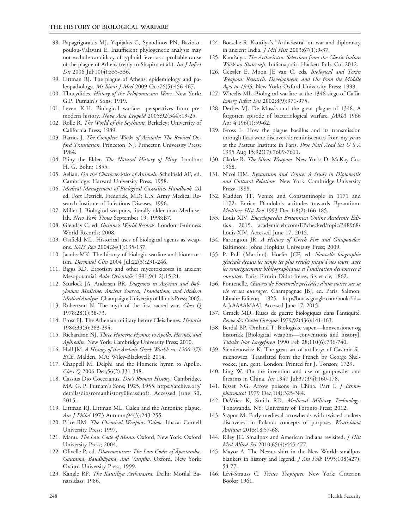- 98. Papagrigorakis MJ, Yapijakis C, Synodinos PN, Baziotopoulou-Valavani E. Insufficient phylogenetic analysis may not exclude candidacy of typhoid fever as a probable cause of the plague of Athens (reply to Shapiro et al.). Int J Infect Dis 2006 Jul;10(4):335-336.
- 99. Littman RJ. The plague of Athens: epidemiology and paleopathology. Mt Sinai J Med 2009 Oct;76(5):456-467.
- 100. Thucydides. History of the Peloponnesian Wars. New York: G.P. Putnam's Sons; 1919.
- 101. Leven K-H. Biological warfare—perspectives from premodern history. Nova Acta Leopold 2005;92(344):19-25.
- 102. Rolle R. The World of the Scythians. Berkeley: University of California Press; 1989.
- 103. Barnes J. The Complete Works of Aristotle: The Revised Oxford Translation. Princeton, NJ: Princeton University Press; 1984.
- 104. Pliny the Elder. The Natural History of Pliny. London: H. G. Bohn; 1855.
- 105. Aelian. On the Characteristics of Animals. Scholfield AF, ed. Cambridge: Harvard University Press; 1958.
- 106. Medical Management of Biological Casualties Handbook. 2d ed. Fort Detrick, Frederick, MD: U.S. Army Medical Research Institute of Infectious Diseases; 1996.
- 107. Miller J. Biological weapons, literally older than Methuselah. New York Times September 19, 1998:B7.
- 108. Glenday C, ed. Guinness World Records. London: Guinness World Records; 2008.
- 109. Ostfield ML. Historical uses of biological agents as weapons. SAIS Rev 2004;24(1):135-137.
- 110. Jacobs MK. The history of biologic warfare and bioterrorism. Dermatol Clin 2004 Jul;22(3):231-246.
- 111. Biggs RD. Ergotism and other mycotoxicoses in ancient Mesopotamia? Aula Orientalis 1991;9(1-2):15-21.
- 112. Scurlock JA, Andersen BR. Diagnoses in Assyrian and Babylonian Medicine: Ancient Sources, Translations, and Modern Medical Analyses.Champaign: University of Illinois Press; 2005.
- 113. Robertson N. The myth of the first sacred war. Class Q 1978;28(1):38-73.
- 114. Frost FJ. The Athenian military before Cleisthenes. Historia 1984;33(3):283-294.
- 115. Richardson NJ. Three Homeric Hymns: to Apollo, Hermes, and Aphrodite. New York: Cambridge University Press; 2010.
- 116. Hall JM. A History of the Archaic Greek World: ca. 1200-479 BCE. Malden, MA: Wiley-Blackwell; 2014.
- 117. Chappell M. Delphi and the Homeric hymn to Apollo. Class Q 2006 Dec; 56(2): 331-348.
- 118. Cassius Dio Cocceianus. Dio's Roman History. Cambridge, MA: G. P. Putnam's Sons; 1925, 1955. https://archive.org/ details/diosromanhistory08cassuoft. Accessed June 30, 2015.
- 119. Littman RJ, Littman ML. Galen and the Antonine plague. Am J Philol 1973 Autumn; 94(3): 243-255.
- 120. Price RM. The Chemical Weapons Taboo. Ithaca: Cornell University Press; 1997.
- 121. Manu. The Law Code of Manu. Oxford, New York: Oxford University Press; 2004.
- 122. Olivelle P, ed. Dharmasūtras: The Law Codes of Apastamba, Gautama, Baudhāyana, and Vasistha. Oxford, New York: Oxford University Press; 1999.
- 123. Kangle RP. The Kautiliya Arthasastra. Delhi: Motilal Banarsidass; 1986.
- 124. Boesche R. Kautilya's "Arthaśāstra" on war and diplomacy in ancient India. J Mil Hist 2003;67(1):9-37.
- 125. Kaut?alya. The Arthasästra: Selections from the Classic Indian Work on Statecraft. Indianapolis: Hackett Pub. Co; 2012.
- 126. Geissler E, Moon JE van C, eds. Biological and Toxin Weapons: Research, Development, and Use from the Middle Ages to 1945. New York: Oxford University Press; 1999.
- 127. Wheelis ML. Biological warfare at the 1346 siege of Caffa. Emerg Infect Dis 2002;8(9):971-975.
- 128. Derbes VJ. De Mussis and the great plague of 1348. A forgotten episode of bacteriological warfare. JAMA 1966 Apr 4;196(1):59-62.
- 129. Gross L. How the plague bacillus and its transmission through fleas were discovered: reminiscences from my years at the Pasteur Institute in Paris. Proc Natl Acad Sci U S A 1995 Aug 15;92(17):7609-7611.
- 130. Clarke R. The Silent Weapons. New York: D. McKay Co.; 1968.
- 131. Nicol DM. Byzantium and Venice: A Study in Diplomatic and Cultural Relations. New York: Cambridge University Press; 1988.
- 132. Madden TF. Venice and Constantinople in 1171 and 1172: Enrico Dandolo's attitudes towards Byzantium. Mediterr Hist Rev 1993 Dec 1;8(2):166-185.
- 133. Louis XIV. Encyclopaedia Britannica Online Academic Edition. 2015. academic.eb.com/EBchecked/topic/348968/ Louis-XIV. Accessed June 17, 2015.
- 134. Partington JR. A History of Greek Fire and Gunpowder. Baltimore: Johns Hopkins University Press; 2009.
- 135. P. Poli (Martino). Hoefer JCF, ed. Nouvelle biographie générale depuis les temps les plus reculés jusqu'à nos jours, avec les renseignements bibliographiques et l'indication des sources a` consulter. Paris: Firmin Didot frères, fils et cie; 1862.
- 136. Fontenelle. Œuvres de Fontenelle précédées d'une notice sur sa vie et ses ouvrages. Champagnac JBJ, ed. Paris: Salmon, Libraire-Editeur; 1825. http://books.google.com/books?id = A-JcAAAAMAAJ. Accessed June 17, 2015.
- 137. Grmek MD. Ruses de guerre biologiques dans l'antiquité. Revue des Études Grecques 1979;92(436):141-163.
- 138. Berdal BP, Omland T. Biologiske vapen—konvensjoner og historikk [Biological weapons—conventions and history]. Tidsskr Nor Laegeforen 1990 Feb 28;110(6):736-740.
- 139. Siemienowicz K. The great art of artillery: of Casimir Simienowicz. Translated from the French by George Shelvocke, jun. gent. London: Printed for J. Tonson; 1729.
- 140. Ling W. On the invention and use of gunpowder and firearms in China. Isis 1947 Jul;37(3/4):160-178.
- 141. Bisset NG. Arrow poisons in China. Part I. *J Ethno*pharmacol 1979 Dec;1(4):325-384.
- 142. DeVries K, Smith RD. Medieval Military Technology. Tonawanda, NY: University of Toronto Press; 2012.
- 143. Stapor M. Early medieval arrowheads with twisted sockets discovered in Poland: concepts of purpose. Wratislavia Antiqua 2013;18:57-68.
- 144. Riley JC. Smallpox and American Indians revisited. *J Hist* Med Allied Sci 2010;65(4):445-477.
- 145. Mayor A. The Nessus shirt in the New World: smallpox blankets in history and legend. *J Am Folk* 1995;108(427): 54-77.
- 146. Lévi-Strauss C. Tristes Tropiques. New York: Criterion Books; 1961.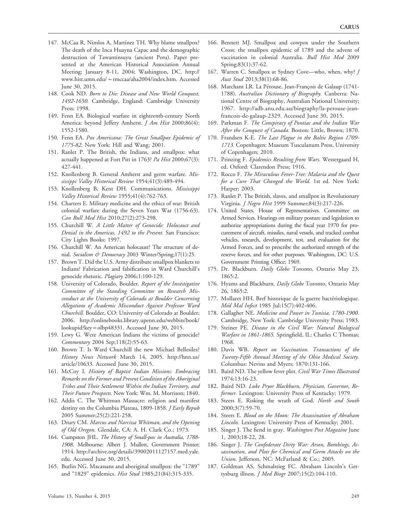- 147. McCaa R, Nimlos A, Martínez TH. Why blame smallpox? The death of the Inca Huayna Capac and the demographic destruction of Tawantinsuyu (ancient Peru). Paper presented at the American Historical Association Annual Meeting; January 8-11, 2004; Washington, DC. http:// www.hist.umn.edu/~rmccaa/aha2004/index.htm. Accessed June 30, 2015.
- 148. Cook ND. Born to Die: Disease and New World Conquest, 1492-1650. Cambridge, England: Cambridge University Press; 1998.
- 149. Fenn EA. Biological warfare in eighteenth-century North America: beyond Jeffery Amherst. *J Am Hist* 2000;86(4): 1552-1580.
- 150. Fenn EA. Pox Americana: The Great Smallpox Epidemic of 1775-82. New York: Hill and Wang; 2001.
- 151. Ranlet P. The British, the Indians, and smallpox: what actually happened at Fort Pitt in 1763? Pa Hist 2000;67(3): 427-441.
- 152. Knollenberg B. General Amherst and germ warfare. Mississippi Valley Historical Review 1954;41(3):489-494.
- 153. Knollenberg B, Kent DH. Communications. Mississippi Valley Historical Review 1955;41(4):762-763.
- 154. Charters E. Military medicine and the ethics of war: British colonial warfare during the Seven Years War (1756-63). Can Bull Med Hist 2010;27(2):273-298.
- 155. Churchill W. A Little Matter of Genocide: Holocaust and Denial in the Americas, 1492 to the Present. San Francisco: City Lights Books; 1997.
- 156. Churchill W. An American holocaust? The structure of denial. Socialism & Democracy 2003 Winter/Spring;17(1):25.
- 157. Brown T. Did the U.S. Army distribute smallpox blankets to Indians? Fabrication and falsification in Ward Churchill's genocide rhetoric. Plagiary 2006;1:100-129.
- 158. University of Colorado, Boulder. Report of the Investigative Committee of the Standing Committee on Research Misconduct at the University of Colorado at Boulder Concerning Allegations of Academic Misconduct Against Professor Ward Churchill. Boulder, CO: University of Colorado at Boulder; 2006. http://onlinebooks.library.upenn.edu/webbin/book/ lookupid?key = olbp48331. Accessed June 30, 2015.
- 159. Lewy G. Were American Indians the victims of genocide? Commentary 2004 Sep;118(2):55-63.
- 160. Brown T. Is Ward Churchill the new Michael Bellesiles? History News Network March 14, 2005. http://hnn.us/ article/10633. Accessed June 30, 2015.
- 161. McCoy I. History of Baptist Indian Missions: Embracing Remarks on the Former and Present Condition of the Aboriginal Tribes and Their Settlement Within the Indian Territory, and Their Future Prospects. New York: Wm. M. Morrison; 1840.
- 162. Addis C. The Whitman Massacre: religion and manifest destiny on the Columbia Plateau, 1809-1858. *J Early Repub* 2005 Summer;25(2):221-258.
- 163. Drury CM. Marcus and Narcissa Whitman, and the Opening of Old Oregon. Glendale, CA: A. H. Clark Co.; 1973.
- 164. Cumpston JHL. The History of Small-pox in Australia, 1788- 1908. Melbourne: Albert J. Mullett, Government Printer; 1914. http://archive.org/details/39002011127157.med.yale. edu. Accessed June 30, 2015.
- 165. Butlin NG. Macassans and aboriginal smallpox: the "1789" and "1829" epidemics. Hist Stud 1985;21(84):315-335.
- 166. Bennett MJ. Smallpox and cowpox under the Southern Cross: the smallpox epidemic of 1789 and the advent of vaccination in colonial Australia. Bull Hist Med 2009 Spring;83(1):37-62.
- 167. Warren C. Smallpox at Sydney Cove—who, when, why? J Aust Stud 2013;38(1):68-86.
- 168. Marchant LR. La Pérouse, Jean-François de Galaup (1741-1788). Australian Dictionary of Biography. Canberra: National Centre of Biography, Australian National University; 1967. http://adb.anu.edu.au/biography/la-perouse-jeanfrancois-de-galaup-2329. Accessed June 30, 2015.
- 169. Parkman F. The Conspiracy of Pontiac and the Indian War After the Conquest of Canada. Boston: Little, Brown; 1870.
- 170. Frandsen K-E. The Last Plague in the Baltic Region 1709- 1713. Copenhagen: Museum Tusculanum Press, University of Copenhagen; 2010.
- 171. Prinzing F. Epidemics Resulting from Wars. Westergaard H, ed. Oxford: Clarendon Press; 1916.
- 172. Rocco F. The Miraculous Fever-Tree: Malaria and the Quest for a Cure That Changed the World. 1st ed. New York: Harper; 2003.
- 173. Ranlet P. The British, slaves, and smallpox in Revolutionary Virginia. J Negro Hist 1999 Summer;84(3):217-226.
- 174. United States. House of Representatives. Committee on Armed Services. Hearings on military posture and legislation to authorize appropriations during the fiscal year 1970 for procurement of aircraft, missiles, naval vessels, and tracked combat vehicles, research, development, test, and evaluation for the Armed Forces, and to prescribe the authorized strength of the reserve forces, and for other purposes. Washington, DC: U.S. Government Printing Office; 1969.
- 175. Dr. Blackburn. Daily Globe Toronto, Ontario May 23, 1865:2.
- 176. Hyams and Blackburn. Daily Globe Toronto, Ontario May 26, 1865:2.
- 177. Mollaret HH. Bref historique de la guerre bactériologique. Méd Mal Infect 1985 Jul;15(7):402-406.
- 178. Gallagher NE. Medicine and Power in Tunisia, 1780-1900. Cambridge, New York: Cambridge University Press; 1983.
- 179. Steiner PE. Disease in the Civil War: Natural Biological Warfare in 1861-1865. Springfield, IL: Charles C Thomas; 1968.
- 180. Davis WB. Report on Vaccination. Transactions of the Twenty-Fifth Annual Meeting of the Ohio Medical Society. Columbus: Nevins and Myers; 1870:131-166.
- 181. Baird ND. The yellow fever plot. Civil War Times Illustrated 1974;13:16-23.
- 182. Baird ND. Luke Pryor Blackburn, Physician, Governor, Reformer. Lexington: University Press of Kentucky; 1979.
- 183. Steers E. Risking the wrath of God. North and South 2000;3(7):59-70.
- 184. Steers E. Blood on the Moon: The Assassination of Abraham Lincoln. Lexington: University Press of Kentucky; 2001.
- 185. Singer J. The fiend in gray. Washington Post Magazine June 1, 2003;18-22, 28.
- 186. Singer J. The Confederate Dirty War: Arson, Bombings, Assassination, and Plots for Chemical and Germ Attacks on the Union. Jefferson, NC: McFarland & Co.; 2005.
- 187. Goldman AS, Schmalstieg FC. Abraham Lincoln's Gettysburg illness. J Med Biogr 2007;15(2):104-110.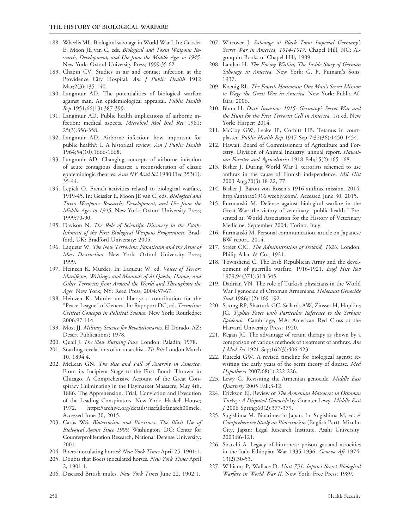- 188. Wheelis ML. Biological sabotage in World War I. In: Geissler E, Moon JE van C, eds. Biological and Toxin Weapons: Research, Development, and Use from the Middle Ages to 1945. New York: Oxford University Press; 1999:35-62.
- 189. Chapin CV. Studies in air and contact infection at the Providence City Hospital. Am J Public Health 1912 Mar;2(3):135-140.
- 190. Langmuir AD. The potentialities of biological warfare against man. An epidemiological appraisal. Public Health Rep 1951;66(13):387-399.
- 191. Langmuir AD. Public health implications of airborne infection: medical aspects. Microbiol Mol Biol Rev 1961; 25(3):356-358.
- 192. Langmuir AD. Airborne infection: how important for public health?: I. A historical review. Am J Public Health 1964;54(10):1666-1668.
- 193. Langmuir AD. Changing concepts of airborne infection of acute contagious diseases: a reconsideration of classic epidemiologic theories. Ann NY Acad Sci 1980 Dec;353(1): 35-44.
- 194. Lepick O. French activities related to biological warfare, 1919-45. In: Geissler E, Moon JE van C, eds. Biological and Toxin Weapons: Research, Development, and Use from the Middle Ages to 1945. New York: Oxford University Press; 1999:70-90.
- 195. Davison N. The Role of Scientific Discovery in the Establishment of the First Biological Weapons Programmes. Bradford, UK: Bradford University; 2005.
- 196. Laqueur W. The New Terrorism: Fanaticism and the Arms of Mass Destruction. New York: Oxford University Press; 1999.
- 197. Heinzen K. Murder. In: Laqueur W, ed. Voices of Terror: Manifestos, Writings, and Manuals of Al Qaeda, Hamas, and Other Terrorists from Around the World and Throughout the Ages. New York, NY: Reed Press; 2004:57-67.
- 198. Heinzen K. Murder and liberty: a contribution for the "Peace-League" of Geneva. In: Rapoport DC, ed. Terrorism: Critical Concepts in Political Science. New York: Routledge; 2006:97-114.
- 199. Most JJ. Military Science for Revolutionaries. El Dorado, AZ: Desert Publications; 1978.
- 200. Quail J. The Slow Burning Fuse. London: Paladin; 1978.
- 201. Startling revelations of an anarchist. Tit-Bits London March 10, 1894:4.
- 202. McLean GN. The Rise and Fall of Anarchy in America. From its Incipient Stage to the First Bomb Thrown in Chicago. A Comprehensive Account of the Great Conspiracy Culminating in the Haymarket Massacre, May 4th, 1886. The Apprehension, Trial, Conviction and Execution of the Leading Conspirators. New York: Haskell House; 1972. https://archive.org/details/risefallofanarch00mcle. Accessed June 30, 2015.
- 203. Carus WS. Bioterrorism and Biocrimes: The Illicit Use of Biological Agents Since 1900. Washington, DC: Center for Counterproliferation Research, National Defense University; 2001.
- 204. Boers inoculating horses? New York Times April 25, 1901:1.
- 205. Doubts that Boers inoculated horses. New York Times April 2, 1901:1.
- 206. Diseased British mules. New York Times June 22, 1902:1.
- 207. Witcover J. Sabotage at Black Tom: Imperial Germany's Secret War in America, 1914-1917. Chapel Hill, NC: Algonquin Books of Chapel Hill; 1989.
- 208. Landau H. The Enemy Within; The Inside Story of German Sabotage in America. New York: G. P. Putnam's Sons; 1937.
- 209. Koenig RL. The Fourth Horseman: One Man's Secret Mission to Wage the Great War in America. New York: Public Affairs; 2006.
- 210. Blum H. Dark Invasion: 1915: Germany's Secret War and the Hunt for the First Terrorist Cell in America. 1st ed. New York: Harper; 2014.
- 211. McCoy GW, Leake JP, Corbitt HB. Tetanus in courtplaster. Public Health Rep 1917 Sep 7;32(36):1450-1454.
- 212. Hawaii, Board of Commissioners of Agriculture and Forestry. Division of Animal Industry: annual report. Hawaiian Forester and Agriculturist 1918 Feb;15(2):165-168.
- 213. Bisher J. During World War I, terrorists schemed to use anthrax in the cause of Finnish independence. Mil Hist 2003 Aug;20(3):18-22, 77.
- 214. Bisher J. Baron von Rosen's 1916 anthrax mission. 2014. http://anthrax1916.weebly.com/. Accessed June 30, 2015.
- 215. Furmanski M. Defense against biological warfare in the Great War: the victory of veterinary ''public health.'' Presented at: World Association for the History of Veterinary Medicine; September 2004; Torino, Italy.
- 216. Furmanski M. Personal communication, article on Japanese BW report. 2014.
- 217. Street CJC. The Administration of Ireland, 1920. London: Philip Allan & Co.; 1921.
- 218. Townshend C. The Irish Republican Army and the development of guerrilla warfare, 1916-1921. Engl Hist Rev 1979;94(371):318-345.
- 219. Dadrian VN. The role of Turkish physicians in the World War I genocide of Ottoman Armenians. Holocaust Genocide Stud 1986;1(2):169-192.
- 220. Strong RP, Shattuck GC, Sellards AW, Zinsser H, Hopkins JG. Typhus Fever with Particular Reference to the Serbian Epidemic. Cambridge, MA: American Red Cross at the Harvard University Press; 1920.
- 221. Regan JC. The advantage of serum therapy as shown by a comparison of various methods of treatment of anthrax. Am J Med Sci 1921 Sep;162(3):406-423.
- 222. Rutecki GW. A revised timeline for biological agents: revisiting the early years of the germ theory of disease. Med Hypotheses 2007;68(1):222-226.
- 223. Lewy G. Revisiting the Armenian genocide. Middle East Quarterly 2005 Fall;3-12.
- 224. Erickson EJ. Review of The Armenian Massacres in Ottoman Turkey: A Disputed Genocide by Guenter Lewy. Middle East J 2006 Spring;60(2):377-379.
- 225. Sugishima M. Biocrimes in Japan. In: Sugishima M, ed. A Comprehensive Study on Bioterrorism (English Part). Mizuho City, Japan: Legal Research Institute, Asahi University; 2003:86-121.
- 226. Sbacchi A. Legacy of bitterness: poison gas and atrocities in the Italo-Ethiopian War 1935-1936. Geneva Afr 1974; 13(2):30-53.
- 227. Williams P, Wallace D. Unit 731: Japan's Secret Biological Warfare in World War II. New York: Free Press; 1989.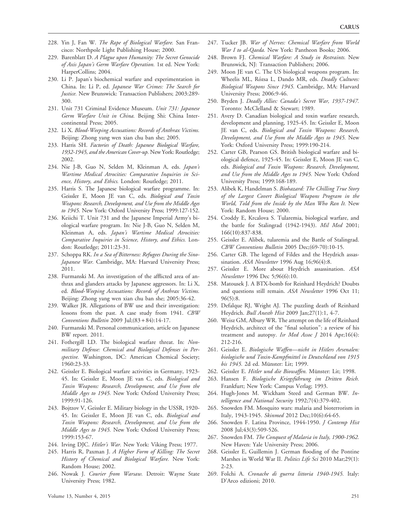- 228. Yin J, Fan W. The Rape of Biological Warfare. San Francisco: Northpole Light Publishing House; 2000.
- 229. Barenblatt D. A Plague upon Humanity: The Secret Genocide of Axis Japan's Germ Warfare Operation. 1st ed. New York: HarperCollins; 2004.
- 230. Li P. Japan's biochemical warfare and experimentation in China. In: Li P, ed. Japanese War Crimes: The Search for Justice. New Brunswick: Transaction Publishers; 2003:289-300.
- 231. Unit 731 Criminal Evidence Museum. Unit 731: Japanese Germ Warfare Unit in China. Beijing Shi: China Intercontinental Press; 2005.
- 232. Li X. Blood-Weeping Accusations: Records of Anthrax Victims. Beijing: Zhong yang wen xian chu ban she; 2005.
- 233. Harris SH. Factories of Death: Japanese Biological Warfare, 1932-1945, and the American Cover-up. New York: Routledge; 2002.
- 234. Nie J-B, Guo N, Selden M, Kleinman A, eds. Japan's Wartime Medical Atrocities: Comparative Inquiries in Science, History, and Ethics. London: Routledge; 2011.
- 235. Harris S. The Japanese biological warfare programme. In: Geissler E, Moon JE van C, eds. Biological and Toxin Weapons: Research, Development, and Use from the Middle Ages to 1945. New York: Oxford University Press; 1999:127-152.
- 236. Keiichi T. Unit 731 and the Japanese Imperial Army's biological warfare program. In: Nie J-B, Guo N, Selden M, Kleinman A, eds. Japan's Wartime Medical Atrocities: Comparative Inquiries in Science, History, and Ethics. London: Routledge; 2011:23-31.
- 237. Schoppa RK. In a Sea of Bitterness: Refugees During the Sino-Japanese War. Cambridge, MA: Harvard University Press; 2011.
- 238. Furmanski M. An investigation of the afflicted area of anthrax and glanders attacks by Japanese aggressors. In: Li X, ed. Blood-Weeping Accusations: Records of Anthrax Victims. Beijing: Zhong yang wen xian chu ban she; 2005:36-42.
- 239. Walker JR. Allegations of BW use and their investigation: lessons from the past. A case study from 1941. CBW Conventions Bulletin 2009 Jul; $(83 + 84)$ :14-17.
- 240. Furmanski M. Personal communication, article on Japanese BW report. 2011.
- 241. Fothergill LD. The biological warfare threat. In: Nonmilitary Defense: Chemical and Biological Defenses in Perspective. Washington, DC: American Chemical Society; 1960:23-33.
- 242. Geissler E. Biological warfare activities in Germany, 1923- 45. In: Geissler E, Moon JE van C, eds. Biological and Toxin Weapons: Research, Development, and Use from the Middle Ages to 1945. New York: Oxford University Press; 1999:91-126.
- 243. Bojtzov V, Geissler E. Military biology in the USSR, 1920- 45. In: Geissler E, Moon JE van C, eds. Biological and Toxin Weapons: Research, Development, and Use from the Middle Ages to 1945. New York: Oxford University Press; 1999:153-67.
- 244. Irving DJC. Hitler's War. New York: Viking Press; 1977.
- 245. Harris R, Paxman J. A Higher Form of Killing: The Secret History of Chemical and Biological Warfare. New York: Random House; 2002.
- 246. Nowak J. Courier from Warsaw. Detroit: Wayne State University Press; 1982.
- 247. Tucker JB. War of Nerves: Chemical Warfare from World War I to al-Qaeda. New York: Pantheon Books; 2006.
- 248. Brown FJ. Chemical Warfare: A Study in Restraints. New Brunswick, NJ: Transaction Publishers; 2006.
- 249. Moon JE van C. The US biological weapons program. In: Wheelis ML, Rózsa L, Dando MR, eds. Deadly Cultures: Biological Weapons Since 1945. Cambridge, MA: Harvard University Press; 2006:9-46.
- 250. Bryden J. Deadly Allies: Canada's Secret War, 1937-1947. Toronto: McClelland & Stewart; 1989.
- 251. Avery D. Canadian biological and toxin warfare research, development and planning, 1925-45. In: Geissler E, Moon JE van C, eds. Biological and Toxin Weapons: Research, Development, and Use from the Middle Ages to 1945. New York: Oxford University Press; 1999:190-214.
- 252. Carter GB, Pearson GS. British biological warfare and biological defence, 1925-45. In: Geissler E, Moon JE van C, eds. Biological and Toxin Weapons: Research, Development, and Use from the Middle Ages to 1945. New York: Oxford University Press; 1999:168-189.
- 253. Alibek K, Handelman S. Biohazard: The Chilling True Story of the Largest Covert Biological Weapons Program in the World, Told from the Inside by the Man Who Ran It. New York: Random House; 2000.
- 254. Croddy E, Krcalova S. Tularemia, biological warfare, and the battle for Stalingrad (1942-1943). Mil Med 2001; 166(10):837-838.
- 255. Geissler E. Alibek, tularemia and the Battle of Stalingrad. CBW Conventions Bulletin 2005 Dec;(69-70):10-15.
- 256. Carter GB. The legend of Fildes and the Heydrich assassination. ASA Newsletter 1996 Aug 16;96(4):8.
- 257. Geissler E. More about Heydrich assassination. ASA Newsletter 1996 Dec 5;96(6):10.
- 258. Matousek J. A BTX-bomb for Reinhard Heydrich? Doubts and questions still remain. ASA Newsletter 1996 Oct 11; 96(5):8.
- 259. Defalque RJ, Wright AJ. The puzzling death of Reinhard Heydrich. Bull Anesth Hist 2009 Jan;27(1):1, 4-7.
- 260. Weisz GM, Albury WR. The attempt on the life of Reinhard Heydrich, architect of the ''final solution'': a review of his treatment and autopsy. Isr Med Assoc J 2014 Apr;16(4): 212-216.
- 261. Geissler E. Biologische Waffen—nicht in Hitlers Arsenalen: biologische und Toxin-Kampfmittel in Deutschland von 1915 bis 1945. 2d ed. Münster: Lit; 1999.
- 262. Geissler E. Hitler und die Biowaffen. Münster: Lit; 1998.
- 263. Hansen F. Biologische Kriegsführung im Dritten Reich. Frankfurt; New York: Campus Verlag; 1993.
- 264. Hugh-Jones M. Wickham Steed and German BW. Intelligence and National Security 1992;7(4):379-402.
- 265. Snowden FM. Mosquito wars: malaria and bioterrorism in Italy, 1943-1945. Skinmed 2012 Dec;10(6):64-65.
- 266. Snowden F. Latina Province, 1944-1950. J Contemp Hist 2008 Jul;43(3):509-526.
- 267. Snowden FM. The Conquest of Malaria in Italy, 1900-1962. New Haven: Yale University Press; 2006.
- 268. Geissler E, Guillemin J. German flooding of the Pontine Marshes in World War II. Politics Life Sci 2010 Mar;29(1): 2-23.
- 269. Folchi A. Cronache di guerra littoria 1940-1945. Italy: D'Arco edizioni; 2010.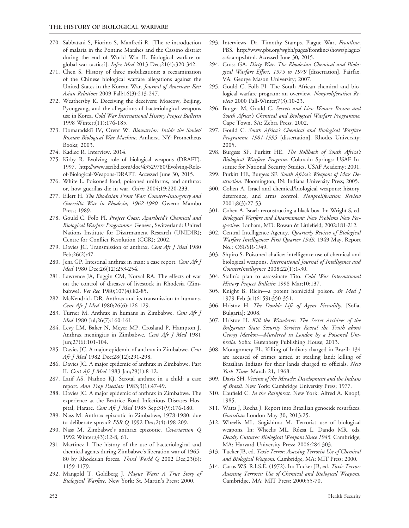- 270. Sabbatani S, Fiorino S, Manfredi R. [The re-introduction of malaria in the Pontine Marshes and the Cassino district during the end of World War II. Biological warfare or global war tactics?]. Infez Med 2013 Dec;21(4):320-342.
- 271. Chen S. History of three mobilizations: a reexamination of the Chinese biological warfare allegations against the United States in the Korean War. Journal of American-East Asian Relations 2009 Fall;16(3):213-247.
- 272. Weathersby K. Deceiving the deceivers: Moscow, Beijing, Pyongyang, and the allegations of bacteriological weapons use in Korea. Cold War International History Project Bulletin 1998 Winter;(11):176-185.
- 273. Domaradskii IV, Orent W. Biowarrior: Inside the Soviet/ Russian Biological War Machine. Amherst, NY: Prometheus Books; 2003.
- 274. Kadlec R. Interview. 2014.
- 275. Kirby R. Evolving role of biological weapons (DRAFT). 1997. http://www.scribd.com/doc/43529780/Evolving-Roleof-Biological-Weapons-DRAFT. Accessed June 30, 2015.
- 276. White L. Poisoned food, poisoned uniforms, and anthrax: or, how guerillas die in war. Osiris 2004;19:220-233.
- 277. Ellert H. The Rhodesian Front War: Counter-Insurgency and Guerrilla War in Rhodesia, 1962-1980. Gweru: Mambo Press; 1989.
- 278. Gould C, Folb PI. Project Coast: Apartheid's Chemical and Biological Warfare Programme. Geneva, Switzerland: United Nations Institute for Disarmament Research (UNIDIR); Centre for Conflict Resolution (CCR); 2002.
- 279. Davies JC. Transmission of anthrax. Cent Afr J Med 1980 Feb;26(2):47.
- 280. Jena GP. Intestinal anthrax in man: a case report. Cent Afr J Med 1980 Dec;26(12):253-254.
- 281. Lawrence JA, Foggin CM, Norval RA. The effects of war on the control of diseases of livestock in Rhodesia (Zimbabwe). Vet Rec 1980;107(4):82-85.
- 282. McKendrick DR. Anthrax and its transmission to humans. Cent Afr J Med 1980;26(6):126-129.
- 283. Turner M. Anthrax in humans in Zimbabwe. Cent Afr J Med 1980 Jul;26(7):160-161.
- 284. Levy LM, Baker N, Meyer MP, Crosland P, Hampton J. Anthrax meningitis in Zimbabwe. Cent Afr J Med 1981 Jun;27(6):101-104.
- 285. Davies JC. A major epidemic of anthrax in Zimbabwe. Cent Afr J Med 1982 Dec;28(12):291-298.
- 286. Davies JC. A major epidemic of anthrax in Zimbabwe. Part II. Cent Afr J Med 1983 Jan;29(1):8-12.
- 287. Latif AS, Nathoo KJ. Scrotal anthrax in a child: a case report. Ann Trop Paediatr 1983;3(1):47-49.
- 288. Davies JC. A major epidemic of anthrax in Zimbabwe. The experience at the Beatrice Road Infectious Diseases Hospital, Harare. Cent Afr J Med 1985 Sep;31(9):176-180.
- 289. Nass M. Anthrax epizootic in Zimbabwe, 1978-1980: due to deliberate spread? PSR Q 1992 Dec;2(4):198-209.
- 290. Nass M. Zimbabwe's anthrax epizootic. Covertaction Q 1992 Winter;(43):12-8, 61.
- 291. Martinez I. The history of the use of bacteriological and chemical agents during Zimbabwe's liberation war of 1965- 80 by Rhodesian forces. Third World Q 2002 Dec;23(6): 1159-1179.
- 292. Mangold T, Goldberg J. Plague Wars: A True Story of Biological Warfare. New York: St. Martin's Press; 2000.
- 293. Interviews, Dr. Timothy Stamps. Plague War, Frontline, PBS. http://www.pbs.org/wgbh/pages/frontline/shows/plague/ sa/stamps.html. Accessed June 30, 2015.
- 294. Cross GA. Dirty War: The Rhodesian Chemical and Biological Warfare Effort, 1975 to 1979 [dissertation]. Fairfax, VA: George Mason University; 2007.
- 295. Gould C, Folb PI. The South African chemical and biological warfare program: an overview. Nonproliferation Review 2000 Fall-Winter;7(3):10-23.
- 296. Burger M, Gould C. Secrets and Lies: Wouter Basson and South Africa's Chemical and Biological Warfare Programme. Cape Town, SA: Zebra Press; 2002.
- 297. Gould C. South Africa's Chemical and Biological Warfare Programme 1981-1995 [dissertation]. Rhodes University; 2005.
- 298. Burgess SF, Purkitt HE. The Rollback of South Africa's Biological Warfare Program. Colorado Springs: USAF Institute for National Security Studies, USAF Academy; 2001.
- 299. Purkitt HE, Burgess SF. South Africa's Weapons of Mass Destruction. Bloomington, IN: Indiana University Press; 2005.
- 300. Cohen A. Israel and chemical/biological weapons: history, deterrence, and arms control. Nonproliferation Review 2001;8(3):27-53.
- 301. Cohen A. Israel: reconstructing a black box. In: Wright S, ed. Biological Warfare and Disarmament: New Problems New Perspectives. Lanham, MD: Rowan & Littlefield; 2002:181-212.
- 302. Central Intelligence Agency. Quarterly Review of Biological Warfare Intelligence: First Quarter 1949. 1949 May. Report No.: OSI/SR-1/49.
- 303. Shpiro S. Poisoned chalice: intelligence use of chemical and biological weapons. International Journal of Intelligence and CounterIntelligence 2008;22(1):1-30.
- 304. Stalin's plan to assassinate Tito. Cold War International History Project Bulletin 1998 Mar;10:137.
- 305. Knight B. Ricin—a potent homicidal poison. Br Med J 1979 Feb 3;1(6159):350-351.
- 306. Hristov H. The Double Life of Agent Piccadilly. [Sofia, Bulgaria]; 2008.
- 307. Hristov H. Kill the Wanderer: The Secret Archives of the Bulgarian State Security Services Reveal the Truth about Georgi Markov—Murdered in London by a Poisoned Umbrella. Sofia: Gutenberg Publishing House; 2013.
- 308. Montgomery PL. Killing of Indians charged in Brazil: 134 are accused of crimes aimed at stealing land; killing of Brazilian Indians for their lands charged to officials. New York Times March 21, 1968.
- 309. Davis SH. Victims of the Miracle: Development and the Indians of Brazil. New York: Cambridge University Press; 1977.
- 310. Caufield C. In the Rainforest. New York: Alfred A. Knopf; 1985.
- 311. Watts J, Rocha J. Report into Brazilian genocide resurfaces. Guardian London May 30, 2013:25.
- 312. Wheelis ML, Sugishima M. Terrorist use of biological weapons. In: Wheelis ML, Rózsa L, Dando MR, eds. Deadly Cultures: Biological Weapons Since 1945. Cambridge, MA: Harvard University Press; 2006:284-303.
- 313. Tucker JB, ed. Toxic Terror: Assessing Terrorist Use of Chemical and Biological Weapons. Cambridge, MA: MIT Press; 2000.
- 314. Carus WS. R.I.S.E. (1972). In: Tucker JB, ed. Toxic Terror: Assessing Terrorist Use of Chemical and Biological Weapons. Cambridge, MA: MIT Press; 2000:55-70.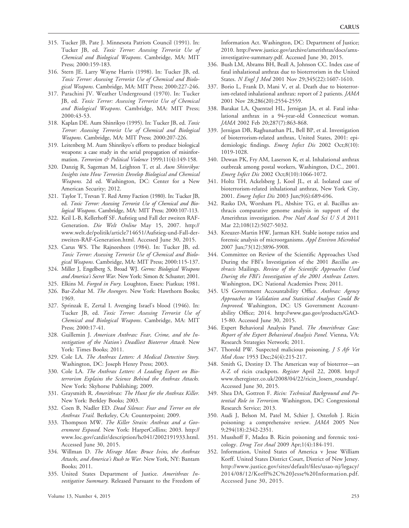- 315. Tucker JB, Pate J. Minnesota Patriots Council (1991). In: Tucker JB, ed. Toxic Terror: Assessing Terrorist Use of Chemical and Biological Weapons. Cambridge, MA: MIT Press; 2000:159-183.
- 316. Stern JE. Larry Wayne Harris (1998). In: Tucker JB, ed. Toxic Terror: Assessing Terrorist Use of Chemical and Biological Weapons. Cambridge, MA: MIT Press; 2000:227-246.
- 317. Parachini JV. Weather Underground (1970). In: Tucker JB, ed. Toxic Terror: Assessing Terrorist Use of Chemical and Biological Weapons. Cambridge, MA: MIT Press; 2000:43-53.
- 318. Kaplan DE. Aum Shinrikyo (1995). In: Tucker JB, ed. Toxic Terror: Assessing Terrorist Use of Chemical and Biological Weapons. Cambridge, MA: MIT Press; 2000:207-226.
- 319. Leitenberg M. Aum Shinrikyo's efforts to produce biological weapons: a case study in the serial propagation of misinformation. Terrorism & Political Violence 1999;11(4):149-158.
- 320. Danzig R, Sageman M, Leighton T, et al. Aum Shinrikyo: Insights into How Terrorists Develop Biological and Chemical Weapons. 2d ed. Washington, DC: Center for a New American Security; 2012.
- 321. Taylor T, Trevan T. Red Army Faction (1980). In: Tucker JB, ed. Toxic Terror: Assessing Terrorist Use of Chemical and Biological Weapons. Cambridge, MA: MIT Press; 2000:107-113.
- 322. Keil L-B, Kellerhoff SF. Aufstieg und Fall der zweiten RAF-Generation. Die Welt Online May 15, 2007. http:// www.welt.de/politik/article714651/Aufstieg-und-Fall-derzweiten-RAF-Generation.html. Accessed June 30, 2015.
- 323. Carus WS. The Rajneeshees (1984). In: Tucker JB, ed. Toxic Terror: Assessing Terrorist Use of Chemical and Biological Weapons. Cambridge, MA: MIT Press; 2000:115-137.
- 324. Miller J, Engelberg S, Broad WJ. Germs: Biological Weapons and America's Secret War. New York: Simon & Schuster; 2001.
- 325. Elkins M. Forged in Fury. Loughton, Essex: Piatkus; 1981.
- 326. Bar-Zohar M. The Avengers. New York: Hawthorn Books; 1969.
- 327. Sprinzak E, Zertal I. Avenging Israel's blood (1946). In: Tucker JB, ed. Toxic Terror: Assessing Terrorist Use of Chemical and Biological Weapons. Cambridge, MA: MIT Press; 2000:17-41.
- 328. Guillemin J. American Anthrax: Fear, Crime, and the Investigation of the Nation's Deadliest Bioterror Attack. New York: Times Books; 2011.
- 329. Cole LA. The Anthrax Letters: A Medical Detective Story. Washington, DC: Joseph Henry Press; 2003.
- 330. Cole LA. The Anthrax Letters: A Leading Expert on Bioterrorism Explains the Science Behind the Anthrax Attacks. New York: Skyhorse Publishing; 2009.
- 331. Graysmith R. Amerithrax: The Hunt for the Anthrax Killer. New York: Berkley Books; 2003.
- 332. Coen B, Nadler ED. Dead Silence: Fear and Terror on the Anthrax Trail. Berkeley, CA: Counterpoint; 2009.
- 333. Thompson MW. The Killer Strain: Anthrax and a Government Exposed. New York: HarperCollins; 2003. http:// www.loc.gov/catdir/description/hc041/2002191933.html. Accessed June 30, 2015.
- 334. Willman D. The Mirage Man: Bruce Ivins, the Anthrax Attacks, and America's Rush to War. New York, NY: Bantam Books; 2011.
- 335. United States Department of Justice. Amerithrax Investigative Summary. Released Pursuant to the Freedom of

Information Act. Washington, DC: Department of Justice; 2010. http://www.justice.gov/archive/amerithrax/docs/amxinvestigative-summary.pdf. Accessed June 30, 2015.

- 336. Bush LM, Abrams BH, Beall A, Johnson CC. Index case of fatal inhalational anthrax due to bioterrorism in the United States. N Engl J Med 2001 Nov 29;345(22):1607-1610.
- 337. Borio L, Frank D, Mani V, et al. Death due to bioterrorism-related inhalational anthrax: report of 2 patients. JAMA 2001 Nov 28;286(20):2554-2559.
- 338. Barakat LA, Quentzel HL, Jernigan JA, et al. Fatal inhalational anthrax in a 94-year-old Connecticut woman. JAMA 2002 Feb 20;287(7):863-868.
- 339. Jernigan DB, Raghunathan PL, Bell BP, et al. Investigation of bioterrorism-related anthrax, United States, 2001: epidemiologic findings. Emerg Infect Dis 2002 Oct;8(10): 1019-1028.
- 340. Dewan PK, Fry AM, Laserson K, et al. Inhalational anthrax outbreak among postal workers, Washington, D.C., 2001. Emerg Infect Dis 2002 Oct;8(10):1066-1072.
- 341. Holtz TH, Ackelsberg J, Kool JL, et al. Isolated case of bioterrorism-related inhalational anthrax, New York City, 2001. Emerg Infect Dis 2003 Jun;9(6):689-696.
- 342. Rasko DA, Worsham PL, Abshire TG, et al. Bacillus anthracis comparative genome analysis in support of the Amerithrax investigation. Proc Natl Acad Sci U S A 2011 Mar 22;108(12):5027-5032.
- 343. Kreuzer-Martin HW, Jarman KH. Stable isotope ratios and forensic analysis of microorganisms. Appl Environ Microbiol 2007 Jun;73(12):3896-3908.
- 344. Committee on Review of the Scientific Approaches Used During the FBI's Investigation of the 2001 Bacillus anthracis Mailings. Review of the Scientific Approaches Used During the FBI's Investigation of the 2001 Anthrax Letters. Washington, DC: National Academies Press; 2011.
- 345. US Government Accountability Office. Anthrax: Agency Approaches to Validation and Statistical Analyses Could Be Improved. Washington, DC: US Government Accountability Office; 2014. http://www.gao.gov/products/GAO-15-80. Accessed June 30, 2015.
- 346. Expert Behavioral Analysis Panel. The Amerithrax Case: Report of the Expert Behavioral Analysis Panel. Vienna, VA: Research Strategies Network; 2011.
- 347. Thorold PW. Suspected malicious poisoning. J S Afr Vet Med Assoc 1953 Dec;24(4):215-217.
- 348. Smith G, Destiny D. The American way of bioterror—an A-Z of ricin crackpots. Register April 22, 2008. http:// www.theregister.co.uk/2008/04/22/ricin\_losers\_roundup/. Accessed June 30, 2015.
- 349. Shea DA, Gottron F. Ricin: Technical Background and Potential Role in Terrorism. Washington, DC: Congressional Research Service; 2013.
- 350. Audi J, Belson M, Patel M, Schier J, Osterloh J. Ricin poisoning: a comprehensive review. JAMA 2005 Nov 9;294(18):2342-2351.
- 351. Musshoff F, Madea B. Ricin poisoning and forensic toxicology. Drug Test Anal 2009 Apr;1(4):184-191.
- 352. Information, United States of America v Jesse William Korff. United States District Court, District of New Jersey. http://www.justice.gov/sites/default/files/usao-nj/legacy/ 2014/08/12/Korff%2C%20Jesse%20Information.pdf. Accessed June 30, 2015.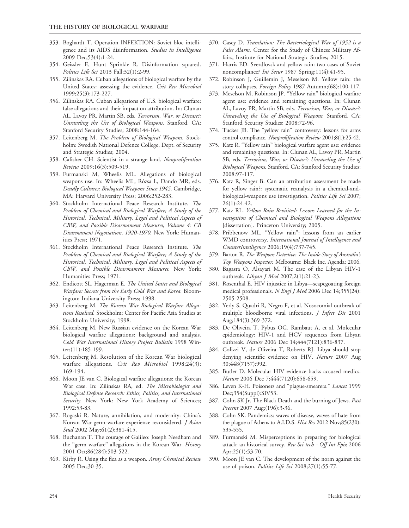- 353. Boghardt T. Operation INFEKTION: Soviet bloc intelligence and its AIDS disinformation. Studies in Intelligence 2009 Dec;53(4):1-24.
- 354. Geissler E, Hunt Sprinkle R. Disinformation squared. Politics Life Sci 2013 Fall;32(1):2-99.
- 355. Zilinskas RA. Cuban allegations of biological warfare by the United States: assessing the evidence. Crit Rev Microbiol 1999;25(3):173-227.
- 356. Zilinskas RA. Cuban allegations of U.S. biological warfare: false allegations and their impact on attribution. In: Clunan AL, Lavoy PR, Martin SB, eds. Terrorism, War, or Disease?: Unraveling the Use of Biological Weapons. Stanford, CA: Stanford Security Studies; 2008:144-164.
- 357. Leitenberg M. The Problem of Biological Weapons. Stockholm: Swedish National Defence College, Dept. of Security and Strategic Studies; 2004.
- 358. Calisher CH. Scientist in a strange land. Nonproliferation Review 2009;16(3):509-519.
- 359. Furmanski M, Wheelis ML. Allegations of biological weapons use. In: Wheelis ML, Rózsa L, Dando MR, eds. Deadly Cultures: Biological Weapons Since 1945. Cambridge, MA: Harvard University Press; 2006:252-283.
- 360. Stockholm International Peace Research Institute. The Problem of Chemical and Biological Warfare; A Study of the Historical, Technical, Military, Legal and Political Aspects of CBW, and Possible Disarmament Measures, Volume 4: CB Disarmament Negotiations, 1920-1970. New York: Humanities Press; 1971.
- 361. Stockholm International Peace Research Institute. The Problem of Chemical and Biological Warfare; A Study of the Historical, Technical, Military, Legal and Political Aspects of CBW, and Possible Disarmament Measures. New York: Humanities Press; 1971.
- 362. Endicott SL, Hagerman E. The United States and Biological Warfare: Secrets from the Early Cold War and Korea. Bloomington: Indiana University Press; 1998.
- 363. Leitenberg M. The Korean War Biological Warfare Allegations Resolved. Stockholm: Center for Pacific Asia Studies at Stockholm University; 1998.
- 364. Leitenberg M. New Russian evidence on the Korean War biological warfare allegations: background and analysis. Cold War International History Project Bulletin 1998 Winter;(11):185-199.
- 365. Leitenberg M. Resolution of the Korean War biological warfare allegations. Crit Rev Microbiol 1998;24(3): 169-194.
- 366. Moon JE van C. Biological warfare allegations: the Korean War case. In: Zilinskas RA, ed. The Microbiologist and Biological Defense Research: Ethics, Politics, and International Security. New York: New York Academy of Sciences; 1992:53-83.
- 367. Rogaski R. Nature, annihilation, and modernity: China's Korean War germ-warfare experience reconsidered. J Asian Stud 2002 May;61(2):381-415.
- 368. Buchanan T. The courage of Galileo: Joseph Needham and the "germ warfare" allegations in the Korean War. History 2001 Oct;86(284):503-522.
- 369. Kirby R. Using the flea as a weapon. Army Chemical Review 2005 Dec;30-35.
- 370. Casey D. Translation: The Bacteriological War of 1952 is a False Alarm. Center for the Study of Chinese Military Affairs, Institute for National Strategic Studies; 2015.
- 371. Harris ED. Sverdlovsk and yellow rain: two cases of Soviet noncompliance? Int Secur 1987 Spring;11(4):41-95.
- 372. Robinson J, Guillemin J, Meselson M. Yellow rain: the story collapses. Foreign Policy 1987 Autumn;(68):100-117.
- 373. Meselson M, Robinson JP. ''Yellow rain'' biological warfare agent use: evidence and remaining questions. In: Clunan AL, Lavoy PR, Martin SB, eds. Terrorism, War, or Disease ?: Unraveling the Use of Biological Weapons. Stanford, CA: Stanford Security Studies; 2008:72-96.
- 374. Tucker JB. The ''yellow rain'' controversy: lessons for arms control compliance. Nonproliferation Review 2001;8(1):25-42.
- 375. Katz R. ''Yellow rain'' biological warfare agent use: evidence and remaining questions. In: Clunan AL, Lavoy PR, Martin SB, eds. Terrorism, War, or Disease?: Unraveling the Use of Biological Weapons. Stanford, CA: Stanford Security Studies; 2008:97-117.
- 376. Katz R, Singer B. Can an attribution assessment be made for yellow rain?: systematic reanalysis in a chemical-andbiological-weapons use investigation. Politics Life Sci 2007; 26(1):24-42.
- 377. Katz RL. Yellow Rain Revisited: Lessons Learned for the Investigation of Chemical and Biological Weapons Allegations [dissertation]. Princeton University; 2005.
- 378. Pribbenow ML. ''Yellow rain'': lessons from an earlier WMD controversy. International Journal of Intelligence and CounterIntelligence 2006;19(4):737-745.
- 379. Barton R. The Weapons Detective: The Inside Story of Australia's Top Weapons Inspector. Melbourne: Black Inc. Agenda; 2006.
- 380. Bagasra O, Alsayari M. The case of the Libyan HIV-1 outbreak. Libyan J Med 2007;2(1):21-23.
- 381. Rosenthal E. HIV injustice in Libya—scapegoating foreign medical professionals. N Engl J Med 2006 Dec 14;355(24): 2505-2508.
- 382. Yerly S, Quadri R, Negro F, et al. Nosocomial outbreak of multiple bloodborne viral infections. J Infect Dis 2001 Aug;184(3):369-372.
- 383. De Oliveira T, Pybus OG, Rambaut A, et al. Molecular epidemiology: HIV-1 and HCV sequences from Libyan outbreak. Nature 2006 Dec 14;444(7121):836-837.
- 384. Colizzi V, de Oliveira T, Roberts RJ. Libya should stop denying scientific evidence on HIV. Nature 2007 Aug 30;448(7157):992.
- 385. Butler D. Molecular HIV evidence backs accused medics. Nature 2006 Dec 7;444(7120):658-659.
- 386. Leven K-H. Poisoners and ''plague-smearers.'' Lancet 1999 Dec;354(Suppl):SIV53.
- 387. Cohn SK Jr. The Black Death and the burning of Jews. Past Present 2007 Aug;(196):3-36.
- 388. Cohn SK. Pandemics: waves of disease, waves of hate from the plague of Athens to A.I.D.S. Hist Res 2012 Nov;85(230): 535-555.
- 389. Furmanski M. Misperceptions in preparing for biological attack: an historical survey. Rev Sci tech - Off Int Epiz 2006 Apr;25(1):53-70.
- 390. Moon JE van C. The development of the norm against the use of poison. Politics Life Sci 2008;27(1):55-77.